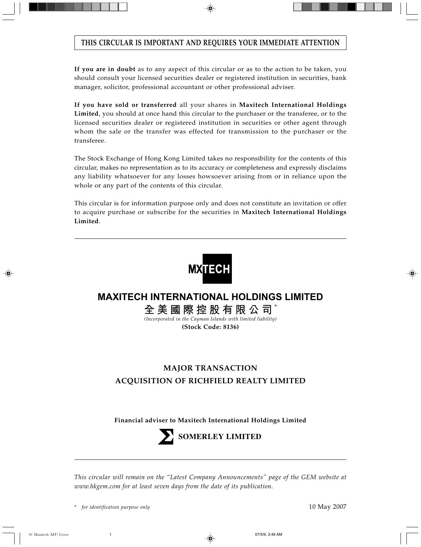# **THIS CIRCULAR IS IMPORTANT AND REQUIRES YOUR IMMEDIATE ATTENTION**

**If you are in doubt** as to any aspect of this circular or as to the action to be taken, you should consult your licensed securities dealer or registered institution in securities, bank manager, solicitor, professional accountant or other professional adviser.

**If you have sold or transferred** all your shares in **Maxitech International Holdings Limited**, you should at once hand this circular to the purchaser or the transferee, or to the licensed securities dealer or registered institution in securities or other agent through whom the sale or the transfer was effected for transmission to the purchaser or the transferee.

The Stock Exchange of Hong Kong Limited takes no responsibility for the contents of this circular, makes no representation as to its accuracy or completeness and expressly disclaims any liability whatsoever for any losses howsoever arising from or in reliance upon the whole or any part of the contents of this circular.

This circular is for information purpose only and does not constitute an invitation or offer to acquire purchase or subscribe for the securities in **Maxitech International Holdings Limited**.



# **MAXITECH INTERNATIONAL HOLDINGS LIMITED**

**全美國際控股有限公司** \*

*(Incorporated in the Cayman Islands with limited liability)* **(Stock Code: 8136)**

# **MAJOR TRANSACTION ACQUISITION OF RICHFIELD REALTY LIMITED**

**Financial adviser to Maxitech International Holdings Limited**



**SOMERLEY LIMITED**

*This circular will remain on the "Latest Company Announcements" page of the GEM website at www.hkgem.com for at least seven days from the date of its publication.*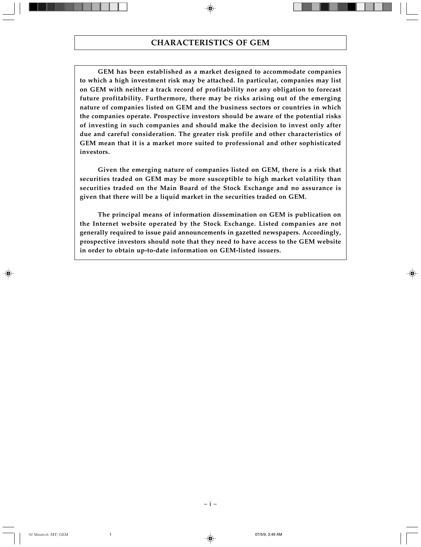**GEM has been established as a market designed to accommodate companies to which a high investment risk may be attached. In particular, companies may list on GEM with neither a track record of profitability nor any obligation to forecast future profitability. Furthermore, there may be risks arising out of the emerging nature of companies listed on GEM and the business sectors or countries in which the companies operate. Prospective investors should be aware of the potential risks of investing in such companies and should make the decision to invest only after due and careful consideration. The greater risk profile and other characteristics of GEM mean that it is a market more suited to professional and other sophisticated investors.**

**Given the emerging nature of companies listed on GEM, there is a risk that securities traded on GEM may be more susceptible to high market volatility than securities traded on the Main Board of the Stock Exchange and no assurance is given that there will be a liquid market in the securities traded on GEM.**

**The principal means of information dissemination on GEM is publication on the Internet website operated by the Stock Exchange. Listed companies are not generally required to issue paid announcements in gazetted newspapers. Accordingly, prospective investors should note that they need to have access to the GEM website in order to obtain up-to-date information on GEM-listed issuers.**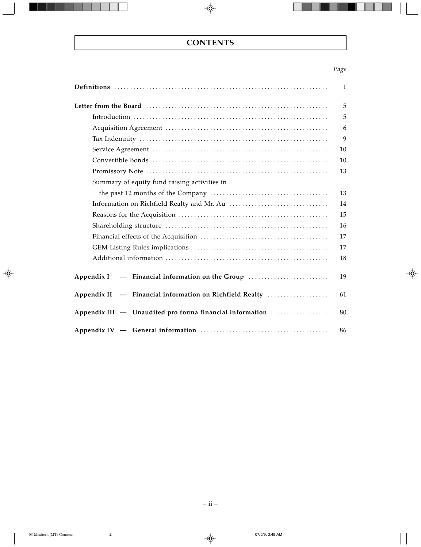# *Page*

|                                                            | $\mathbf{1}$ |
|------------------------------------------------------------|--------------|
|                                                            | 5            |
|                                                            | 5            |
|                                                            | 6            |
|                                                            | 9            |
|                                                            | 10           |
|                                                            | 10           |
|                                                            | 13           |
| Summary of equity fund raising activities in               |              |
|                                                            | 13           |
|                                                            | 14           |
|                                                            | 15           |
|                                                            | 16           |
|                                                            | 17           |
|                                                            | 17           |
|                                                            | 18           |
| Appendix I                                                 | 19           |
| - Financial information on Richfield Realty<br>Appendix II | 61           |
| Appendix III - Unaudited pro forma financial information   | 80           |
|                                                            | 86           |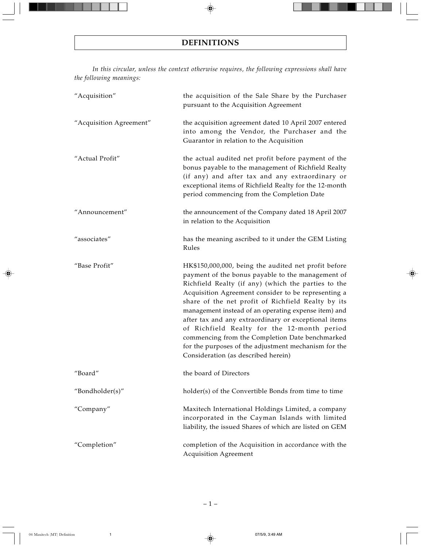*In this circular, unless the context otherwise requires, the following expressions shall have the following meanings:*

| "Acquisition"           | the acquisition of the Sale Share by the Purchaser<br>pursuant to the Acquisition Agreement                                                                                                                                                                                                                                                                                                                                                                                                                                                                                                    |
|-------------------------|------------------------------------------------------------------------------------------------------------------------------------------------------------------------------------------------------------------------------------------------------------------------------------------------------------------------------------------------------------------------------------------------------------------------------------------------------------------------------------------------------------------------------------------------------------------------------------------------|
| "Acquisition Agreement" | the acquisition agreement dated 10 April 2007 entered<br>into among the Vendor, the Purchaser and the<br>Guarantor in relation to the Acquisition                                                                                                                                                                                                                                                                                                                                                                                                                                              |
| "Actual Profit"         | the actual audited net profit before payment of the<br>bonus payable to the management of Richfield Realty<br>(if any) and after tax and any extraordinary or<br>exceptional items of Richfield Realty for the 12-month<br>period commencing from the Completion Date                                                                                                                                                                                                                                                                                                                          |
| "Announcement"          | the announcement of the Company dated 18 April 2007<br>in relation to the Acquisition                                                                                                                                                                                                                                                                                                                                                                                                                                                                                                          |
| "associates"            | has the meaning ascribed to it under the GEM Listing<br>Rules                                                                                                                                                                                                                                                                                                                                                                                                                                                                                                                                  |
| "Base Profit"           | HK\$150,000,000, being the audited net profit before<br>payment of the bonus payable to the management of<br>Richfield Realty (if any) (which the parties to the<br>Acquisition Agreement consider to be representing a<br>share of the net profit of Richfield Realty by its<br>management instead of an operating expense item) and<br>after tax and any extraordinary or exceptional items<br>of Richfield Realty for the 12-month period<br>commencing from the Completion Date benchmarked<br>for the purposes of the adjustment mechanism for the<br>Consideration (as described herein) |
| "Board"                 | the board of Directors                                                                                                                                                                                                                                                                                                                                                                                                                                                                                                                                                                         |
| "Bondholder(s)"         | holder(s) of the Convertible Bonds from time to time                                                                                                                                                                                                                                                                                                                                                                                                                                                                                                                                           |
| "Company"               | Maxitech International Holdings Limited, a company<br>incorporated in the Cayman Islands with limited<br>liability, the issued Shares of which are listed on GEM                                                                                                                                                                                                                                                                                                                                                                                                                               |
| "Completion"            | completion of the Acquisition in accordance with the<br><b>Acquisition Agreement</b>                                                                                                                                                                                                                                                                                                                                                                                                                                                                                                           |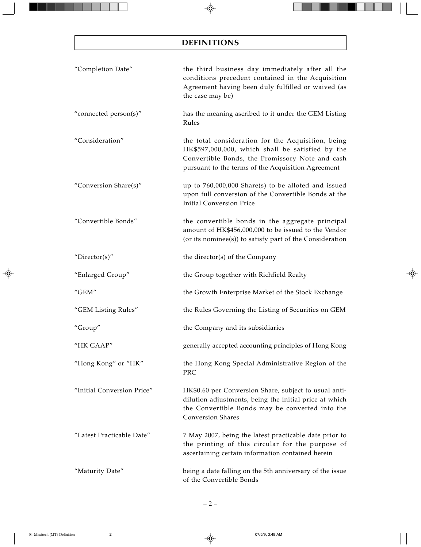# **DEFINITIONS**

| "Completion Date"          | the third business day immediately after all the<br>conditions precedent contained in the Acquisition<br>Agreement having been duly fulfilled or waived (as<br>the case may be)                                 |
|----------------------------|-----------------------------------------------------------------------------------------------------------------------------------------------------------------------------------------------------------------|
| "connected person(s)"      | has the meaning ascribed to it under the GEM Listing<br>Rules                                                                                                                                                   |
| "Consideration"            | the total consideration for the Acquisition, being<br>HK\$597,000,000, which shall be satisfied by the<br>Convertible Bonds, the Promissory Note and cash<br>pursuant to the terms of the Acquisition Agreement |
| "Conversion Share(s)"      | up to $760,000,000$ Share(s) to be alloted and issued<br>upon full conversion of the Convertible Bonds at the<br><b>Initial Conversion Price</b>                                                                |
| "Convertible Bonds"        | the convertible bonds in the aggregate principal<br>amount of HK\$456,000,000 to be issued to the Vendor<br>(or its nominee(s)) to satisfy part of the Consideration                                            |
| "Director(s)"              | the director(s) of the Company                                                                                                                                                                                  |
| "Enlarged Group"           | the Group together with Richfield Realty                                                                                                                                                                        |
| "GEM"                      | the Growth Enterprise Market of the Stock Exchange                                                                                                                                                              |
| "GEM Listing Rules"        | the Rules Governing the Listing of Securities on GEM                                                                                                                                                            |
| "Group"                    | the Company and its subsidiaries                                                                                                                                                                                |
| "HK GAAP"                  | generally accepted accounting principles of Hong Kong                                                                                                                                                           |
| "Hong Kong" or "HK"        | the Hong Kong Special Administrative Region of the<br>PRC                                                                                                                                                       |
| "Initial Conversion Price" | HK\$0.60 per Conversion Share, subject to usual anti-<br>dilution adjustments, being the initial price at which<br>the Convertible Bonds may be converted into the<br><b>Conversion Shares</b>                  |
| "Latest Practicable Date"  | 7 May 2007, being the latest practicable date prior to<br>the printing of this circular for the purpose of<br>ascertaining certain information contained herein                                                 |
| "Maturity Date"            | being a date falling on the 5th anniversary of the issue<br>of the Convertible Bonds                                                                                                                            |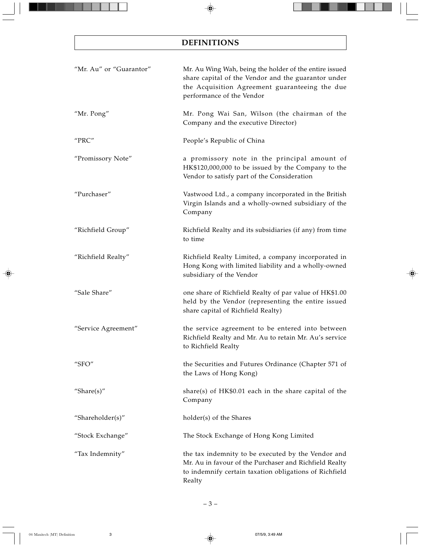# **DEFINITIONS**

| "Mr. Au" or "Guarantor" | Mr. Au Wing Wah, being the holder of the entire issued<br>share capital of the Vendor and the guarantor under<br>the Acquisition Agreement guaranteeing the due<br>performance of the Vendor |
|-------------------------|----------------------------------------------------------------------------------------------------------------------------------------------------------------------------------------------|
| "Mr. Pong"              | Mr. Pong Wai San, Wilson (the chairman of the<br>Company and the executive Director)                                                                                                         |
| "PRC"                   | People's Republic of China                                                                                                                                                                   |
| "Promissory Note"       | a promissory note in the principal amount of<br>HK\$120,000,000 to be issued by the Company to the<br>Vendor to satisfy part of the Consideration                                            |
| "Purchaser"             | Vastwood Ltd., a company incorporated in the British<br>Virgin Islands and a wholly-owned subsidiary of the<br>Company                                                                       |
| "Richfield Group"       | Richfield Realty and its subsidiaries (if any) from time<br>to time                                                                                                                          |
| "Richfield Realty"      | Richfield Realty Limited, a company incorporated in<br>Hong Kong with limited liability and a wholly-owned<br>subsidiary of the Vendor                                                       |
| "Sale Share"            | one share of Richfield Realty of par value of HK\$1.00<br>held by the Vendor (representing the entire issued<br>share capital of Richfield Realty)                                           |
| "Service Agreement"     | the service agreement to be entered into between<br>Richfield Realty and Mr. Au to retain Mr. Au's service<br>to Richfield Realty                                                            |
| "SFO"                   | the Securities and Futures Ordinance (Chapter 571 of<br>the Laws of Hong Kong)                                                                                                               |
| "Share $(s)$ "          | share(s) of $HK$0.01$ each in the share capital of the<br>Company                                                                                                                            |
| "Shareholder(s)"        | holder(s) of the Shares                                                                                                                                                                      |
| "Stock Exchange"        | The Stock Exchange of Hong Kong Limited                                                                                                                                                      |
| "Tax Indemnity"         | the tax indemnity to be executed by the Vendor and<br>Mr. Au in favour of the Purchaser and Richfield Realty<br>to indemnify certain taxation obligations of Richfield<br>Realty             |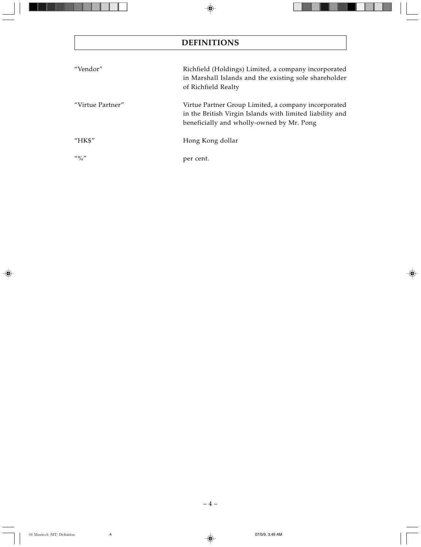# **DEFINITIONS**

| "Vendor"         | Richfield (Holdings) Limited, a company incorporated<br>in Marshall Islands and the existing sole shareholder<br>of Richfield Realty                          |
|------------------|---------------------------------------------------------------------------------------------------------------------------------------------------------------|
| "Virtue Partner" | Virtue Partner Group Limited, a company incorporated<br>in the British Virgin Islands with limited liability and<br>beneficially and wholly-owned by Mr. Pong |
| " $HKS"$         | Hong Kong dollar                                                                                                                                              |
| $\frac{110}{10}$ | per cent.                                                                                                                                                     |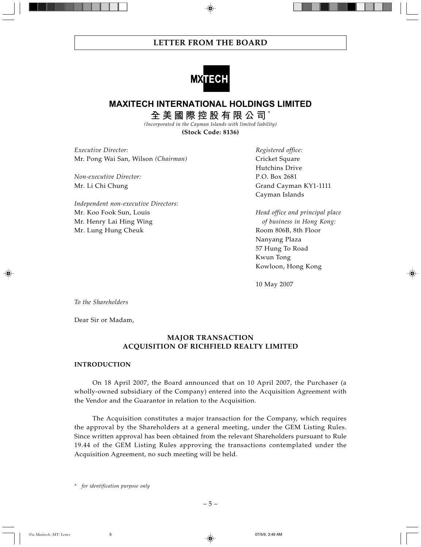

# **MAXITECH INTERNATIONAL HOLDINGS LIMITED**

**全美國際控股有限公司** \*

*(Incorporated in the Cayman Islands with limited liability)* **(Stock Code: 8136)**

*Executive Director: Registered office:* Mr. Pong Wai San, Wilson *(Chairman)* Cricket Square

*Non-executive Director:* P.O. Box 2681

*Independent non-executive Directors:* Mr. Koo Fook Sun, Louis *Head office and principal place* Mr. Henry Lai Hing Wing *of business in Hong Kong:* Mr. Lung Hung Cheuk **Room 806B**, 8th Floor

Hutchins Drive Mr. Li Chi Chung Grand Cayman KY1-1111 Cayman Islands

> Nanyang Plaza 57 Hung To Road Kwun Tong Kowloon, Hong Kong

10 May 2007

*To the Shareholders*

Dear Sir or Madam,

# **MAJOR TRANSACTION ACQUISITION OF RICHFIELD REALTY LIMITED**

## **INTRODUCTION**

On 18 April 2007, the Board announced that on 10 April 2007, the Purchaser (a wholly-owned subsidiary of the Company) entered into the Acquisition Agreement with the Vendor and the Guarantor in relation to the Acquisition.

The Acquisition constitutes a major transaction for the Company, which requires the approval by the Shareholders at a general meeting, under the GEM Listing Rules. Since written approval has been obtained from the relevant Shareholders pursuant to Rule 19.44 of the GEM Listing Rules approving the transactions contemplated under the Acquisition Agreement, no such meeting will be held.

*\* for identification purpose only*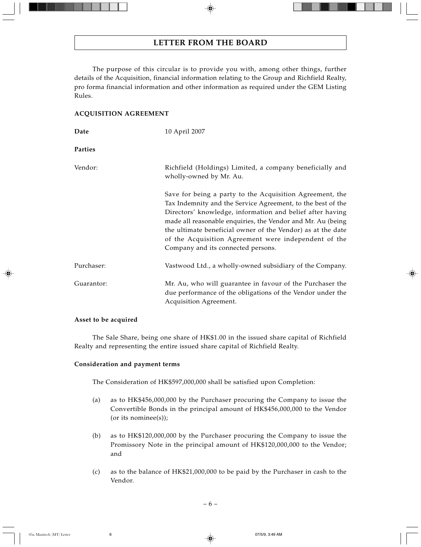The purpose of this circular is to provide you with, among other things, further details of the Acquisition, financial information relating to the Group and Richfield Realty, pro forma financial information and other information as required under the GEM Listing Rules.

## **ACQUISITION AGREEMENT**

| Date       | 10 April 2007                                                                                                                                                                                                                                                                                                                                                                                                    |
|------------|------------------------------------------------------------------------------------------------------------------------------------------------------------------------------------------------------------------------------------------------------------------------------------------------------------------------------------------------------------------------------------------------------------------|
| Parties    |                                                                                                                                                                                                                                                                                                                                                                                                                  |
| Vendor:    | Richfield (Holdings) Limited, a company beneficially and<br>wholly-owned by Mr. Au.                                                                                                                                                                                                                                                                                                                              |
|            | Save for being a party to the Acquisition Agreement, the<br>Tax Indemnity and the Service Agreement, to the best of the<br>Directors' knowledge, information and belief after having<br>made all reasonable enquiries, the Vendor and Mr. Au (being<br>the ultimate beneficial owner of the Vendor) as at the date<br>of the Acquisition Agreement were independent of the<br>Company and its connected persons. |
| Purchaser: | Vastwood Ltd., a wholly-owned subsidiary of the Company.                                                                                                                                                                                                                                                                                                                                                         |
| Guarantor: | Mr. Au, who will guarantee in favour of the Purchaser the<br>due performance of the obligations of the Vendor under the<br>Acquisition Agreement.                                                                                                                                                                                                                                                                |

## **Asset to be acquired**

The Sale Share, being one share of HK\$1.00 in the issued share capital of Richfield Realty and representing the entire issued share capital of Richfield Realty.

## **Consideration and payment terms**

The Consideration of HK\$597,000,000 shall be satisfied upon Completion:

- (a) as to HK\$456,000,000 by the Purchaser procuring the Company to issue the Convertible Bonds in the principal amount of HK\$456,000,000 to the Vendor (or its nominee(s));
- (b) as to HK\$120,000,000 by the Purchaser procuring the Company to issue the Promissory Note in the principal amount of HK\$120,000,000 to the Vendor; and
- (c) as to the balance of HK\$21,000,000 to be paid by the Purchaser in cash to the Vendor.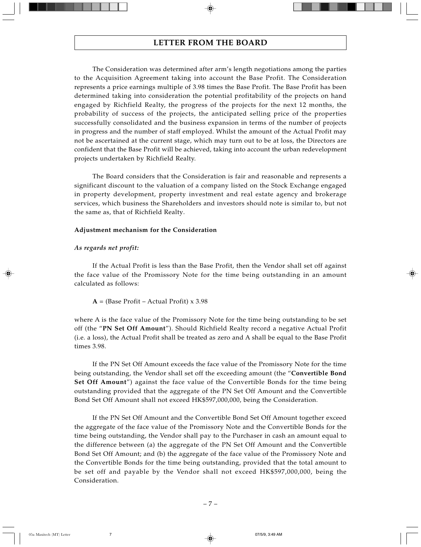The Consideration was determined after arm's length negotiations among the parties to the Acquisition Agreement taking into account the Base Profit. The Consideration represents a price earnings multiple of 3.98 times the Base Profit. The Base Profit has been determined taking into consideration the potential profitability of the projects on hand engaged by Richfield Realty, the progress of the projects for the next 12 months, the probability of success of the projects, the anticipated selling price of the properties successfully consolidated and the business expansion in terms of the number of projects in progress and the number of staff employed. Whilst the amount of the Actual Profit may not be ascertained at the current stage, which may turn out to be at loss, the Directors are confident that the Base Profit will be achieved, taking into account the urban redevelopment projects undertaken by Richfield Realty.

The Board considers that the Consideration is fair and reasonable and represents a significant discount to the valuation of a company listed on the Stock Exchange engaged in property development, property investment and real estate agency and brokerage services, which business the Shareholders and investors should note is similar to, but not the same as, that of Richfield Realty.

### **Adjustment mechanism for the Consideration**

## *As regards net profit:*

If the Actual Profit is less than the Base Profit, then the Vendor shall set off against the face value of the Promissory Note for the time being outstanding in an amount calculated as follows:

 $A =$  (Base Profit – Actual Profit) x 3.98

where A is the face value of the Promissory Note for the time being outstanding to be set off (the "**PN Set Off Amount**"). Should Richfield Realty record a negative Actual Profit (i.e. a loss), the Actual Profit shall be treated as zero and A shall be equal to the Base Profit times 3.98.

If the PN Set Off Amount exceeds the face value of the Promissory Note for the time being outstanding, the Vendor shall set off the exceeding amount (the "**Convertible Bond Set Off Amount**") against the face value of the Convertible Bonds for the time being outstanding provided that the aggregate of the PN Set Off Amount and the Convertible Bond Set Off Amount shall not exceed HK\$597,000,000, being the Consideration.

If the PN Set Off Amount and the Convertible Bond Set Off Amount together exceed the aggregate of the face value of the Promissory Note and the Convertible Bonds for the time being outstanding, the Vendor shall pay to the Purchaser in cash an amount equal to the difference between (a) the aggregate of the PN Set Off Amount and the Convertible Bond Set Off Amount; and (b) the aggregate of the face value of the Promissory Note and the Convertible Bonds for the time being outstanding, provided that the total amount to be set off and payable by the Vendor shall not exceed HK\$597,000,000, being the Consideration.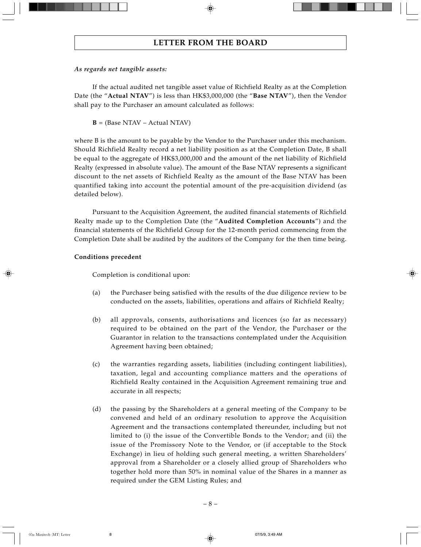## *As regards net tangible assets:*

If the actual audited net tangible asset value of Richfield Realty as at the Completion Date (the "**Actual NTAV**") is less than HK\$3,000,000 (the "**Base NTAV**"), then the Vendor shall pay to the Purchaser an amount calculated as follows:

**B** = (Base NTAV – Actual NTAV)

where B is the amount to be payable by the Vendor to the Purchaser under this mechanism. Should Richfield Realty record a net liability position as at the Completion Date, B shall be equal to the aggregate of HK\$3,000,000 and the amount of the net liability of Richfield Realty (expressed in absolute value). The amount of the Base NTAV represents a significant discount to the net assets of Richfield Realty as the amount of the Base NTAV has been quantified taking into account the potential amount of the pre-acquisition dividend (as detailed below).

Pursuant to the Acquisition Agreement, the audited financial statements of Richfield Realty made up to the Completion Date (the "**Audited Completion Accounts**") and the financial statements of the Richfield Group for the 12-month period commencing from the Completion Date shall be audited by the auditors of the Company for the then time being.

## **Conditions precedent**

Completion is conditional upon:

- (a) the Purchaser being satisfied with the results of the due diligence review to be conducted on the assets, liabilities, operations and affairs of Richfield Realty;
- (b) all approvals, consents, authorisations and licences (so far as necessary) required to be obtained on the part of the Vendor, the Purchaser or the Guarantor in relation to the transactions contemplated under the Acquisition Agreement having been obtained;
- (c) the warranties regarding assets, liabilities (including contingent liabilities), taxation, legal and accounting compliance matters and the operations of Richfield Realty contained in the Acquisition Agreement remaining true and accurate in all respects;
- (d) the passing by the Shareholders at a general meeting of the Company to be convened and held of an ordinary resolution to approve the Acquisition Agreement and the transactions contemplated thereunder, including but not limited to (i) the issue of the Convertible Bonds to the Vendor; and (ii) the issue of the Promissory Note to the Vendor, or (if acceptable to the Stock Exchange) in lieu of holding such general meeting, a written Shareholders' approval from a Shareholder or a closely allied group of Shareholders who together hold more than 50% in nominal value of the Shares in a manner as required under the GEM Listing Rules; and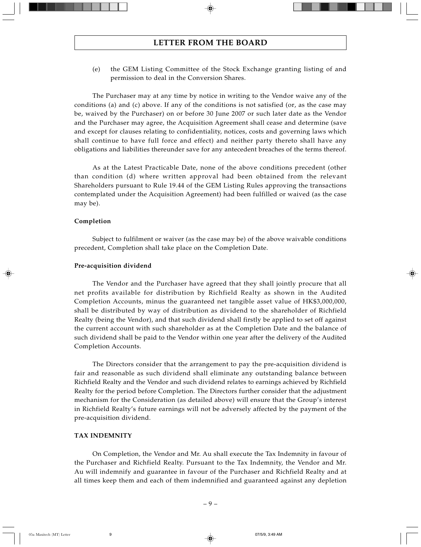(e) the GEM Listing Committee of the Stock Exchange granting listing of and permission to deal in the Conversion Shares.

The Purchaser may at any time by notice in writing to the Vendor waive any of the conditions (a) and (c) above. If any of the conditions is not satisfied (or, as the case may be, waived by the Purchaser) on or before 30 June 2007 or such later date as the Vendor and the Purchaser may agree, the Acquisition Agreement shall cease and determine (save and except for clauses relating to confidentiality, notices, costs and governing laws which shall continue to have full force and effect) and neither party thereto shall have any obligations and liabilities thereunder save for any antecedent breaches of the terms thereof.

As at the Latest Practicable Date, none of the above conditions precedent (other than condition (d) where written approval had been obtained from the relevant Shareholders pursuant to Rule 19.44 of the GEM Listing Rules approving the transactions contemplated under the Acquisition Agreement) had been fulfilled or waived (as the case may be).

#### **Completion**

Subject to fulfilment or waiver (as the case may be) of the above waivable conditions precedent, Completion shall take place on the Completion Date.

#### **Pre-acquisition dividend**

The Vendor and the Purchaser have agreed that they shall jointly procure that all net profits available for distribution by Richfield Realty as shown in the Audited Completion Accounts, minus the guaranteed net tangible asset value of HK\$3,000,000, shall be distributed by way of distribution as dividend to the shareholder of Richfield Realty (being the Vendor), and that such dividend shall firstly be applied to set off against the current account with such shareholder as at the Completion Date and the balance of such dividend shall be paid to the Vendor within one year after the delivery of the Audited Completion Accounts.

The Directors consider that the arrangement to pay the pre-acquisition dividend is fair and reasonable as such dividend shall eliminate any outstanding balance between Richfield Realty and the Vendor and such dividend relates to earnings achieved by Richfield Realty for the period before Completion. The Directors further consider that the adjustment mechanism for the Consideration (as detailed above) will ensure that the Group's interest in Richfield Realty's future earnings will not be adversely affected by the payment of the pre-acquisition dividend.

#### **TAX INDEMNITY**

On Completion, the Vendor and Mr. Au shall execute the Tax Indemnity in favour of the Purchaser and Richfield Realty. Pursuant to the Tax Indemnity, the Vendor and Mr. Au will indemnify and guarantee in favour of the Purchaser and Richfield Realty and at all times keep them and each of them indemnified and guaranteed against any depletion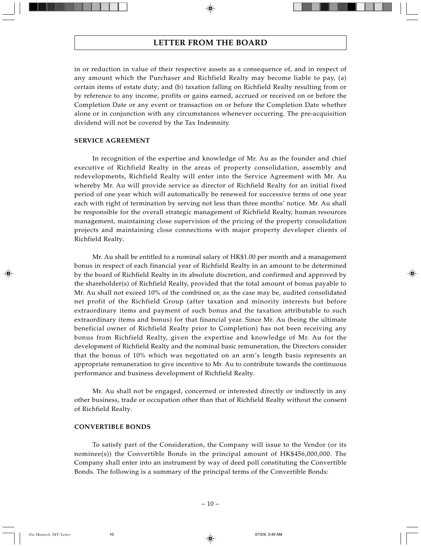in or reduction in value of their respective assets as a consequence of, and in respect of any amount which the Purchaser and Richfield Realty may become liable to pay, (a) certain items of estate duty; and (b) taxation falling on Richfield Realty resulting from or by reference to any income, profits or gains earned, accrued or received on or before the Completion Date or any event or transaction on or before the Completion Date whether alone or in conjunction with any circumstances whenever occurring. The pre-acquisition dividend will not be covered by the Tax Indemnity.

#### **SERVICE AGREEMENT**

In recognition of the expertise and knowledge of Mr. Au as the founder and chief executive of Richfield Realty in the areas of property consolidation, assembly and redevelopments, Richfield Realty will enter into the Service Agreement with Mr. Au whereby Mr. Au will provide service as director of Richfield Realty for an initial fixed period of one year which will automatically be renewed for successive terms of one year each with right of termination by serving not less than three months' notice. Mr. Au shall be responsible for the overall strategic management of Richfield Realty, human resources management, maintaining close supervision of the pricing of the property consolidation projects and maintaining close connections with major property developer clients of Richfield Realty.

Mr. Au shall be entitled to a nominal salary of HK\$1.00 per month and a management bonus in respect of each financial year of Richfield Realty in an amount to be determined by the board of Richfield Realty in its absolute discretion, and confirmed and approved by the shareholder(s) of Richfield Realty, provided that the total amount of bonus payable to Mr. Au shall not exceed 10% of the combined or, as the case may be, audited consolidated net profit of the Richfield Group (after taxation and minority interests but before extraordinary items and payment of such bonus and the taxation attributable to such extraordinary items and bonus) for that financial year. Since Mr. Au (being the ultimate beneficial owner of Richfield Realty prior to Completion) has not been receiving any bonus from Richfield Realty, given the expertise and knowledge of Mr. Au for the development of Richfield Realty and the nominal basic remuneration, the Directors consider that the bonus of 10% which was negotiated on an arm's length basis represents an appropriate remuneration to give incentive to Mr. Au to contribute towards the continuous performance and business development of Richfield Realty.

Mr. Au shall not be engaged, concerned or interested directly or indirectly in any other business, trade or occupation other than that of Richfield Realty without the consent of Richfield Realty.

#### **CONVERTIBLE BONDS**

To satisfy part of the Consideration, the Company will issue to the Vendor (or its nominee(s)) the Convertible Bonds in the principal amount of HK\$456,000,000. The Company shall enter into an instrument by way of deed poll constituting the Convertible Bonds. The following is a summary of the principal terms of the Convertible Bonds: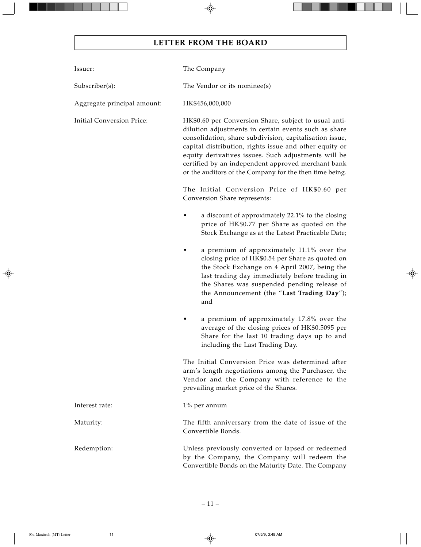| Issuer:                          | The Company                                                                                                                                                                                                                                                                                                                                                                                                |
|----------------------------------|------------------------------------------------------------------------------------------------------------------------------------------------------------------------------------------------------------------------------------------------------------------------------------------------------------------------------------------------------------------------------------------------------------|
| Subscriber(s):                   | The Vendor or its nominee(s)                                                                                                                                                                                                                                                                                                                                                                               |
| Aggregate principal amount:      | HK\$456,000,000                                                                                                                                                                                                                                                                                                                                                                                            |
| <b>Initial Conversion Price:</b> | HK\$0.60 per Conversion Share, subject to usual anti-<br>dilution adjustments in certain events such as share<br>consolidation, share subdivision, capitalisation issue,<br>capital distribution, rights issue and other equity or<br>equity derivatives issues. Such adjustments will be<br>certified by an independent approved merchant bank<br>or the auditors of the Company for the then time being. |
|                                  | The Initial Conversion Price of HK\$0.60 per<br>Conversion Share represents:                                                                                                                                                                                                                                                                                                                               |
|                                  | a discount of approximately 22.1% to the closing<br>price of HK\$0.77 per Share as quoted on the<br>Stock Exchange as at the Latest Practicable Date;                                                                                                                                                                                                                                                      |
|                                  | a premium of approximately 11.1% over the<br>closing price of HK\$0.54 per Share as quoted on<br>the Stock Exchange on 4 April 2007, being the<br>last trading day immediately before trading in<br>the Shares was suspended pending release of<br>the Announcement (the "Last Trading Day");<br>and                                                                                                       |
|                                  | a premium of approximately 17.8% over the<br>average of the closing prices of HK\$0.5095 per<br>Share for the last 10 trading days up to and<br>including the Last Trading Day.                                                                                                                                                                                                                            |
|                                  | The Initial Conversion Price was determined after<br>arm's length negotiations among the Purchaser, the<br>Vendor and the Company with reference to the<br>prevailing market price of the Shares.                                                                                                                                                                                                          |
| Interest rate:                   | $1\%$ per annum                                                                                                                                                                                                                                                                                                                                                                                            |
| Maturity:                        | The fifth anniversary from the date of issue of the<br>Convertible Bonds.                                                                                                                                                                                                                                                                                                                                  |
| Redemption:                      | Unless previously converted or lapsed or redeemed<br>by the Company, the Company will redeem the<br>Convertible Bonds on the Maturity Date. The Company                                                                                                                                                                                                                                                    |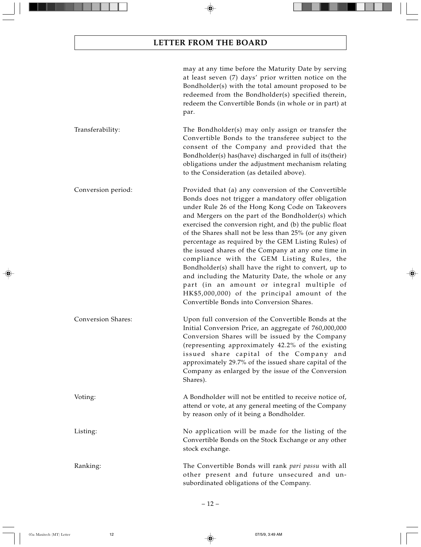|                           | may at any time before the Maturity Date by serving<br>at least seven (7) days' prior written notice on the<br>Bondholder(s) with the total amount proposed to be<br>redeemed from the Bondholder(s) specified therein,<br>redeem the Convertible Bonds (in whole or in part) at<br>par.                                                                                                                                                                                                                                                                                                                                                                                                                                                                        |
|---------------------------|-----------------------------------------------------------------------------------------------------------------------------------------------------------------------------------------------------------------------------------------------------------------------------------------------------------------------------------------------------------------------------------------------------------------------------------------------------------------------------------------------------------------------------------------------------------------------------------------------------------------------------------------------------------------------------------------------------------------------------------------------------------------|
| Transferability:          | The Bondholder(s) may only assign or transfer the<br>Convertible Bonds to the transferee subject to the<br>consent of the Company and provided that the<br>Bondholder(s) has(have) discharged in full of its(their)<br>obligations under the adjustment mechanism relating<br>to the Consideration (as detailed above).                                                                                                                                                                                                                                                                                                                                                                                                                                         |
| Conversion period:        | Provided that (a) any conversion of the Convertible<br>Bonds does not trigger a mandatory offer obligation<br>under Rule 26 of the Hong Kong Code on Takeovers<br>and Mergers on the part of the Bondholder(s) which<br>exercised the conversion right, and (b) the public float<br>of the Shares shall not be less than 25% (or any given<br>percentage as required by the GEM Listing Rules) of<br>the issued shares of the Company at any one time in<br>compliance with the GEM Listing Rules, the<br>Bondholder(s) shall have the right to convert, up to<br>and including the Maturity Date, the whole or any<br>part (in an amount or integral multiple of<br>HK\$5,000,000) of the principal amount of the<br>Convertible Bonds into Conversion Shares. |
| <b>Conversion Shares:</b> | Upon full conversion of the Convertible Bonds at the<br>Initial Conversion Price, an aggregate of 760,000,000<br>Conversion Shares will be issued by the Company<br>(representing approximately 42.2% of the existing<br>issued share capital of the Company and<br>approximately 29.7% of the issued share capital of the<br>Company as enlarged by the issue of the Conversion<br>Shares).                                                                                                                                                                                                                                                                                                                                                                    |
| Voting:                   | A Bondholder will not be entitled to receive notice of,<br>attend or vote, at any general meeting of the Company<br>by reason only of it being a Bondholder.                                                                                                                                                                                                                                                                                                                                                                                                                                                                                                                                                                                                    |
| Listing:                  | No application will be made for the listing of the<br>Convertible Bonds on the Stock Exchange or any other<br>stock exchange.                                                                                                                                                                                                                                                                                                                                                                                                                                                                                                                                                                                                                                   |
| Ranking:                  | The Convertible Bonds will rank pari passu with all<br>other present and future unsecured and un-<br>subordinated obligations of the Company.                                                                                                                                                                                                                                                                                                                                                                                                                                                                                                                                                                                                                   |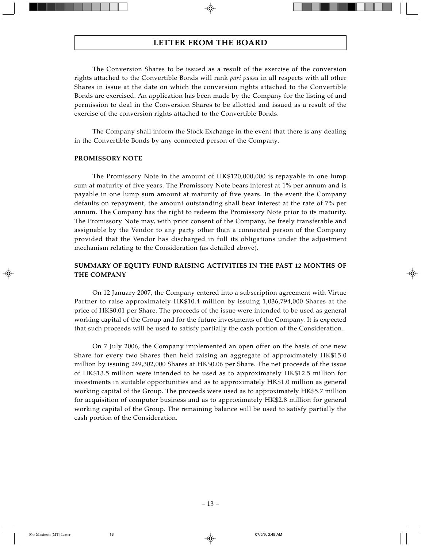The Conversion Shares to be issued as a result of the exercise of the conversion rights attached to the Convertible Bonds will rank *pari passu* in all respects with all other Shares in issue at the date on which the conversion rights attached to the Convertible Bonds are exercised. An application has been made by the Company for the listing of and permission to deal in the Conversion Shares to be allotted and issued as a result of the exercise of the conversion rights attached to the Convertible Bonds.

The Company shall inform the Stock Exchange in the event that there is any dealing in the Convertible Bonds by any connected person of the Company.

### **PROMISSORY NOTE**

The Promissory Note in the amount of HK\$120,000,000 is repayable in one lump sum at maturity of five years. The Promissory Note bears interest at 1% per annum and is payable in one lump sum amount at maturity of five years. In the event the Company defaults on repayment, the amount outstanding shall bear interest at the rate of 7% per annum. The Company has the right to redeem the Promissory Note prior to its maturity. The Promissory Note may, with prior consent of the Company, be freely transferable and assignable by the Vendor to any party other than a connected person of the Company provided that the Vendor has discharged in full its obligations under the adjustment mechanism relating to the Consideration (as detailed above).

# **SUMMARY OF EQUITY FUND RAISING ACTIVITIES IN THE PAST 12 MONTHS OF THE COMPANY**

On 12 January 2007, the Company entered into a subscription agreement with Virtue Partner to raise approximately HK\$10.4 million by issuing 1,036,794,000 Shares at the price of HK\$0.01 per Share. The proceeds of the issue were intended to be used as general working capital of the Group and for the future investments of the Company. It is expected that such proceeds will be used to satisfy partially the cash portion of the Consideration.

On 7 July 2006, the Company implemented an open offer on the basis of one new Share for every two Shares then held raising an aggregate of approximately HK\$15.0 million by issuing 249,302,000 Shares at HK\$0.06 per Share. The net proceeds of the issue of HK\$13.5 million were intended to be used as to approximately HK\$12.5 million for investments in suitable opportunities and as to approximately HK\$1.0 million as general working capital of the Group. The proceeds were used as to approximately HK\$5.7 million for acquisition of computer business and as to approximately HK\$2.8 million for general working capital of the Group. The remaining balance will be used to satisfy partially the cash portion of the Consideration.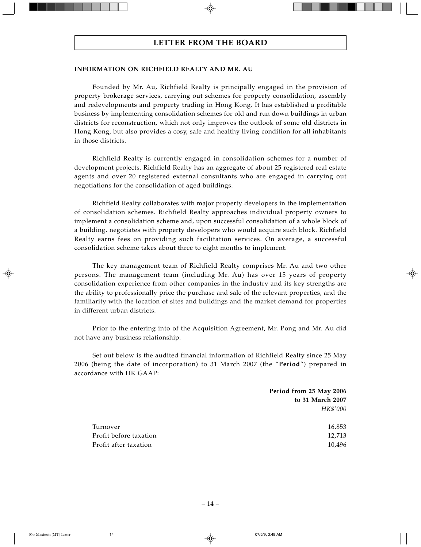#### **INFORMATION ON RICHFIELD REALTY AND MR. AU**

Founded by Mr. Au, Richfield Realty is principally engaged in the provision of property brokerage services, carrying out schemes for property consolidation, assembly and redevelopments and property trading in Hong Kong. It has established a profitable business by implementing consolidation schemes for old and run down buildings in urban districts for reconstruction, which not only improves the outlook of some old districts in Hong Kong, but also provides a cosy, safe and healthy living condition for all inhabitants in those districts.

Richfield Realty is currently engaged in consolidation schemes for a number of development projects. Richfield Realty has an aggregate of about 25 registered real estate agents and over 20 registered external consultants who are engaged in carrying out negotiations for the consolidation of aged buildings.

Richfield Realty collaborates with major property developers in the implementation of consolidation schemes. Richfield Realty approaches individual property owners to implement a consolidation scheme and, upon successful consolidation of a whole block of a building, negotiates with property developers who would acquire such block. Richfield Realty earns fees on providing such facilitation services. On average, a successful consolidation scheme takes about three to eight months to implement.

The key management team of Richfield Realty comprises Mr. Au and two other persons. The management team (including Mr. Au) has over 15 years of property consolidation experience from other companies in the industry and its key strengths are the ability to professionally price the purchase and sale of the relevant properties, and the familiarity with the location of sites and buildings and the market demand for properties in different urban districts.

Prior to the entering into of the Acquisition Agreement, Mr. Pong and Mr. Au did not have any business relationship.

Set out below is the audited financial information of Richfield Realty since 25 May 2006 (being the date of incorporation) to 31 March 2007 (the "**Period**") prepared in accordance with HK GAAP:

|                        | Period from 25 May 2006 |
|------------------------|-------------------------|
|                        | to 31 March 2007        |
|                        | HK\$'000                |
|                        |                         |
| Turnover               | 16,853                  |
| Profit before taxation | 12,713                  |
| Profit after taxation  | 10,496                  |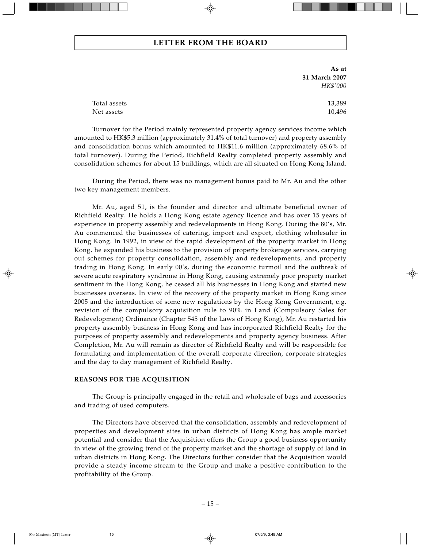**As at 31 March 2007** *HK\$'000*

Total assets 13,389 Net assets 10,496

Turnover for the Period mainly represented property agency services income which amounted to HK\$5.3 million (approximately 31.4% of total turnover) and property assembly and consolidation bonus which amounted to HK\$11.6 million (approximately 68.6% of total turnover). During the Period, Richfield Realty completed property assembly and consolidation schemes for about 15 buildings, which are all situated on Hong Kong Island.

During the Period, there was no management bonus paid to Mr. Au and the other two key management members.

Mr. Au, aged 51, is the founder and director and ultimate beneficial owner of Richfield Realty. He holds a Hong Kong estate agency licence and has over 15 years of experience in property assembly and redevelopments in Hong Kong. During the 80's, Mr. Au commenced the businesses of catering, import and export, clothing wholesaler in Hong Kong. In 1992, in view of the rapid development of the property market in Hong Kong, he expanded his business to the provision of property brokerage services, carrying out schemes for property consolidation, assembly and redevelopments, and property trading in Hong Kong. In early 00's, during the economic turmoil and the outbreak of severe acute respiratory syndrome in Hong Kong, causing extremely poor property market sentiment in the Hong Kong, he ceased all his businesses in Hong Kong and started new businesses overseas. In view of the recovery of the property market in Hong Kong since 2005 and the introduction of some new regulations by the Hong Kong Government, e.g. revision of the compulsory acquisition rule to 90% in Land (Compulsory Sales for Redevelopment) Ordinance (Chapter 545 of the Laws of Hong Kong), Mr. Au restarted his property assembly business in Hong Kong and has incorporated Richfield Realty for the purposes of property assembly and redevelopments and property agency business. After Completion, Mr. Au will remain as director of Richfield Realty and will be responsible for formulating and implementation of the overall corporate direction, corporate strategies and the day to day management of Richfield Realty.

#### **REASONS FOR THE ACQUISITION**

The Group is principally engaged in the retail and wholesale of bags and accessories and trading of used computers.

The Directors have observed that the consolidation, assembly and redevelopment of properties and development sites in urban districts of Hong Kong has ample market potential and consider that the Acquisition offers the Group a good business opportunity in view of the growing trend of the property market and the shortage of supply of land in urban districts in Hong Kong. The Directors further consider that the Acquisition would provide a steady income stream to the Group and make a positive contribution to the profitability of the Group.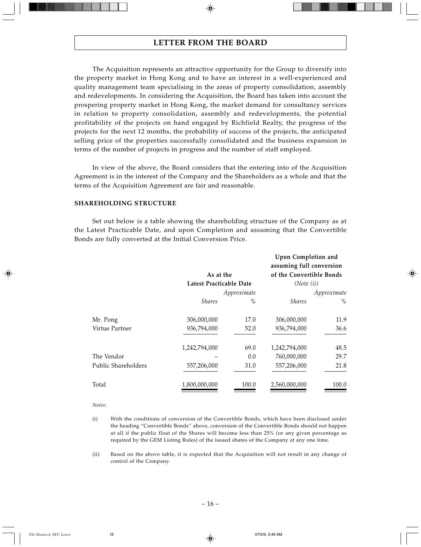The Acquisition represents an attractive opportunity for the Group to diversify into the property market in Hong Kong and to have an interest in a well-experienced and quality management team specialising in the areas of property consolidation, assembly and redevelopments. In considering the Acquisition, the Board has taken into account the prospering property market in Hong Kong, the market demand for consultancy services in relation to property consolidation, assembly and redevelopments, the potential profitability of the projects on hand engaged by Richfield Realty, the progress of the projects for the next 12 months, the probability of success of the projects, the anticipated selling price of the properties successfully consolidated and the business expansion in terms of the number of projects in progress and the number of staff employed.

In view of the above, the Board considers that the entering into of the Acquisition Agreement is in the interest of the Company and the Shareholders as a whole and that the terms of the Acquisition Agreement are fair and reasonable.

## **SHAREHOLDING STRUCTURE**

Set out below is a table showing the shareholding structure of the Company as at the Latest Practicable Date, and upon Completion and assuming that the Convertible Bonds are fully converted at the Initial Conversion Price.

|                     | As at the<br>Latest Practicable Date |             | Upon Completion and<br>assuming full conversion<br>of the Convertible Bonds<br>(Note (i)) |       |
|---------------------|--------------------------------------|-------------|-------------------------------------------------------------------------------------------|-------|
|                     |                                      | Approximate | Approximate                                                                               |       |
|                     | <b>Shares</b>                        | $\%$        | <i><b>Shares</b></i>                                                                      | $\%$  |
| Mr. Pong            | 306,000,000                          | 17.0        | 306,000,000                                                                               | 11.9  |
| Virtue Partner      | 936,794,000                          | 52.0        | 936,794,000                                                                               | 36.6  |
|                     | 1,242,794,000                        | 69.0        | 1,242,794,000                                                                             | 48.5  |
| The Vendor          |                                      | 0.0         | 760,000,000                                                                               | 29.7  |
| Public Shareholders | 557,206,000                          | 31.0        | 557,206,000                                                                               | 21.8  |
| Total               | 1,800,000,000                        | 100.0       | 2,560,000,000                                                                             | 100.0 |

*Notes:*

- (i) With the conditions of conversion of the Convertible Bonds, which have been disclosed under the heading "Convertible Bonds" above, conversion of the Convertible Bonds should not happen at all if the public float of the Shares will become less than 25% (or any given percentage as required by the GEM Listing Rules) of the issued shares of the Company at any one time.
- (ii) Based on the above table, it is expected that the Acquisition will not result in any change of control of the Company.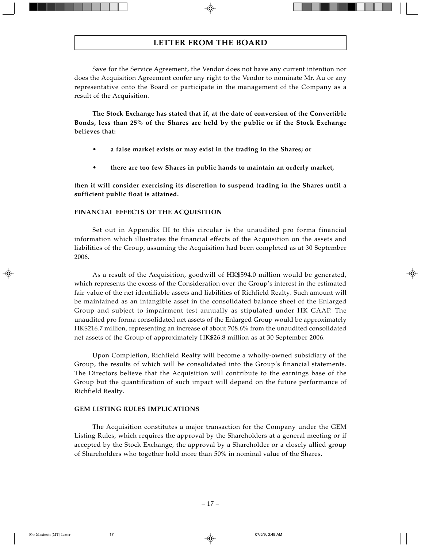Save for the Service Agreement, the Vendor does not have any current intention nor does the Acquisition Agreement confer any right to the Vendor to nominate Mr. Au or any representative onto the Board or participate in the management of the Company as a result of the Acquisition.

**The Stock Exchange has stated that if, at the date of conversion of the Convertible Bonds, less than 25% of the Shares are held by the public or if the Stock Exchange believes that:**

- **a false market exists or may exist in the trading in the Shares; or**
- **there are too few Shares in public hands to maintain an orderly market,**

**then it will consider exercising its discretion to suspend trading in the Shares until a sufficient public float is attained.**

## **FINANCIAL EFFECTS OF THE ACQUISITION**

Set out in Appendix III to this circular is the unaudited pro forma financial information which illustrates the financial effects of the Acquisition on the assets and liabilities of the Group, assuming the Acquisition had been completed as at 30 September 2006.

As a result of the Acquisition, goodwill of HK\$594.0 million would be generated, which represents the excess of the Consideration over the Group's interest in the estimated fair value of the net identifiable assets and liabilities of Richfield Realty. Such amount will be maintained as an intangible asset in the consolidated balance sheet of the Enlarged Group and subject to impairment test annually as stipulated under HK GAAP. The unaudited pro forma consolidated net assets of the Enlarged Group would be approximately HK\$216.7 million, representing an increase of about 708.6% from the unaudited consolidated net assets of the Group of approximately HK\$26.8 million as at 30 September 2006.

Upon Completion, Richfield Realty will become a wholly-owned subsidiary of the Group, the results of which will be consolidated into the Group's financial statements. The Directors believe that the Acquisition will contribute to the earnings base of the Group but the quantification of such impact will depend on the future performance of Richfield Realty.

## **GEM LISTING RULES IMPLICATIONS**

The Acquisition constitutes a major transaction for the Company under the GEM Listing Rules, which requires the approval by the Shareholders at a general meeting or if accepted by the Stock Exchange, the approval by a Shareholder or a closely allied group of Shareholders who together hold more than 50% in nominal value of the Shares.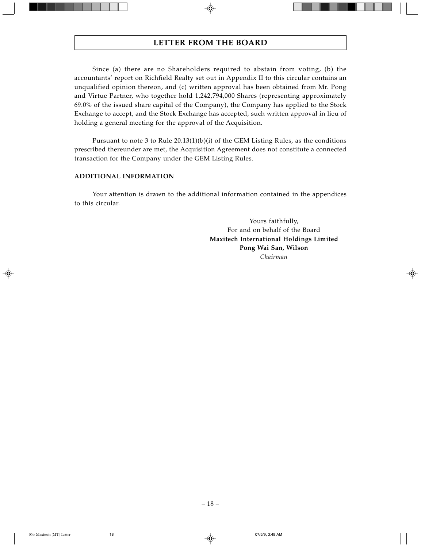Since (a) there are no Shareholders required to abstain from voting, (b) the accountants' report on Richfield Realty set out in Appendix II to this circular contains an unqualified opinion thereon, and (c) written approval has been obtained from Mr. Pong and Virtue Partner, who together hold 1,242,794,000 Shares (representing approximately 69.0% of the issued share capital of the Company), the Company has applied to the Stock Exchange to accept, and the Stock Exchange has accepted, such written approval in lieu of holding a general meeting for the approval of the Acquisition.

Pursuant to note 3 to Rule  $20.13(1)(b)(i)$  of the GEM Listing Rules, as the conditions prescribed thereunder are met, the Acquisition Agreement does not constitute a connected transaction for the Company under the GEM Listing Rules.

## **ADDITIONAL INFORMATION**

Your attention is drawn to the additional information contained in the appendices to this circular.

> Yours faithfully, For and on behalf of the Board **Maxitech International Holdings Limited Pong Wai San, Wilson** *Chairman*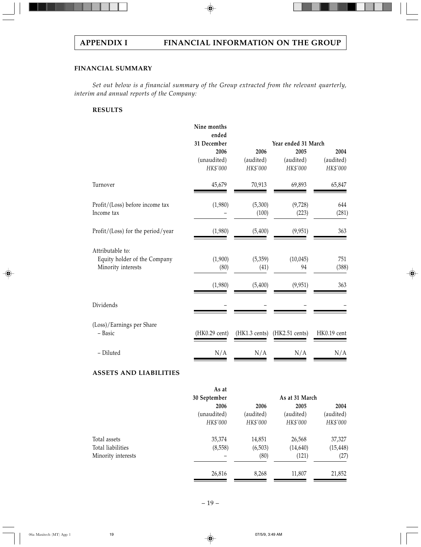## **FINANCIAL SUMMARY**

*Set out below is a financial summary of the Group extracted from the relevant quarterly, interim and annual reports of the Company:*

## **RESULTS**

| Nine months<br>ended<br>31 December |           |                          |                           |
|-------------------------------------|-----------|--------------------------|---------------------------|
|                                     |           | Year ended 31 March      |                           |
| 2006                                | 2006      | 2005                     | 2004                      |
| (unaudited)                         | (audited) | (audited)                | (audited)                 |
| HK\$'000                            | HK\$'000  | HK\$'000                 | HK\$'000                  |
| 45,679                              | 70,913    | 69,893                   | 65,847                    |
| (1,980)                             | (5,300)   | (9,728)                  | 644                       |
|                                     | (100)     | (223)                    | (281)                     |
| (1,980)                             | (5,400)   | (9,951)                  | 363                       |
|                                     |           |                          |                           |
| (1,900)                             | (5,359)   |                          | 751                       |
| (80)                                | (41)      | 94                       | (388)                     |
| (1,980)                             | (5,400)   | (9,951)                  | 363                       |
|                                     |           |                          |                           |
|                                     |           |                          |                           |
| (HK0.29 cent)                       |           | $(HK2.51 \text{ cents})$ | HK0.19 cent               |
| N/A                                 | N/A       | N/A                      | N/A                       |
|                                     |           |                          | (10,045)<br>(HK1.3 cents) |

## **ASSETS AND LIABILITIES**

|                    | As at        |           |                |           |
|--------------------|--------------|-----------|----------------|-----------|
|                    | 30 September |           | As at 31 March |           |
|                    | 2006         | 2006      | 2005           | 2004      |
|                    | (unaudited)  | (audited) | (audited)      | (audited) |
|                    | HK\$'000     | HK\$'000  | HK\$'000       | HK\$'000  |
| Total assets       | 35,374       | 14,851    | 26,568         | 37,327    |
| Total liabilities  | (8,558)      | (6,503)   | (14,640)       | (15, 448) |
| Minority interests |              | (80)      | (121)          | (27)      |
|                    | 26,816       | 8,268     | 11,807         | 21,852    |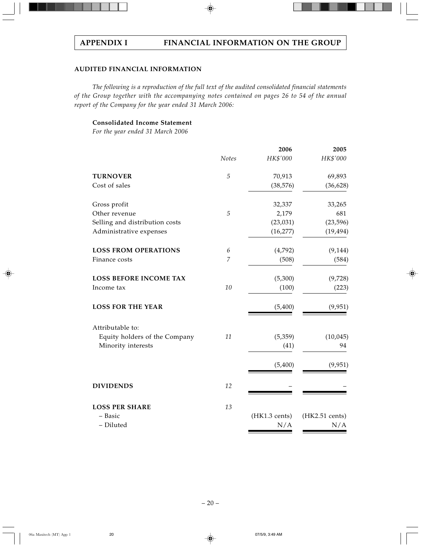# **AUDITED FINANCIAL INFORMATION**

*The following is a reproduction of the full text of the audited consolidated financial statements of the Group together with the accompanying notes contained on pages 26 to 54 of the annual report of the Company for the year ended 31 March 2006:*

# **Consolidated Income Statement**

*For the year ended 31 March 2006*

|                                |                | 2006          | 2005           |
|--------------------------------|----------------|---------------|----------------|
|                                | Notes          | HK\$'000      | HK\$'000       |
| <b>TURNOVER</b>                | $\sqrt{5}$     | 70,913        | 69,893         |
| Cost of sales                  |                | (38, 576)     | (36, 628)      |
| Gross profit                   |                | 32,337        | 33,265         |
| Other revenue                  | $\sqrt{5}$     | 2,179         | 681            |
| Selling and distribution costs |                | (23, 031)     | (23, 596)      |
| Administrative expenses        |                | (16, 277)     | (19, 494)      |
| <b>LOSS FROM OPERATIONS</b>    | 6              | (4,792)       | (9, 144)       |
| Finance costs                  | $\overline{7}$ | (508)         | (584)          |
| <b>LOSS BEFORE INCOME TAX</b>  |                | (5,300)       | (9,728)        |
| Income tax                     | 10             | (100)         | (223)          |
| <b>LOSS FOR THE YEAR</b>       |                | (5,400)       | (9,951)        |
| Attributable to:               |                |               |                |
| Equity holders of the Company  | 11             | (5,359)       | (10, 045)      |
| Minority interests             |                | (41)          | 94             |
|                                |                | (5,400)       | (9,951)        |
| <b>DIVIDENDS</b>               | 12             |               |                |
| <b>LOSS PER SHARE</b>          | 13             |               |                |
| - Basic                        |                | (HK1.3 cents) | (HK2.51 cents) |
| - Diluted                      |                | N/A           | N/A            |
|                                |                |               |                |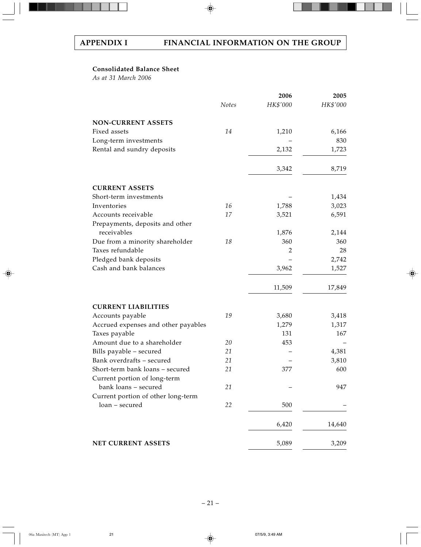## **Consolidated Balance Sheet**

*As at 31 March 2006*

|                                     |       | 2006     | 2005     |
|-------------------------------------|-------|----------|----------|
|                                     | Notes | HK\$'000 | HK\$'000 |
| <b>NON-CURRENT ASSETS</b>           |       |          |          |
| Fixed assets                        | 14    | 1,210    | 6,166    |
| Long-term investments               |       |          | 830      |
| Rental and sundry deposits          |       | 2,132    | 1,723    |
|                                     |       | 3,342    | 8,719    |
| <b>CURRENT ASSETS</b>               |       |          |          |
| Short-term investments              |       |          | 1,434    |
| Inventories                         | 16    | 1,788    | 3,023    |
| Accounts receivable                 | 17    | 3,521    | 6,591    |
| Prepayments, deposits and other     |       |          |          |
| receivables                         |       | 1,876    | 2,144    |
| Due from a minority shareholder     | 18    | 360      | 360      |
| Taxes refundable                    |       | 2        | 28       |
| Pledged bank deposits               |       |          | 2,742    |
| Cash and bank balances              |       | 3,962    | 1,527    |
|                                     |       |          |          |
|                                     |       | 11,509   | 17,849   |
| <b>CURRENT LIABILITIES</b>          |       |          |          |
| Accounts payable                    | 19    | 3,680    | 3,418    |
| Accrued expenses and other payables |       | 1,279    | 1,317    |
| Taxes payable                       |       | 131      | 167      |
| Amount due to a shareholder         | 20    | 453      |          |
| Bills payable - secured             | 21    |          | 4,381    |
| Bank overdrafts - secured           | 21    |          | 3,810    |
| Short-term bank loans - secured     | 21    | 377      | 600      |
| Current portion of long-term        |       |          |          |
| bank loans - secured                | 21    |          | 947      |
| Current portion of other long-term  |       |          |          |
| loan - secured                      | 22    | 500      |          |
|                                     |       | 6,420    | 14,640   |
| NET CURRENT ASSETS                  |       | 5,089    | 3,209    |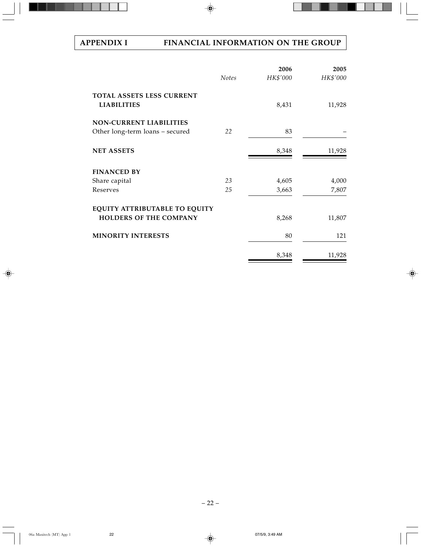# **APPENDIX I FINANCIAL INFORMATION ON THE GROUP**

|                                                                   | <b>Notes</b> | 2006<br>HK\$'000 | 2005<br>HK\$'000 |
|-------------------------------------------------------------------|--------------|------------------|------------------|
| <b>TOTAL ASSETS LESS CURRENT</b><br><b>LIABILITIES</b>            |              | 8,431            | 11,928           |
| <b>NON-CURRENT LIABILITIES</b><br>Other long-term loans - secured | 22           | 83               |                  |
| <b>NET ASSETS</b>                                                 |              | 8,348            | 11,928           |
| <b>FINANCED BY</b>                                                |              |                  |                  |
| Share capital                                                     | 23           | 4,605            | 4,000            |
| Reserves                                                          | 25           | 3,663            | 7,807            |
| EQUITY ATTRIBUTABLE TO EQUITY<br><b>HOLDERS OF THE COMPANY</b>    |              | 8,268            | 11,807           |
| <b>MINORITY INTERESTS</b>                                         |              | 80               | 121              |
|                                                                   |              | 8,348            | 11,928           |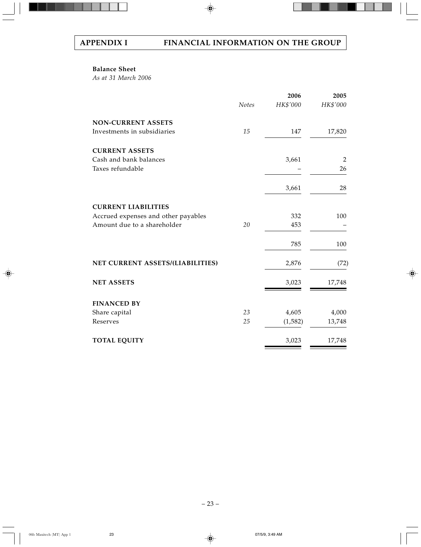## **Balance Sheet**

*As at 31 March 2006*

|                                     |       | 2006     | 2005     |
|-------------------------------------|-------|----------|----------|
|                                     | Notes | HK\$'000 | HK\$'000 |
| <b>NON-CURRENT ASSETS</b>           |       |          |          |
| Investments in subsidiaries         | 15    | 147      | 17,820   |
| <b>CURRENT ASSETS</b>               |       |          |          |
| Cash and bank balances              |       | 3,661    | 2        |
| Taxes refundable                    |       |          | 26       |
|                                     |       | 3,661    | 28       |
| <b>CURRENT LIABILITIES</b>          |       |          |          |
| Accrued expenses and other payables |       | 332      | 100      |
| Amount due to a shareholder         | 20    | 453      |          |
|                                     |       | 785      | 100      |
| NET CURRENT ASSETS/(LIABILITIES)    |       | 2,876    | (72)     |
| <b>NET ASSETS</b>                   |       | 3,023    | 17,748   |
| <b>FINANCED BY</b>                  |       |          |          |
| Share capital                       | 23    | 4,605    | 4,000    |
| Reserves                            | 25    | (1,582)  | 13,748   |
| <b>TOTAL EQUITY</b>                 |       | 3,023    | 17,748   |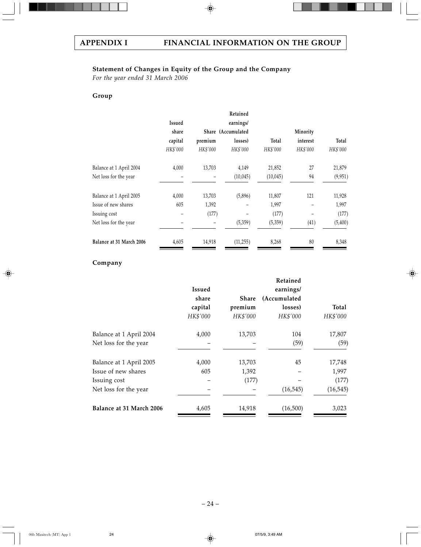# **Statement of Changes in Equity of the Group and the Company**

*For the year ended 31 March 2006*

# **Group**

|                          |          |          | Retained           |          |          |          |
|--------------------------|----------|----------|--------------------|----------|----------|----------|
|                          | Issued   |          | earnings/          |          |          |          |
|                          | share    |          | Share (Accumulated |          | Minority |          |
|                          | capital  | premium  | losses)            | Total    | interest | Total    |
|                          | HK\$'000 | HK\$'000 | HK\$'000           | HK\$'000 | HK\$'000 | HK\$'000 |
| Balance at 1 April 2004  | 4,000    | 13,703   | 4,149              | 21,852   | 27       | 21,879   |
| Net loss for the year    |          |          | (10,045)           | (10,045) | 94       | (9,951)  |
| Balance at 1 April 2005  | 4,000    | 13,703   | (5,896)            | 11,807   | 121      | 11,928   |
| Issue of new shares      | 605      | 1,392    |                    | 1,997    |          | 1,997    |
| Issuing cost             |          | (177)    |                    | (177)    |          | (177)    |
| Net loss for the year    |          |          | (5,359)            | (5,359)  | (41)     | (5,400)  |
| Balance at 31 March 2006 | 4,605    | 14,918   | (11, 255)          | 8,268    | 80       | 8,348    |

## **Company**

|               |          | Retained     |           |
|---------------|----------|--------------|-----------|
| <b>Issued</b> |          | earnings/    |           |
| share         | Share    | (Accumulated |           |
| capital       | premium  | losses)      | Total     |
| HK\$'000      | HK\$'000 | HK\$'000     | HK\$'000  |
| 4,000         | 13,703   | 104          | 17,807    |
|               |          | (59)         | (59)      |
| 4,000         | 13,703   | 45           | 17,748    |
| 605           | 1,392    |              | 1,997     |
|               | (177)    |              | (177)     |
|               |          | (16, 545)    | (16, 545) |
| 4,605         | 14,918   | (16,500)     | 3,023     |
|               |          |              |           |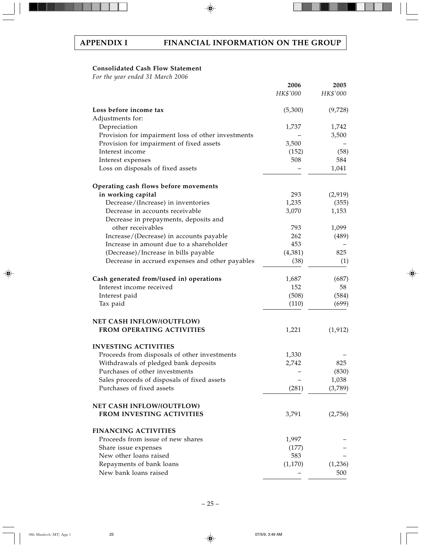## **Consolidated Cash Flow Statement**

*For the year ended 31 March 2006*

|                                                    | 2006<br>HK\$'000 | 2005<br>HK\$'000 |
|----------------------------------------------------|------------------|------------------|
| Loss before income tax                             | (5,300)          | (9,728)          |
| Adjustments for:                                   |                  |                  |
| Depreciation                                       | 1,737            | 1,742            |
| Provision for impairment loss of other investments |                  | 3,500            |
| Provision for impairment of fixed assets           | 3,500            |                  |
| Interest income                                    | (152)            | (58)             |
| Interest expenses                                  | 508              | 584              |
| Loss on disposals of fixed assets                  |                  | 1,041            |
| Operating cash flows before movements              |                  |                  |
| in working capital                                 | 293              | (2,919)          |
| Decrease/(Increase) in inventories                 | 1,235            | (355)            |
| Decrease in accounts receivable                    | 3,070            | 1,153            |
| Decrease in prepayments, deposits and              |                  |                  |
| other receivables                                  | 793              | 1,099            |
| Increase/(Decrease) in accounts payable            | 262              | (489)            |
| Increase in amount due to a shareholder            | 453              |                  |
| (Decrease)/Increase in bills payable               | (4,381)          | 825              |
| Decrease in accrued expenses and other payables    | (38)             | (1)              |
| Cash generated from/(used in) operations           | 1,687            | (687)            |
| Interest income received                           | 152              | 58               |
| Interest paid                                      | (508)            | (584)            |
| Tax paid                                           | (110)            | (699)            |
| NET CASH INFLOW/(OUTFLOW)                          |                  |                  |
| <b>FROM OPERATING ACTIVITIES</b>                   | 1,221            | (1, 912)         |
| <b>INVESTING ACTIVITIES</b>                        |                  |                  |
| Proceeds from disposals of other investments       | 1,330            |                  |
| Withdrawals of pledged bank deposits               | 2,742            | 825              |
| Purchases of other investments                     |                  | (830)            |
| Sales proceeds of disposals of fixed assets        |                  | 1,038            |
| Purchases of fixed assets                          | (281)            | (3,789)          |
| <b>NET CASH INFLOW/(OUTFLOW)</b>                   |                  |                  |
| FROM INVESTING ACTIVITIES                          | 3,791            | (2,756)          |
| <b>FINANCING ACTIVITIES</b>                        |                  |                  |
| Proceeds from issue of new shares                  | 1,997            |                  |
| Share issue expenses                               | (177)            |                  |
| New other loans raised                             | 583              |                  |
| Repayments of bank loans                           | (1,170)          | (1,236)          |
| New bank loans raised                              |                  | 500              |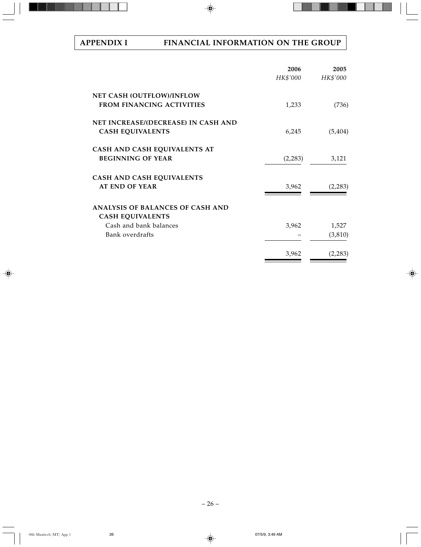# **APPENDIX I FINANCIAL INFORMATION ON THE GROUP**

|                                                                    | 2006<br>HK\$'000 | 2005<br>HK\$'000 |
|--------------------------------------------------------------------|------------------|------------------|
| NET CASH (OUTFLOW)/INFLOW                                          |                  |                  |
| <b>FROM FINANCING ACTIVITIES</b>                                   | 1,233            | (736)            |
| NET INCREASE/(DECREASE) IN CASH AND                                |                  |                  |
| <b>CASH EQUIVALENTS</b>                                            | 6,245            | (5, 404)         |
| CASH AND CASH EQUIVALENTS AT                                       |                  |                  |
| <b>BEGINNING OF YEAR</b>                                           | (2,283)          | 3,121            |
| CASH AND CASH EQUIVALENTS                                          |                  |                  |
| <b>AT END OF YEAR</b>                                              | 3,962            | (2,283)          |
| <b>ANALYSIS OF BALANCES OF CASH AND</b><br><b>CASH EQUIVALENTS</b> |                  |                  |
| Cash and bank balances                                             | 3,962            | 1,527            |
| Bank overdrafts                                                    |                  | (3, 810)         |
|                                                                    | 3,962            | (2,283)          |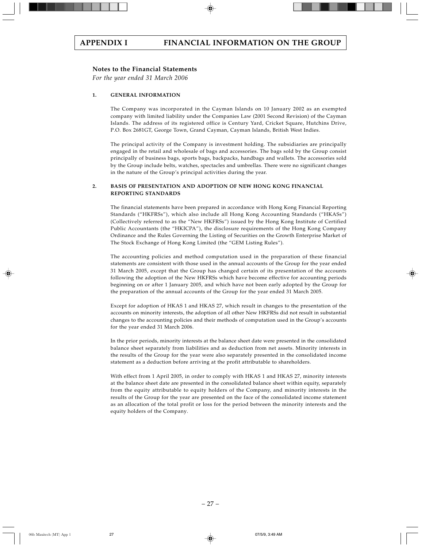### **Notes to the Financial Statements**

*For the year ended 31 March 2006*

#### **1. GENERAL INFORMATION**

The Company was incorporated in the Cayman Islands on 10 January 2002 as an exempted company with limited liability under the Companies Law (2001 Second Revision) of the Cayman Islands. The address of its registered office is Century Yard, Cricket Square, Hutchins Drive, P.O. Box 2681GT, George Town, Grand Cayman, Cayman Islands, British West Indies.

The principal activity of the Company is investment holding. The subsidiaries are principally engaged in the retail and wholesale of bags and accessories. The bags sold by the Group consist principally of business bags, sports bags, backpacks, handbags and wallets. The accessories sold by the Group include belts, watches, spectacles and umbrellas. There were no significant changes in the nature of the Group's principal activities during the year.

#### **2. BASIS OF PRESENTATION AND ADOPTION OF NEW HONG KONG FINANCIAL REPORTING STANDARDS**

The financial statements have been prepared in accordance with Hong Kong Financial Reporting Standards ("HKFRSs"), which also include all Hong Kong Accounting Standards ("HKASs") (Collectively referred to as the "New HKFRSs") issued by the Hong Kong Institute of Certified Public Accountants (the "HKICPA"), the disclosure requirements of the Hong Kong Company Ordinance and the Rules Governing the Listing of Securities on the Growth Enterprise Market of The Stock Exchange of Hong Kong Limited (the "GEM Listing Rules").

The accounting policies and method computation used in the preparation of these financial statements are consistent with those used in the annual accounts of the Group for the year ended 31 March 2005, except that the Group has changed certain of its presentation of the accounts following the adoption of the New HKFRSs which have become effective for accounting periods beginning on or after 1 January 2005, and which have not been early adopted by the Group for the preparation of the annual accounts of the Group for the year ended 31 March 2005.

Except for adoption of HKAS 1 and HKAS 27, which result in changes to the presentation of the accounts on minority interests, the adoption of all other New HKFRSs did not result in substantial changes to the accounting policies and their methods of computation used in the Group's accounts for the year ended 31 March 2006.

In the prior periods, minority interests at the balance sheet date were presented in the consolidated balance sheet separately from liabilities and as deduction from net assets. Minority interests in the results of the Group for the year were also separately presented in the consolidated income statement as a deduction before arriving at the profit attributable to shareholders.

With effect from 1 April 2005, in order to comply with HKAS 1 and HKAS 27, minority interests at the balance sheet date are presented in the consolidated balance sheet within equity, separately from the equity attributable to equity holders of the Company, and minority interests in the results of the Group for the year are presented on the face of the consolidated income statement as an allocation of the total profit or loss for the period between the minority interests and the equity holders of the Company.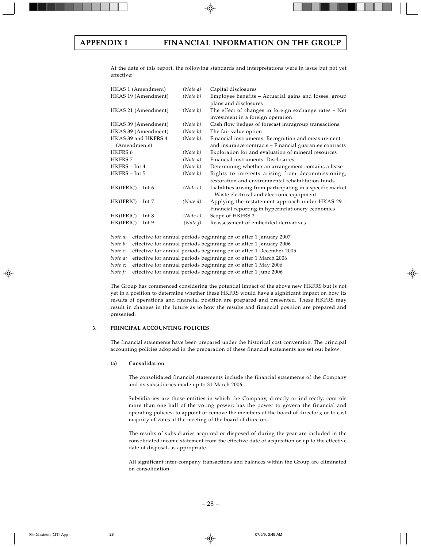At the date of this report, the following standards and interpretations were in issue but not yet effective:

| HKAS 1 (Amendment)  | (Note a) | Capital disclosures                                         |
|---------------------|----------|-------------------------------------------------------------|
| HKAS 19 (Amendment) | (Note b) | Employee benefits - Actuarial gains and losses, group       |
|                     |          | plans and disclosures                                       |
| HKAS 21 (Amendment) | (Note b) | The effect of changes in foreign exchange rates - Net       |
|                     |          | investment in a foreign operation                           |
| HKAS 39 (Amendment) | (Note b) | Cash flow hedges of forecast intragroup transactions        |
| HKAS 39 (Amendment) | (Note b) | The fair value option                                       |
| HKAS 39 and HKFRS 4 | (Note b) | Financial instruments: Recognition and measurement          |
| (Amendments)        |          | and insurance contracts – Financial guarantee contracts     |
| <b>HKFRS 6</b>      | (Note b) | Exploration for and evaluation of mineral resources         |
| <b>HKFRS 7</b>      | (Note a) | Financial instruments: Disclosures                          |
| HKFRS - Int 4       | (Note b) | Determining whether an arrangement contains a lease         |
| HKFRS - Int 5       | (Note b) | Rights to interests arising from decommissioning,           |
|                     |          | restoration and environmental rehabilitation funds          |
| $HK(IFRIC) - Int 6$ | (Note c) | Liabilities arising from participating in a specific market |
|                     |          | - Waste electrical and electronic equipment                 |
| $HK(IFRIC) - Int 7$ | (Note d) | Applying the restatement approach under HKAS 29 -           |
|                     |          | Financial reporting in hyperinflationery economies          |
| $HK(IFRIC) - Int 8$ | (Notee)  | Scope of HKFRS 2                                            |
| $HK(IFRIC) - Int 9$ | (Note f) | Reassessment of embedded derivatives                        |
|                     |          |                                                             |

*Note a:* effective for annual periods beginning on or after 1 January 2007

*Note b:* effective for annual periods beginning on or after 1 January 2006

*Note c:* effective for annual periods beginning on or after 1 December 2005

*Note d:* effective for annual periods beginning on or after 1 March 2006

*Note e:* effective for annual periods beginning on or after 1 May 2006

*Note f:* effective for annual periods beginning on or after 1 June 2006

The Group has commenced considering the potential impact of the above new HKFRS but is not yet in a position to determine whether these HKFRS would have a significant impact on how its results of operations and financial position are prepared and presented. These HKFRS may result in changes in the future as to how the results and financial position are prepared and presented.

#### **3. PRINCIPAL ACCOUNTING POLICIES**

The financial statements have been prepared under the historical cost convention. The principal accounting policies adopted in the preparation of these financial statements are set out below:

#### **(a) Consolidation**

The consolidated financial statements include the financial statements of the Company and its subsidiaries made up to 31 March 2006.

Subsidiaries are those entities in which the Company, directly or indirectly, controls more than one half of the voting power; has the power to govern the financial and operating policies; to appoint or remove the members of the board of directors; or to cast majority of votes at the meeting of the board of directors.

The results of subsidiaries acquired or disposed of during the year are included in the consolidated income statement from the effective date of acquisition or up to the effective date of disposal, as appropriate.

All significant inter-company transactions and balances within the Group are eliminated on consolidation.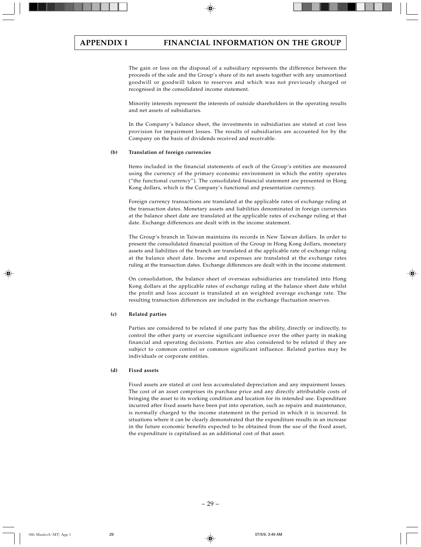The gain or loss on the disposal of a subsidiary represents the difference between the proceeds of the sale and the Group's share of its net assets together with any unamortised goodwill or goodwill taken to reserves and which was not previously charged or recognised in the consolidated income statement.

Minority interests represent the interests of outside shareholders in the operating results and net assets of subsidiaries.

In the Company's balance sheet, the investments in subsidiaries are stated at cost less provision for impairment losses. The results of subsidiaries are accounted for by the Company on the basis of dividends received and receivable.

#### **(b) Translation of foreign currencies**

Items included in the financial statements of each of the Group's entities are measured using the currency of the primary economic environment in which the entity operates ("the functional currency"). The consolidated financial statement are presented in Hong Kong dollars, which is the Company's functional and presentation currency.

Foreign currency transactions are translated at the applicable rates of exchange ruling at the transaction dates. Monetary assets and liabilities denominated in foreign currencies at the balance sheet date are translated at the applicable rates of exchange ruling at that date. Exchange differences are dealt with in the income statement.

The Group's branch in Taiwan maintains its records in New Taiwan dollars. In order to present the consolidated financial position of the Group in Hong Kong dollars, monetary assets and liabilities of the branch are translated at the applicable rate of exchange ruling at the balance sheet date. Income and expenses are translated at the exchange rates ruling at the transaction dates. Exchange differences are dealt with in the income statement.

On consolidation, the balance sheet of overseas subsidiaries are translated into Hong Kong dollars at the applicable rates of exchange ruling at the balance sheet date whilst the profit and loss account is translated at an weighted average exchange rate. The resulting transaction differences are included in the exchange fluctuation reserves.

#### **(c) Related parties**

Parties are considered to be related if one party has the ability, directly or indirectly, to control the other party or exercise significant influence over the other party in making financial and operating decisions. Parties are also considered to be related if they are subject to common control or common significant influence. Related parties may be individuals or corporate entities.

#### **(d) Fixed assets**

Fixed assets are stated at cost less accumulated depreciation and any impairment losses. The cost of an asset comprises its purchase price and any directly attributable costs of bringing the asset to its working condition and location for its intended use. Expenditure incurred after fixed assets have been put into operation, such as repairs and maintenance, is normally charged to the income statement in the period in which it is incurred. In situations where it can be clearly demonstrated that the expenditure results in an increase in the future economic benefits expected to be obtained from the use of the fixed asset, the expenditure is capitalised as an additional cost of that asset.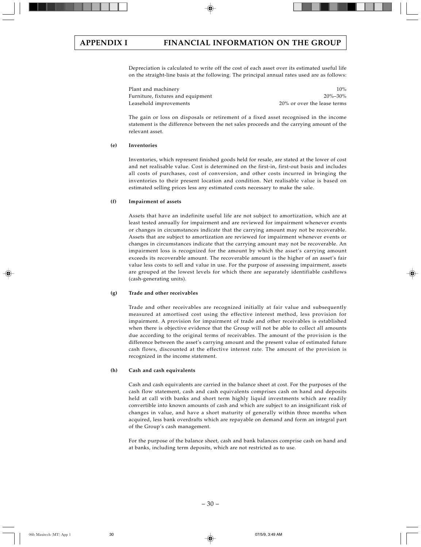# **APPENDIX I FINANCIAL INFORMATION ON THE GROUP**

Depreciation is calculated to write off the cost of each asset over its estimated useful life on the straight-line basis at the following. The principal annual rates used are as follows:

Plant and machinery 10% and the state of the state of the state of the state of the state of the state of the state of the state of the state of the state of the state of the state of the state of the state of the state of Furniture, fixtures and equipment 20%–30% Leasehold improvements 20% or over the lease terms

The gain or loss on disposals or retirement of a fixed asset recognised in the income statement is the difference between the net sales proceeds and the carrying amount of the relevant asset.

#### **(e) Inventories**

Inventories, which represent finished goods held for resale, are stated at the lower of cost and net realisable value. Cost is determined on the first-in, first-out basis and includes all costs of purchases, cost of conversion, and other costs incurred in bringing the inventories to their present location and condition. Net realisable value is based on estimated selling prices less any estimated costs necessary to make the sale.

#### **(f) Impairment of assets**

Assets that have an indefinite useful life are not subject to amortization, which are at least tested annually for impairment and are reviewed for impairment whenever events or changes in circumstances indicate that the carrying amount may not be recoverable. Assets that are subject to amortization are reviewed for impairment whenever events or changes in circumstances indicate that the carrying amount may not be recoverable. An impairment loss is recognized for the amount by which the asset's carrying amount exceeds its recoverable amount. The recoverable amount is the higher of an asset's fair value less costs to sell and value in use. For the purpose of assessing impairment, assets are grouped at the lowest levels for which there are separately identifiable cashflows (cash-generating units).

#### **(g) Trade and other receivables**

Trade and other receivables are recognized initially at fair value and subsequently measured at amortised cost using the effective interest method, less provision for impairment. A provision for impairment of trade and other receivables is established when there is objective evidence that the Group will not be able to collect all amounts due according to the original terms of receivables. The amount of the provision is the difference between the asset's carrying amount and the present value of estimated future cash flows, discounted at the effective interest rate. The amount of the provision is recognized in the income statement.

#### **(h) Cash and cash equivalents**

Cash and cash equivalents are carried in the balance sheet at cost. For the purposes of the cash flow statement, cash and cash equivalents comprises cash on hand and deposits held at call with banks and short term highly liquid investments which are readily convertible into known amounts of cash and which are subject to an insignificant risk of changes in value, and have a short maturity of generally within three months when acquired, less bank overdrafts which are repayable on demand and form an integral part of the Group's cash management.

For the purpose of the balance sheet, cash and bank balances comprise cash on hand and at banks, including term deposits, which are not restricted as to use.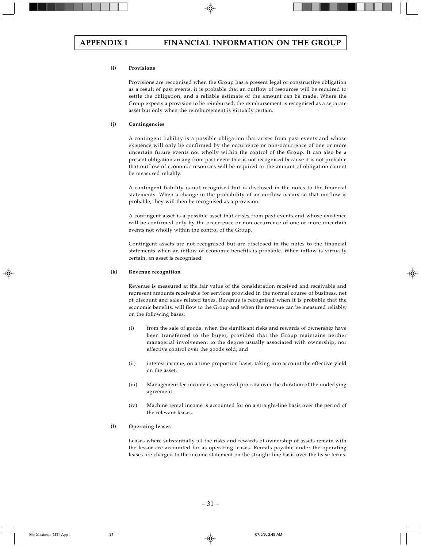#### **(i) Provisions**

Provisions are recognised when the Group has a present legal or constructive obligation as a result of past events, it is probable that an outflow of resources will be required to settle the obligation, and a reliable estimate of the amount can be made. Where the Group expects a provision to be reimbursed, the reimbursement is recognised as a separate asset but only when the reimbursement is virtually certain.

#### **(j) Contingencies**

A contingent liability is a possible obligation that arises from past events and whose existence will only be confirmed by the occurrence or non-occurrence of one or more uncertain future events not wholly within the control of the Group. It can also be a present obligation arising from past event that is not recognised because it is not probable that outflow of economic resources will be required or the amount of obligation cannot be measured reliably.

A contingent liability is not recognised but is disclosed in the notes to the financial statements. When a change in the probability of an outflow occurs so that outflow is probable, they will then be recognised as a provision.

A contingent asset is a possible asset that arises from past events and whose existence will be confirmed only by the occurrence or non-occurrence of one or more uncertain events not wholly within the control of the Group.

Contingent assets are not recognised but are disclosed in the notes to the financial statements when an inflow of economic benefits is probable. When inflow is virtually certain, an asset is recognised.

#### **(k) Revenue recognition**

Revenue is measured at the fair value of the consideration received and receivable and represent amounts receivable for services provided in the normal course of business, net of discount and sales related taxes. Revenue is recognised when it is probable that the economic benefits, will flow to the Group and when the revenue can be measured reliably, on the following bases:

- (i) from the sale of goods, when the significant risks and rewards of ownership have been transferred to the buyer, provided that the Group maintains neither managerial involvement to the degree usually associated with ownership, nor effective control over the goods sold; and
- (ii) interest income, on a time proportion basis, taking into account the effective yield on the asset.
- (iii) Management fee income is recognized pro-rata over the duration of the underlying agreement.
- (iv) Machine rental income is accounted for on a straight-line basis over the period of the relevant leases.

#### **(l) Operating leases**

Leases where substantially all the risks and rewards of ownership of assets remain with the lessor are accounted for as operating leases. Rentals payable under the operating leases are charged to the income statement on the straight-line basis over the lease terms.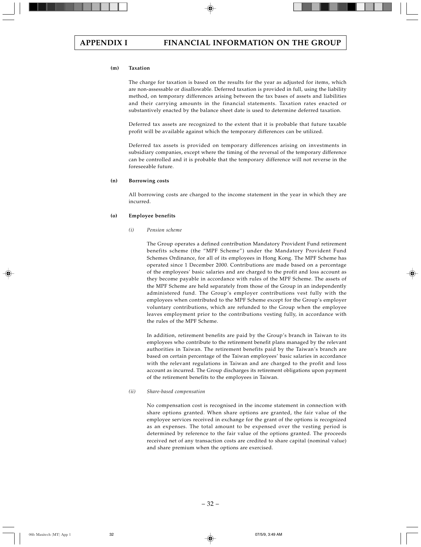#### **(m) Taxation**

The charge for taxation is based on the results for the year as adjusted for items, which are non-assessable or disallowable. Deferred taxation is provided in full, using the liability method, on temporary differences arising between the tax bases of assets and liabilities and their carrying amounts in the financial statements. Taxation rates enacted or substantively enacted by the balance sheet date is used to determine deferred taxation.

Deferred tax assets are recognized to the extent that it is probable that future taxable profit will be available against which the temporary differences can be utilized.

Deferred tax assets is provided on temporary differences arising on investments in subsidiary companies, except where the timing of the reversal of the temporary difference can be controlled and it is probable that the temporary difference will not reverse in the foreseeable future.

#### **(n) Borrowing costs**

All borrowing costs are charged to the income statement in the year in which they are incurred.

#### **(o) Employee benefits**

#### *(i) Pension scheme*

The Group operates a defined contribution Mandatory Provident Fund retirement benefits scheme (the "MPF Scheme") under the Mandatory Provident Fund Schemes Ordinance, for all of its employees in Hong Kong. The MPF Scheme has operated since 1 December 2000. Contributions are made based on a percentage of the employees' basic salaries and are charged to the profit and loss account as they become payable in accordance with rules of the MPF Scheme. The assets of the MPF Scheme are held separately from those of the Group in an independently administered fund. The Group's employer contributions vest fully with the employees when contributed to the MPF Scheme except for the Group's employer voluntary contributions, which are refunded to the Group when the employee leaves employment prior to the contributions vesting fully, in accordance with the rules of the MPF Scheme.

In addition, retirement benefits are paid by the Group's branch in Taiwan to its employees who contribute to the retirement benefit plans managed by the relevant authorities in Taiwan. The retirement benefits paid by the Taiwan's branch are based on certain percentage of the Taiwan employees' basic salaries in accordance with the relevant regulations in Taiwan and are charged to the profit and loss account as incurred. The Group discharges its retirement obligations upon payment of the retirement benefits to the employees in Taiwan.

#### *(ii) Share-based compensation*

No compensation cost is recognised in the income statement in connection with share options granted. When share options are granted, the fair value of the employee services received in exchange for the grant of the options is recognized as an expenses. The total amount to be expensed over the vesting period is determined by reference to the fair value of the options granted. The proceeds received net of any transaction costs are credited to share capital (nominal value) and share premium when the options are exercised.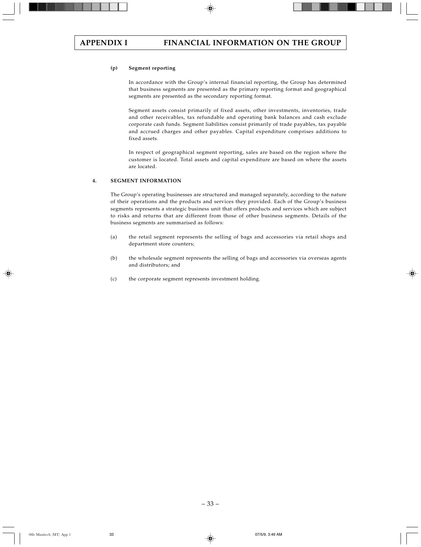#### **(p) Segment reporting**

In accordance with the Group's internal financial reporting, the Group has determined that business segments are presented as the primary reporting format and geographical segments are presented as the secondary reporting format.

Segment assets consist primarily of fixed assets, other investments, inventories, trade and other receivables, tax refundable and operating bank balances and cash exclude corporate cash funds. Segment liabilities consist primarily of trade payables, tax payable and accrued charges and other payables. Capital expenditure comprises additions to fixed assets.

In respect of geographical segment reporting, sales are based on the region where the customer is located. Total assets and capital expenditure are based on where the assets are located.

#### **4. SEGMENT INFORMATION**

The Group's operating businesses are structured and managed separately, according to the nature of their operations and the products and services they provided. Each of the Group's business segments represents a strategic business unit that offers products and services which are subject to risks and returns that are different from those of other business segments. Details of the business segments are summarised as follows:

- (a) the retail segment represents the selling of bags and accessories via retail shops and department store counters;
- (b) the wholesale segment represents the selling of bags and accessories via overseas agents and distributors; and
- (c) the corporate segment represents investment holding.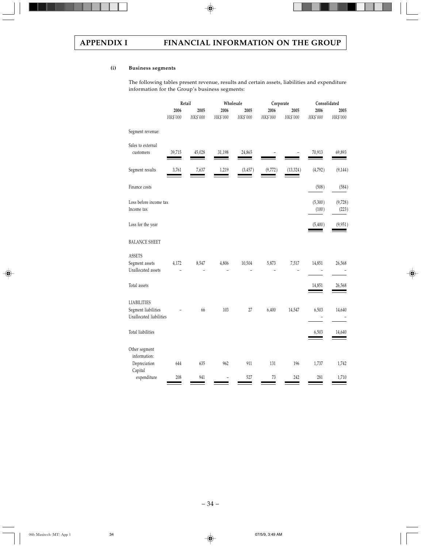# **(i) Business segments**

The following tables present revenue, results and certain assets, liabilities and expenditure information for the Group's business segments:

|                                                                      | Retail           |                  |                  | Wholesale        | Corporate        |                  | Consolidated     |                  |
|----------------------------------------------------------------------|------------------|------------------|------------------|------------------|------------------|------------------|------------------|------------------|
|                                                                      | 2006<br>HK\$'000 | 2005<br>HK\$'000 | 2006<br>HK\$'000 | 2005<br>HK\$'000 | 2006<br>HK\$'000 | 2005<br>HK\$'000 | 2006<br>HK\$'000 | 2005<br>HK\$'000 |
| Segment revenue:                                                     |                  |                  |                  |                  |                  |                  |                  |                  |
| Sales to external<br>customers                                       | 39,715           | 45,028           | 31,198           | 24,865           |                  |                  | 70,913           | 69,893           |
| Segment results                                                      | 3,761            | 7,637            | 1,219            | (3, 457)         | (9,772)          | (13, 324)        | (4,792)          | (9, 144)         |
| Finance costs                                                        |                  |                  |                  |                  |                  |                  | (508)            | (584)            |
| Loss before income tax<br>Income tax                                 |                  |                  |                  |                  |                  |                  | (5,300)<br>(100) | (9,728)<br>(223) |
| Loss for the year                                                    |                  |                  |                  |                  |                  |                  | (5,400)          | (9,951)          |
| <b>BALANCE SHEET</b>                                                 |                  |                  |                  |                  |                  |                  |                  |                  |
| <b>ASSETS</b><br>Segment assets<br>Unallocated assets                | 4,172            | 8,547            | 4,806            | 10,504           | 5,873            | 7,517            | 14,851           | 26,568           |
| Total assets                                                         |                  |                  |                  |                  |                  |                  | 14,851           | 26,568           |
| <b>LIABILITIES</b><br>Segment liabilities<br>Unallocated liabilities |                  | 66               | 103              | $27\,$           | 6,400            | 14,547           | 6,503            | 14,640           |
| Total liabilities                                                    |                  |                  |                  |                  |                  |                  | 6,503            | 14,640           |
| Other segment<br>information:<br>Depreciation                        | 644              | 635              | 962              | 911              | 131              | 196              | 1,737            | 1,742            |
| Capital<br>expenditure                                               | 208              | 941              |                  | 527              | $73\,$           | 242              | 281              | 1,710            |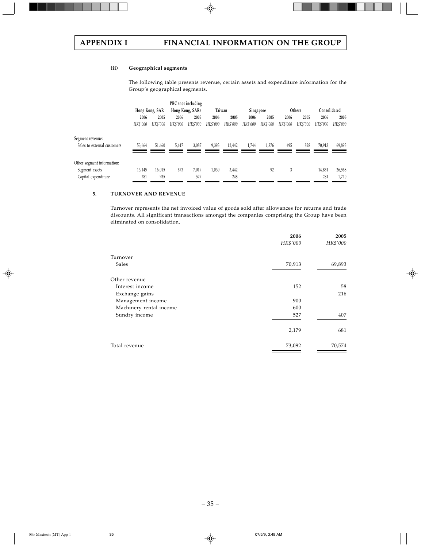# **(ii) Geographical segments**

The following table presents revenue, certain assets and expenditure information for the Group's geographical segments.

|                             |          |                |          | PRC (not including |                          |          |           |          |          |          |              |          |
|-----------------------------|----------|----------------|----------|--------------------|--------------------------|----------|-----------|----------|----------|----------|--------------|----------|
|                             |          | Hong Kong, SAR |          | Hong Kong, SAR)    | Taiwan                   |          | Singapore |          |          | Others   | Consolidated |          |
|                             | 2006     | 2005           | 2006     | 2005               | 2006                     | 2005     | 2006      | 2005     | 2006     | 2005     | 2006         | 2005     |
|                             | HK\$'000 | HK\$'000       | HK\$'000 | HK\$'000           | HK\$'000                 | HK\$'000 | HK\$'000  | HK\$'000 | HK\$'000 | HK\$'000 | HK\$'000     | HK\$'000 |
| Segment revenue:            |          |                |          |                    |                          |          |           |          |          |          |              |          |
| Sales to external customers | 53,664   | 51.660         | 5,617    | 3,087              | 9,393                    | 12.442   | 1.744     | 1,876    | 495      | 828      | 70,913       | 69,893   |
|                             |          |                |          |                    |                          |          |           |          |          |          |              |          |
| Other segment information:  |          |                |          |                    |                          |          |           |          |          |          |              |          |
| Segment assets              | 13,145   | 16.015         | 673      | 7.019              | 1,030                    | 3,442    | -         | 92       | 3        | -        | 14,851       | 26,568   |
| Capital expenditure         | 281      | 935            | -        | 527                | $\overline{\phantom{0}}$ | 248      | -         |          |          | -        | 281          | 1,710    |
|                             |          |                |          |                    |                          |          |           |          |          |          |              |          |

### **5. TURNOVER AND REVENUE**

Turnover represents the net invoiced value of goods sold after allowances for returns and trade discounts. All significant transactions amongst the companies comprising the Group have been eliminated on consolidation.

| 2006<br>HK\$'000 | 2005<br>HK\$'000 |
|------------------|------------------|
|                  |                  |
| 70,913           | 69,893           |
|                  |                  |
| 152              | 58               |
|                  | 216              |
| 900              |                  |
| 600              |                  |
| 527              | 407              |
| 2,179            | 681              |
| 73,092           | 70,574           |
|                  |                  |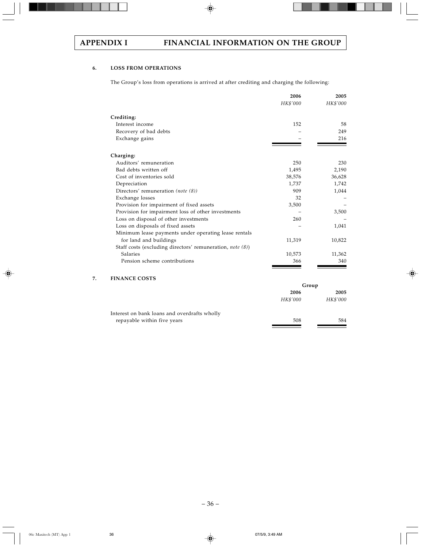# **6. LOSS FROM OPERATIONS**

The Group's loss from operations is arrived at after crediting and charging the following:

|                                                           | 2006<br>HK\$'000 | 2005<br>HK\$'000 |
|-----------------------------------------------------------|------------------|------------------|
| Crediting:                                                |                  |                  |
| Interest income                                           | 152              | 58               |
| Recovery of bad debts                                     |                  | 249              |
| Exchange gains                                            |                  | 216              |
| Charging:                                                 |                  |                  |
| Auditors' remuneration                                    | 250              | 230              |
| Bad debts written off                                     | 1,495            | 2,190            |
| Cost of inventories sold                                  | 38,576           | 36,628           |
| Depreciation                                              | 1,737            | 1,742            |
| Directors' remuneration (note (8))                        | 909              | 1,044            |
| Exchange losses                                           | 32               |                  |
| Provision for impairment of fixed assets                  | 3,500            |                  |
| Provision for impairment loss of other investments        |                  | 3,500            |
| Loss on disposal of other investments                     | 260              |                  |
| Loss on disposals of fixed assets                         |                  | 1,041            |
| Minimum lease payments under operating lease rentals      |                  |                  |
| for land and buildings                                    | 11,319           | 10,822           |
| Staff costs (excluding directors' remuneration, note (8)) |                  |                  |
| Salaries                                                  | 10,573           | 11,362           |
| Pension scheme contributions                              | 366              | 340              |

# **7. FINANCE COSTS**

|                                              | Group    |          |  |
|----------------------------------------------|----------|----------|--|
|                                              | 2006     | 2005     |  |
|                                              | HK\$'000 | HK\$'000 |  |
| Interest on bank loans and overdrafts wholly |          |          |  |
| repayable within five years                  | 508      | 584      |  |
|                                              |          |          |  |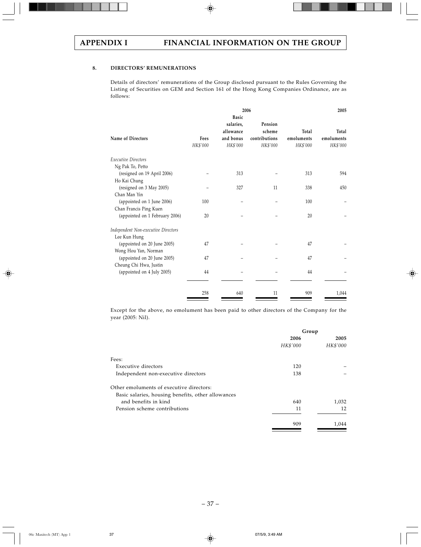# **8. DIRECTORS' REMUNERATIONS**

Details of directors' remunerations of the Group disclosed pursuant to the Rules Governing the Listing of Securities on GEM and Section 161 of the Hong Kong Companies Ordinance, are as follows:

|                  |                                                                 |                                                |                                 | 2005                            |
|------------------|-----------------------------------------------------------------|------------------------------------------------|---------------------------------|---------------------------------|
| Fees<br>HK\$'000 | <b>Basic</b><br>salaries,<br>allowance<br>and bonus<br>HK\$'000 | Pension<br>scheme<br>contributions<br>HK\$'000 | Total<br>emoluments<br>HK\$'000 | Total<br>emoluments<br>HK\$'000 |
|                  |                                                                 |                                                |                                 |                                 |
|                  |                                                                 |                                                |                                 |                                 |
|                  | 313                                                             |                                                | 313                             | 594                             |
|                  |                                                                 |                                                |                                 |                                 |
|                  | 327                                                             | 11                                             | 338                             | 450                             |
|                  |                                                                 |                                                |                                 |                                 |
| 100              |                                                                 |                                                | 100                             |                                 |
|                  |                                                                 |                                                |                                 |                                 |
| 20               |                                                                 |                                                | 20                              |                                 |
|                  |                                                                 |                                                |                                 |                                 |
|                  |                                                                 |                                                |                                 |                                 |
| 47               |                                                                 |                                                | 47                              |                                 |
|                  |                                                                 |                                                |                                 |                                 |
| 47               |                                                                 |                                                | 47                              |                                 |
|                  |                                                                 |                                                |                                 |                                 |
| 44               |                                                                 |                                                | 44                              |                                 |
|                  |                                                                 |                                                |                                 | 1,044                           |
|                  | 258                                                             | 640                                            | 2006<br>11                      | 909                             |

Except for the above, no emolument has been paid to other directors of the Company for the year (2005: Nil).

|                                                    | Group            |                  |
|----------------------------------------------------|------------------|------------------|
|                                                    | 2006<br>HK\$'000 | 2005<br>HK\$'000 |
| Fees:                                              |                  |                  |
| Executive directors                                | 120              |                  |
| Independent non-executive directors                | 138              |                  |
| Other emoluments of executive directors:           |                  |                  |
| Basic salaries, housing benefits, other allowances |                  |                  |
| and benefits in kind                               | 640              | 1,032            |
| Pension scheme contributions                       | 11               | 12               |
|                                                    | 909              | 1,044            |
|                                                    |                  |                  |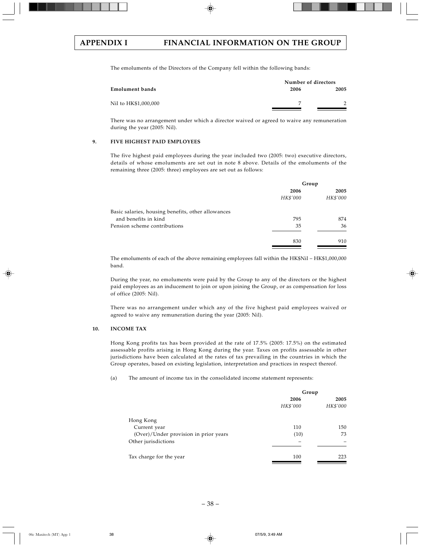The emoluments of the Directors of the Company fell within the following bands:

|                      |      | Number of directors |
|----------------------|------|---------------------|
| Emolument bands      | 2006 | 2005                |
| Nil to HK\$1,000,000 | 7    |                     |

There was no arrangement under which a director waived or agreed to waive any remuneration during the year (2005: Nil).

### **9. FIVE HIGHEST PAID EMPLOYEES**

The five highest paid employees during the year included two (2005: two) executive directors, details of whose emoluments are set out in note 8 above. Details of the emoluments of the remaining three (2005: three) employees are set out as follows:

|                                                    | Group    |          |
|----------------------------------------------------|----------|----------|
|                                                    | 2006     | 2005     |
|                                                    | HK\$'000 | HK\$'000 |
| Basic salaries, housing benefits, other allowances |          |          |
| and benefits in kind                               | 795      | 874      |
| Pension scheme contributions                       | 35       | 36       |
|                                                    | 830      | 910      |
|                                                    |          |          |

The emoluments of each of the above remaining employees fall within the HK\$Nil - HK\$1,000,000 band.

During the year, no emoluments were paid by the Group to any of the directors or the highest paid employees as an inducement to join or upon joining the Group, or as compensation for loss of office (2005: Nil).

There was no arrangement under which any of the five highest paid employees waived or agreed to waive any remuneration during the year (2005: Nil).

### **10. INCOME TAX**

Hong Kong profits tax has been provided at the rate of 17.5% (2005: 17.5%) on the estimated assessable profits arising in Hong Kong during the year. Taxes on profits assessable in other jurisdictions have been calculated at the rates of tax prevailing in the countries in which the Group operates, based on existing legislation, interpretation and practices in respect thereof.

(a) The amount of income tax in the consolidated income statement represents:

|                                       | Group    |          |  |
|---------------------------------------|----------|----------|--|
|                                       | 2006     | 2005     |  |
|                                       | HK\$'000 | HK\$'000 |  |
| Hong Kong                             |          |          |  |
| Current year                          | 110      | 150      |  |
| (Over)/Under provision in prior years | (10)     | 73       |  |
| Other jurisdictions                   |          |          |  |
| Tax charge for the year               | 100      | 223      |  |
|                                       |          |          |  |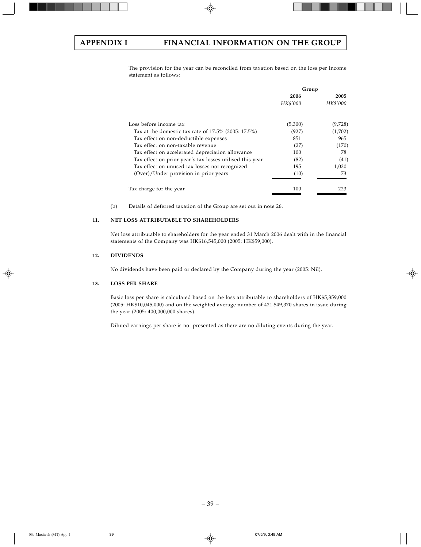The provision for the year can be reconciled from taxation based on the loss per income statement as follows:

|                                                          | Group            |                  |
|----------------------------------------------------------|------------------|------------------|
|                                                          | 2006<br>HK\$'000 | 2005<br>HK\$'000 |
| Loss before income tax                                   | (5,300)          | (9,728)          |
| Tax at the domestic tax rate of $17.5\%$ (2005: 17.5%)   | (927)            | (1,702)          |
| Tax effect on non-deductible expenses                    | 851              | 965              |
| Tax effect on non-taxable revenue                        | (27)             | (170)            |
| Tax effect on accelerated depreciation allowance         | 100              | 78               |
| Tax effect on prior year's tax losses utilised this year | (82)             | (41)             |
| Tax effect on unused tax losses not recognized           | 195              | 1,020            |
| (Over)/Under provision in prior years                    | (10)             | 73               |
| Tax charge for the year                                  | 100              | 223              |

(b) Details of deferred taxation of the Group are set out in note 26.

# **11. NET LOSS ATTRIBUTABLE TO SHAREHOLDERS**

Net loss attributable to shareholders for the year ended 31 March 2006 dealt with in the financial statements of the Company was HK\$16,545,000 (2005: HK\$59,000).

## **12. DIVIDENDS**

No dividends have been paid or declared by the Company during the year (2005: Nil).

## **13. LOSS PER SHARE**

Basic loss per share is calculated based on the loss attributable to shareholders of HK\$5,359,000 (2005: HK\$10,045,000) and on the weighted average number of 421,549,370 shares in issue during the year (2005: 400,000,000 shares).

Diluted earnings per share is not presented as there are no diluting events during the year.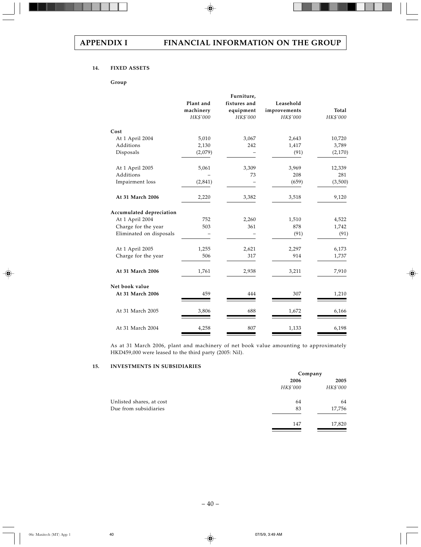# **14. FIXED ASSETS**

### **Group**

|                          |           | Furniture,   |              |          |
|--------------------------|-----------|--------------|--------------|----------|
|                          | Plant and | fixtures and | Leasehold    |          |
|                          | machinery | equipment    | improvements | Total    |
|                          | HK\$'000  | HK\$'000     | HK\$'000     | HK\$'000 |
| Cost                     |           |              |              |          |
| At 1 April 2004          | 5,010     | 3,067        | 2,643        | 10,720   |
| Additions                | 2,130     | 242          | 1,417        | 3,789    |
| Disposals                | (2,079)   |              | (91)         | (2,170)  |
| At 1 April 2005          | 5,061     | 3,309        | 3,969        | 12,339   |
| Additions                |           | 73           | 208          | 281      |
| Impairment loss          | (2,841)   |              | (659)        | (3,500)  |
| At 31 March 2006         | 2,220     | 3,382        | 3,518        | 9,120    |
| Accumulated depreciation |           |              |              |          |
| At 1 April 2004          | 752       | 2,260        | 1,510        | 4,522    |
| Charge for the year      | 503       | 361          | 878          | 1,742    |
| Eliminated on disposals  |           |              | (91)         | (91)     |
| At 1 April 2005          | 1,255     | 2,621        | 2,297        | 6,173    |
| Charge for the year      | 506       | 317          | 914          | 1,737    |
| At 31 March 2006         | 1,761     | 2,938        | 3,211        | 7,910    |
| Net book value           |           |              |              |          |
| At 31 March 2006         | 459       | 444          | 307          | 1,210    |
| At 31 March 2005         | 3,806     | 688          | 1,672        | 6,166    |
| At 31 March 2004         | 4,258     | 807          | 1,133        | 6,198    |

As at 31 March 2006, plant and machinery of net book value amounting to approximately HKD459,000 were leased to the third party (2005: Nil).

# **15. INVESTMENTS IN SUBSIDIARIES**

|                          | Company  |          |  |
|--------------------------|----------|----------|--|
|                          | 2006     | 2005     |  |
|                          | HK\$'000 | HK\$'000 |  |
| Unlisted shares, at cost | 64       | 64       |  |
| Due from subsidiaries    | 83       | 17,756   |  |
|                          | 147      | 17,820   |  |
|                          |          |          |  |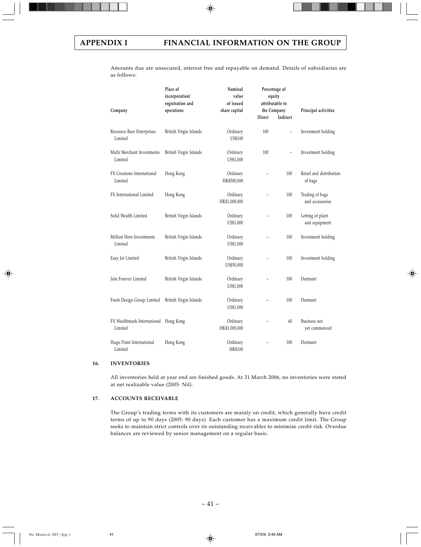Amounts due are unsecured, interest free and repayable on demand. Details of subsidiaries are as follows:

| Company                                          | Place of<br>incorporation/<br>registration and<br>operations | Nominal<br>value<br>of issued<br>share capital | Direct                   | Percentage of<br>equity<br>attributable to<br>the Company<br>Indirect | Principal activities               |
|--------------------------------------------------|--------------------------------------------------------------|------------------------------------------------|--------------------------|-----------------------------------------------------------------------|------------------------------------|
|                                                  |                                                              |                                                |                          |                                                                       |                                    |
| Resource Base Enterprises<br>Limited             | British Virgin Islands                                       | Ordinary<br><b>US\$100</b>                     | 100                      | $\overline{\phantom{0}}$                                              | Investment holding                 |
| Multi Merchant Investments<br>Limited            | British Virgin Islands                                       | Ordinary<br>US\$1,000                          | 100                      | $\overline{\phantom{0}}$                                              | Investment holding                 |
| FX Creations International<br>Limited            | Hong Kong                                                    | Ordinary<br>HK\$500,000                        |                          | 100                                                                   | Retail and distribution<br>of bags |
| FX International Limited                         | Hong Kong                                                    | Ordinary<br>HK\$1,000,000                      |                          | 100                                                                   | Trading of bags<br>and accessories |
| Solid Wealth Limited                             | British Virgin Islands                                       | Ordinary<br>US\$1,000                          |                          | 100                                                                   | Letting of plant<br>and equipment  |
| Million Hero Investments<br>Limited              | British Virgin Islands                                       | Ordinary<br>US\$1,000                          |                          | 100                                                                   | Investment holding                 |
| Easy Jet Limited                                 | British Virgin Islands                                       | Ordinary<br>US\$50,000                         |                          | 100                                                                   | Investment holding                 |
| Join Forever Limited                             | British Virgin Islands                                       | Ordinary<br>US\$1,000                          | $\overline{\phantom{0}}$ | 100                                                                   | Dormant                            |
| Fresh Design Group Limited                       | British Virgin Islands                                       | Ordinary<br>US\$1,000                          |                          | 100                                                                   | Dormant                            |
| FX Wealthmark International Hong Kong<br>Limited |                                                              | Ordinary<br>HK\$1,000,000                      |                          | 60                                                                    | Business not<br>yet commenced      |
| Hugo Point International<br>Limited              | Hong Kong                                                    | Ordinary<br><b>HK\$100</b>                     |                          | 100                                                                   | Dormant                            |

### **16. INVENTORIES**

All inventories held at year end are finished goods. At 31 March 2006, no inventories were stated at net realizable value (2005: Nil).

# **17. ACCOUNTS RECEIVABLE**

The Group's trading terms with its customers are mainly on credit, which generally have credit terms of up to 90 days (2005: 90 days). Each customer has a maximum credit limit. The Group seeks to maintain strict controls over its outstanding receivables to minimise credit risk. Overdue balances are reviewed by senior management on a regular basis.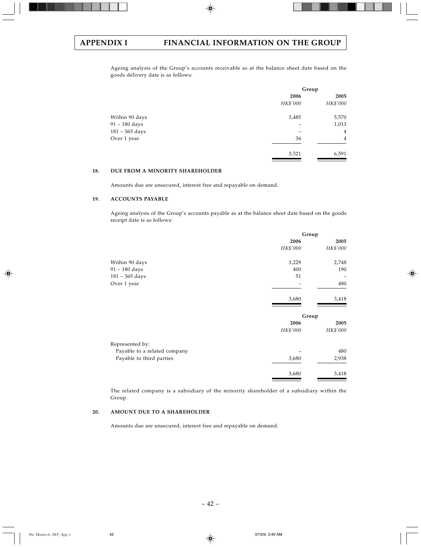Ageing analysis of the Group's accounts receivable as at the balance sheet date based on the goods delivery date is as follows:

|                  | Group    |                |  |
|------------------|----------|----------------|--|
|                  | 2006     | 2005           |  |
|                  | HK\$'000 | HK\$'000       |  |
| Within 90 days   | 3,485    | 5,570          |  |
| $91 - 180$ days  |          | 1,013          |  |
| $181 - 365$ days |          | 4              |  |
| Over 1 year      | 36       | $\overline{4}$ |  |
|                  | 3,521    | 6,591          |  |

# **18. DUE FROM A MINORITY SHAREHOLDER**

Amounts due are unsecured, interest free and repayable on demand.

### **19. ACCOUNTS PAYABLE**

Ageing analysis of the Group's accounts payable as at the balance sheet date based on the goods receipt date is as follows:

|                              | Group    |          |  |
|------------------------------|----------|----------|--|
|                              | 2006     | 2005     |  |
|                              | HK\$'000 | HK\$'000 |  |
| Within 90 days               | 3,229    | 2,748    |  |
| $91 - 180$ days              | 400      | 190      |  |
| $181 - 365$ days             | 51       |          |  |
| Over 1 year                  |          | 480      |  |
|                              | 3,680    | 3,418    |  |
|                              | Group    |          |  |
|                              | 2006     | 2005     |  |
|                              | HK\$'000 | HK\$'000 |  |
| Represented by:              |          |          |  |
| Payable to a related company |          | 480      |  |
| Payable to third parties     | 3,680    | 2,938    |  |
|                              | 3,680    | 3,418    |  |
|                              |          |          |  |

The related company is a subsidiary of the minority shareholder of a subsidiary within the Group.

## **20. AMOUNT DUE TO A SHAREHOLDER**

Amounts due are unsecured, interest free and repayable on demand.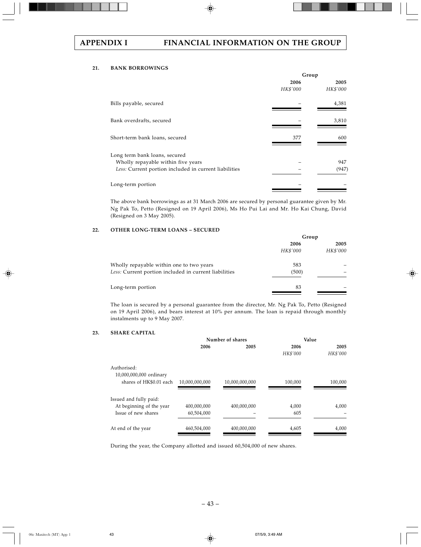# **21. BANK BORROWINGS**

|                                                       | Group    |          |  |
|-------------------------------------------------------|----------|----------|--|
|                                                       | 2006     | 2005     |  |
|                                                       | HK\$'000 | HK\$'000 |  |
| Bills payable, secured                                |          | 4,381    |  |
| Bank overdrafts, secured                              |          | 3,810    |  |
| Short-term bank loans, secured                        | 377      | 600      |  |
| Long term bank loans, secured                         |          |          |  |
| Wholly repayable within five years                    |          | 947      |  |
| Less: Current portion included in current liabilities |          | (947)    |  |
| Long-term portion                                     |          |          |  |
|                                                       |          |          |  |

The above bank borrowings as at 31 March 2006 are secured by personal guarantee given by Mr. Ng Pak To, Petto (Resigned on 19 April 2006), Ms Ho Pui Lai and Mr. Ho Kai Chung, David (Resigned on 3 May 2005).

## **22. OTHER LONG-TERM LOANS – SECURED**

| Group    |          |  |
|----------|----------|--|
| 2006     | 2005     |  |
| HK\$'000 | HK\$'000 |  |
| 583      |          |  |
| (500)    |          |  |
| 83       |          |  |
|          |          |  |

The loan is secured by a personal guarantee from the director, Mr. Ng Pak To, Petto (Resigned on 19 April 2006), and bears interest at 10% per annum. The loan is repaid through monthly instalments up to 9 May 2007.

# **23. SHARE CAPITAL**

|                                        |                | Number of shares | Value    |          |
|----------------------------------------|----------------|------------------|----------|----------|
|                                        | 2006           | 2005             | 2006     | 2005     |
|                                        |                |                  | HK\$'000 | HK\$'000 |
| Authorised:<br>10,000,000,000 ordinary |                |                  |          |          |
| shares of HK\$0.01 each                | 10,000,000,000 | 10,000,000,000   | 100,000  | 100,000  |
| Issued and fully paid:                 |                |                  |          |          |
| At beginning of the year               | 400,000,000    | 400,000,000      | 4,000    | 4,000    |
| Issue of new shares                    | 60,504,000     |                  | 605      |          |
| At end of the year                     | 460,504,000    | 400,000,000      | 4,605    | 4,000    |

During the year, the Company allotted and issued 60,504,000 of new shares.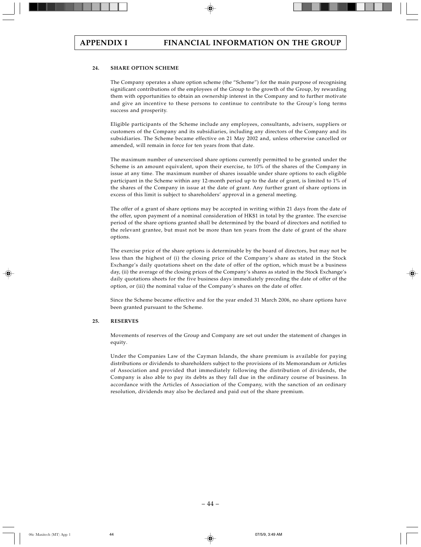### **24. SHARE OPTION SCHEME**

The Company operates a share option scheme (the "Scheme") for the main purpose of recognising significant contributions of the employees of the Group to the growth of the Group, by rewarding them with opportunities to obtain an ownership interest in the Company and to further motivate and give an incentive to these persons to continue to contribute to the Group's long terms success and prosperity.

Eligible participants of the Scheme include any employees, consultants, advisers, suppliers or customers of the Company and its subsidiaries, including any directors of the Company and its subsidiaries. The Scheme became effective on 21 May 2002 and, unless otherwise cancelled or amended, will remain in force for ten years from that date.

The maximum number of unexercised share options currently permitted to be granted under the Scheme is an amount equivalent, upon their exercise, to 10% of the shares of the Company in issue at any time. The maximum number of shares issuable under share options to each eligible participant in the Scheme within any 12-month period up to the date of grant, is limited to 1% of the shares of the Company in issue at the date of grant. Any further grant of share options in excess of this limit is subject to shareholders' approval in a general meeting.

The offer of a grant of share options may be accepted in writing within 21 days from the date of the offer, upon payment of a nominal consideration of HK\$1 in total by the grantee. The exercise period of the share options granted shall be determined by the board of directors and notified to the relevant grantee, but must not be more than ten years from the date of grant of the share options.

The exercise price of the share options is determinable by the board of directors, but may not be less than the highest of (i) the closing price of the Company's share as stated in the Stock Exchange's daily quotations sheet on the date of offer of the option, which must be a business day, (ii) the average of the closing prices of the Company's shares as stated in the Stock Exchange's daily quotations sheets for the five business days immediately preceding the date of offer of the option, or (iii) the nominal value of the Company's shares on the date of offer.

Since the Scheme became effective and for the year ended 31 March 2006, no share options have been granted pursuant to the Scheme.

### **25. RESERVES**

Movements of reserves of the Group and Company are set out under the statement of changes in equity.

Under the Companies Law of the Cayman Islands, the share premium is available for paying distributions or dividends to shareholders subject to the provisions of its Memorandum or Articles of Association and provided that immediately following the distribution of dividends, the Company is also able to pay its debts as they fall due in the ordinary course of business. In accordance with the Articles of Association of the Company, with the sanction of an ordinary resolution, dividends may also be declared and paid out of the share premium.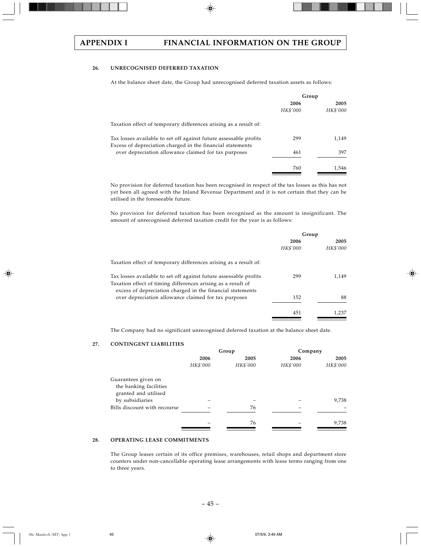# **26. UNRECOGNISED DEFERRED TAXATION**

At the balance sheet date, the Group had unrecognised deferred taxation assets as follows:

|                                                                                                                                 | Group    |          |
|---------------------------------------------------------------------------------------------------------------------------------|----------|----------|
|                                                                                                                                 | 2006     | 2005     |
|                                                                                                                                 | HK\$'000 | HK\$'000 |
| Taxation effect of temporary differences arising as a result of:                                                                |          |          |
| Tax losses available to set off against future assessable profits<br>Excess of depreciation charged in the financial statements | 299      | 1.149    |
| over depreciation allowance claimed for tax purposes                                                                            | 461      | 397      |
|                                                                                                                                 | 760      | 1.546    |

No provision for deferred taxation has been recognised in respect of the tax losses as this has not yet been all agreed with the Inland Revenue Department and it is not certain that they can be utilised in the foreseeable future.

No provision for deferred taxation has been recognised as the amount is insignificant. The amount of unrecognised deferred taxation credit for the year is as follows:

|                                                                                                                            | Group    |          |
|----------------------------------------------------------------------------------------------------------------------------|----------|----------|
|                                                                                                                            | 2006     | 2005     |
|                                                                                                                            | HK\$'000 | HK\$'000 |
| Taxation effect of temporary differences arising as a result of:                                                           |          |          |
| Tax losses available to set off against future assessable profits                                                          | 299      | 1.149    |
| Taxation effect of timing differences arising as a result of<br>excess of depreciation charged in the financial statements |          |          |
| over depreciation allowance claimed for tax purposes                                                                       | 152      | 88       |
|                                                                                                                            | 451      | 1,237    |
|                                                                                                                            |          |          |

The Company had no significant unrecognised deferred taxation at the balance sheet date.

### **27. CONTINGENT LIABILITIES**

|                              | Group    |          | Company  |          |  |
|------------------------------|----------|----------|----------|----------|--|
|                              | 2006     | 2005     |          | 2005     |  |
|                              | HK\$'000 | HK\$'000 | HK\$'000 | HK\$'000 |  |
| Guarantees given on          |          |          |          |          |  |
| the banking facilities       |          |          |          |          |  |
| granted and utilised         |          |          |          |          |  |
| by subsidiaries              |          |          |          | 9,738    |  |
| Bills discount with recourse |          | 76       |          |          |  |
|                              |          |          |          |          |  |
|                              |          | 76       |          | 9,738    |  |
|                              |          |          |          |          |  |

# **28. OPERATING LEASE COMMITMENTS**

The Group leases certain of its office premises, warehouses, retail shops and department store counters under non-cancellable operating lease arrangements with lease terms ranging from one to three years.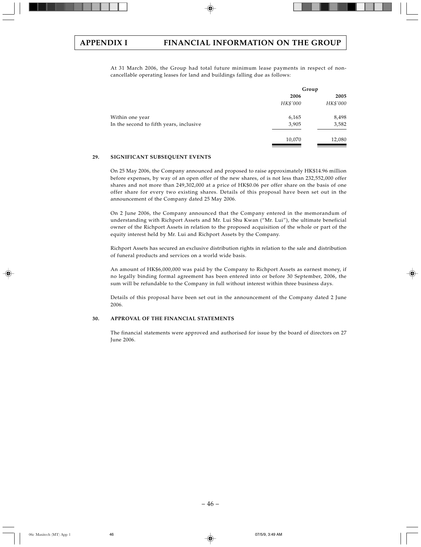At 31 March 2006, the Group had total future minimum lease payments in respect of noncancellable operating leases for land and buildings falling due as follows:

|                                         | Group    |          |  |
|-----------------------------------------|----------|----------|--|
|                                         | 2006     | 2005     |  |
|                                         | HK\$'000 | HK\$'000 |  |
| Within one year                         | 6,165    | 8,498    |  |
| In the second to fifth years, inclusive | 3,905    | 3,582    |  |
|                                         | 10,070   | 12,080   |  |

### **29. SIGNIFICANT SUBSEQUENT EVENTS**

On 25 May 2006, the Company announced and proposed to raise approximately HK\$14.96 million before expenses, by way of an open offer of the new shares, of is not less than 232,552,000 offer shares and not more than 249,302,000 at a price of HK\$0.06 per offer share on the basis of one offer share for every two existing shares. Details of this proposal have been set out in the announcement of the Company dated 25 May 2006.

On 2 June 2006, the Company announced that the Company entered in the memorandum of understanding with Richport Assets and Mr. Lui Shu Kwan ("Mr. Lui"), the ultimate beneficial owner of the Richport Assets in relation to the proposed acquisition of the whole or part of the equity interest held by Mr. Lui and Richport Assets by the Company.

Richport Assets has secured an exclusive distribution rights in relation to the sale and distribution of funeral products and services on a world wide basis.

An amount of HK\$6,000,000 was paid by the Company to Richport Assets as earnest money, if no legally binding formal agreement has been entered into or before 30 September, 2006, the sum will be refundable to the Company in full without interest within three business days.

Details of this proposal have been set out in the announcement of the Company dated 2 June 2006.

## **30. APPROVAL OF THE FINANCIAL STATEMENTS**

The financial statements were approved and authorised for issue by the board of directors on 27 June 2006.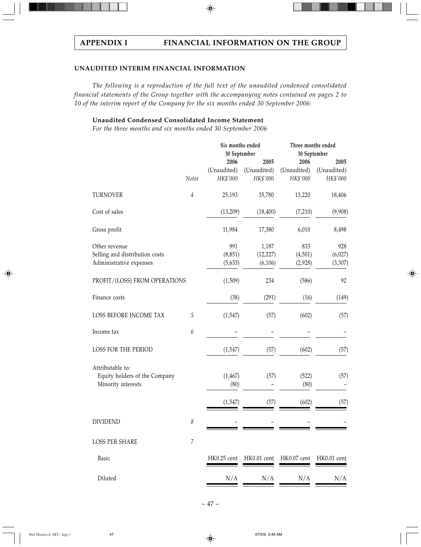# **UNAUDITED INTERIM FINANCIAL INFORMATION**

*The following is a reproduction of the full text of the unaudited condensed consolidated financial statements of the Group together with the accompanying notes contained on pages 2 to 10 of the interim report of the Company for the six months ended 30 September 2006:*

**Unaudited Condensed Consolidated Income Statement**

*For the three months and six months ended 30 September 2006*

|                                                     |                  | Six months ended |             | Three months ended |             |  |
|-----------------------------------------------------|------------------|------------------|-------------|--------------------|-------------|--|
|                                                     |                  | 30 September     |             | 30 September       |             |  |
|                                                     |                  | 2006             | 2005        | 2006               | 2005        |  |
|                                                     |                  | (Unaudited)      | (Unaudited) | (Unaudited)        | (Unaudited) |  |
|                                                     | Notes            | HK\$'000         | HK\$'000    | HK\$'000           | HK\$'000    |  |
| <b>TURNOVER</b>                                     | $\overline{4}$   | 25,193           | 35,780      | 13,220             | 18,406      |  |
| Cost of sales                                       |                  | (13,209)         | (18, 400)   | (7,210)            | (9,908)     |  |
| Gross profit                                        |                  | 11,984           | 17,380      | 6,010              | 8,498       |  |
| Other revenue                                       |                  | 991              | 1,187       | 833                | 928         |  |
| Selling and distribution costs                      |                  | (8, 851)         | (12, 227)   | (4,501)            | (6,027)     |  |
| Administrative expenses                             |                  | (5,633)          | (6, 106)    | (2,928)            | (3,307)     |  |
| PROFIT/(LOSS) FROM OPERATIONS                       |                  | (1,509)          | 234         | (586)              | 92          |  |
| Finance costs                                       |                  | (38)             | (291)       | (16)               | (149)       |  |
| LOSS BEFORE INCOME TAX                              | 5                | (1,547)          | (57)        | (602)              | (57)        |  |
| Income tax                                          | $\boldsymbol{6}$ |                  |             |                    |             |  |
| LOSS FOR THE PERIOD                                 |                  | (1, 547)         | (57)        | (602)              | (57)        |  |
| Attributable to:                                    |                  |                  |             |                    |             |  |
|                                                     |                  |                  |             |                    |             |  |
| Equity holders of the Company<br>Minority interests |                  | (1, 467)<br>(80) | (57)        | (522)<br>(80)      | (57)        |  |
|                                                     |                  | (1, 547)         | (57)        | (602)              | (57)        |  |
| <b>DIVIDEND</b>                                     | 8                |                  |             |                    |             |  |
|                                                     |                  |                  |             |                    |             |  |
| <b>LOSS PER SHARE</b>                               | $\overline{7}$   |                  |             |                    |             |  |
| Basic                                               |                  | HK0.25 cent      | HK0.01 cent | HK0.07 cent        | HK0.01 cent |  |
| Diluted                                             |                  | N/A              | N/A         | N/A                | N/A         |  |
|                                                     |                  |                  |             |                    |             |  |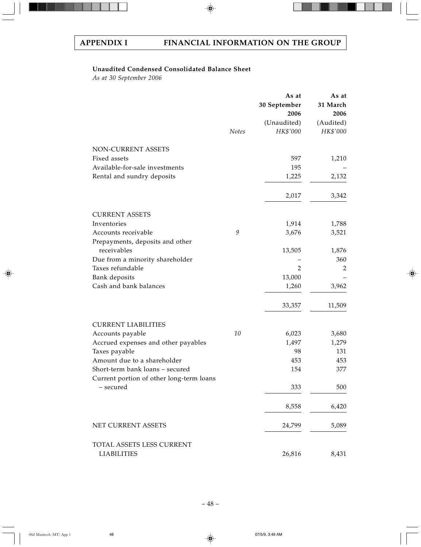# **Unaudited Condensed Consolidated Balance Sheet**

*As at 30 September 2006*

|                                                        |                                                           | As at          | As at     |
|--------------------------------------------------------|-----------------------------------------------------------|----------------|-----------|
|                                                        |                                                           | 30 September   | 31 March  |
|                                                        |                                                           | 2006           | 2006      |
|                                                        |                                                           | (Unaudited)    | (Audited) |
|                                                        | Notes                                                     | HK\$'000       | HK\$'000  |
| NON-CURRENT ASSETS                                     |                                                           |                |           |
| Fixed assets                                           |                                                           | 597            | 1,210     |
| Available-for-sale investments                         |                                                           | 195            |           |
| Rental and sundry deposits                             |                                                           | 1,225          | 2,132     |
|                                                        |                                                           | 2,017          | 3,342     |
|                                                        |                                                           |                |           |
| <b>CURRENT ASSETS</b>                                  |                                                           |                |           |
| Inventories                                            |                                                           | 1,914          | 1,788     |
| Accounts receivable<br>Prepayments, deposits and other | $\mathcal{G}% _{M_{1},M_{2}}^{\alpha,\beta}(\mathcal{G})$ | 3,676          | 3,521     |
| receivables                                            |                                                           | 13,505         | 1,876     |
| Due from a minority shareholder                        |                                                           |                | 360       |
| Taxes refundable                                       |                                                           | $\overline{2}$ | 2         |
| Bank deposits                                          |                                                           | 13,000         |           |
| Cash and bank balances                                 |                                                           | 1,260          | 3,962     |
|                                                        |                                                           | 33,357         | 11,509    |
| <b>CURRENT LIABILITIES</b>                             |                                                           |                |           |
| Accounts payable                                       | 10                                                        | 6,023          | 3,680     |
| Accrued expenses and other payables                    |                                                           | 1,497          | 1,279     |
| Taxes payable                                          |                                                           | 98             | 131       |
| Amount due to a shareholder                            |                                                           | 453            | 453       |
| Short-term bank loans - secured                        |                                                           | 154            | 377       |
| Current portion of other long-term loans               |                                                           |                |           |
| - secured                                              |                                                           | 333            | 500       |
|                                                        |                                                           | 8,558          | 6,420     |
| NET CURRENT ASSETS                                     |                                                           | 24,799         | 5,089     |
| TOTAL ASSETS LESS CURRENT                              |                                                           |                |           |
| <b>LIABILITIES</b>                                     |                                                           | 26,816         | 8,431     |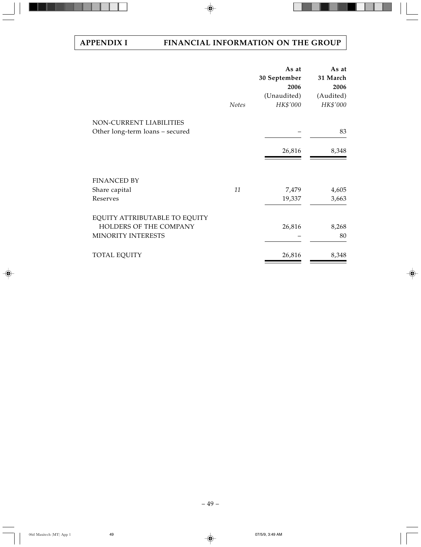|                                                            | <b>Notes</b> | As at<br>30 September<br>2006<br>(Unaudited)<br>HK\$'000 | As at<br>31 March<br>2006<br>(Audited)<br>HK\$'000 |
|------------------------------------------------------------|--------------|----------------------------------------------------------|----------------------------------------------------|
| NON-CURRENT LIABILITIES<br>Other long-term loans - secured |              |                                                          | 83                                                 |
|                                                            |              | 26,816                                                   | 8,348                                              |
| <b>FINANCED BY</b>                                         |              |                                                          |                                                    |
| Share capital                                              | 11           | 7,479                                                    | 4,605                                              |
| Reserves                                                   |              | 19,337                                                   | 3,663                                              |
| EQUITY ATTRIBUTABLE TO EQUITY                              |              |                                                          |                                                    |
| HOLDERS OF THE COMPANY                                     |              | 26,816                                                   | 8,268                                              |
| MINORITY INTERESTS                                         |              |                                                          | 80                                                 |
| <b>TOTAL EQUITY</b>                                        |              | 26,816                                                   | 8,348                                              |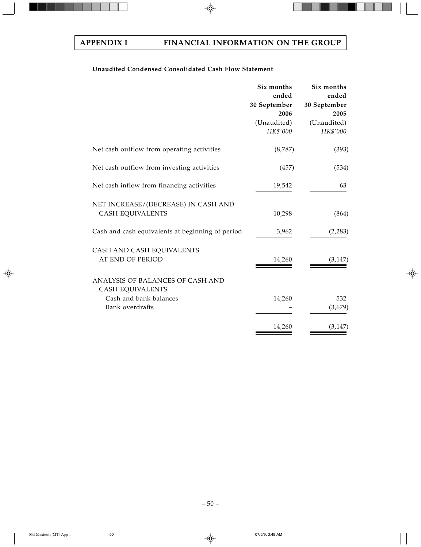# **Unaudited Condensed Consolidated Cash Flow Statement**

|                                                                                                          | Six months<br>ended<br>30 September<br>2006<br>(Unaudited)<br>HK\$'000 | Six months<br>ended<br>30 September<br>2005<br>(Unaudited)<br>HK\$'000 |
|----------------------------------------------------------------------------------------------------------|------------------------------------------------------------------------|------------------------------------------------------------------------|
| Net cash outflow from operating activities                                                               | (8,787)                                                                | (393)                                                                  |
| Net cash outflow from investing activities                                                               | (457)                                                                  | (534)                                                                  |
| Net cash inflow from financing activities                                                                | 19,542                                                                 | 63                                                                     |
| NET INCREASE/(DECREASE) IN CASH AND<br><b>CASH EQUIVALENTS</b>                                           | 10,298                                                                 | (864)                                                                  |
| Cash and cash equivalents at beginning of period                                                         | 3,962                                                                  | (2,283)                                                                |
| CASH AND CASH EQUIVALENTS<br>AT END OF PERIOD                                                            | 14,260                                                                 | (3, 147)                                                               |
| ANALYSIS OF BALANCES OF CASH AND<br><b>CASH EQUIVALENTS</b><br>Cash and bank balances<br>Bank overdrafts | 14,260                                                                 | 532<br>(3,679)                                                         |
|                                                                                                          | 14,260                                                                 | (3, 147)                                                               |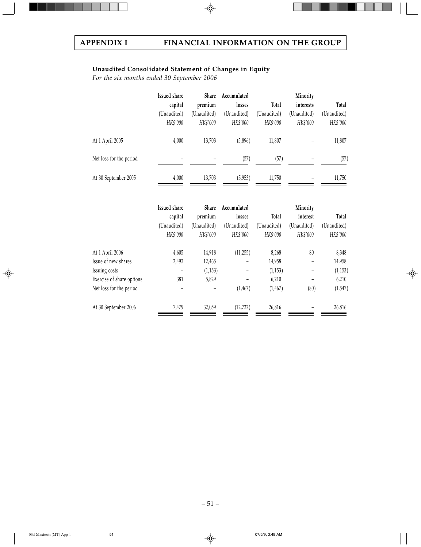# **Unaudited Consolidated Statement of Changes in Equity**

*For the six months ended 30 September 2006*

|                         | Issued share            | Share                   | Accumulated             |                         | Minority                |                         |
|-------------------------|-------------------------|-------------------------|-------------------------|-------------------------|-------------------------|-------------------------|
|                         | capital                 | premium                 | losses                  | Total                   | interests               | Total                   |
|                         | (Unaudited)<br>HK\$'000 | (Unaudited)<br>HK\$'000 | (Unaudited)<br>HK\$'000 | (Unaudited)<br>HK\$'000 | (Unaudited)<br>HK\$'000 | (Unaudited)<br>HK\$'000 |
| At 1 April 2005         | 4,000                   | 13,703                  | (5,896)                 | 11,807                  |                         | 11,807                  |
| Net loss for the period |                         |                         | (57)                    | (57)                    |                         | (57)                    |
| At 30 September 2005    | 4,000                   | 13,703                  | (5,953)                 | 11,750                  |                         | 11,750                  |

|                           | <b>Issued share</b>      | Share       | Accumulated |             | Minority    |             |
|---------------------------|--------------------------|-------------|-------------|-------------|-------------|-------------|
|                           | capital                  | premium     | losses      | Total       | interest    | Total       |
|                           | (Unaudited)              | (Unaudited) | (Unaudited) | (Unaudited) | (Unaudited) | (Unaudited) |
|                           | HK\$'000                 | HK\$'000    | HK\$'000    | HK\$'000    | HK\$'000    | HK\$'000    |
| At 1 April 2006           | 4,605                    | 14,918      | (11,255)    | 8,268       | 80          | 8,348       |
| Issue of new shares       | 2,493                    | 12,465      |             | 14,958      |             | 14,958      |
| Issuing costs             |                          | (1, 153)    |             | (1,153)     |             | (1, 153)    |
| Exercise of share options | 381                      | 5,829       |             | 6,210       |             | 6,210       |
| Net loss for the period   | $\overline{\phantom{0}}$ |             | (1, 467)    | (1, 467)    | (80)        | (1, 547)    |
| At 30 September 2006      | 7,479                    | 32,059      | (12, 722)   | 26,816      |             | 26,816      |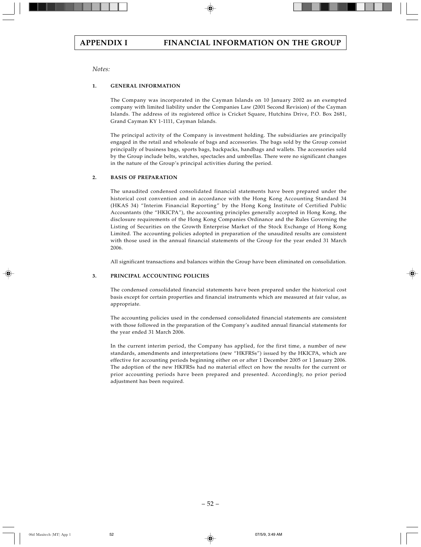# *Notes:*

# **1. GENERAL INFORMATION**

The Company was incorporated in the Cayman Islands on 10 January 2002 as an exempted company with limited liability under the Companies Law (2001 Second Revision) of the Cayman Islands. The address of its registered office is Cricket Square, Hutchins Drive, P.O. Box 2681, Grand Cayman KY 1-1111, Cayman Islands.

The principal activity of the Company is investment holding. The subsidiaries are principally engaged in the retail and wholesale of bags and accessories. The bags sold by the Group consist principally of business bags, sports bags, backpacks, handbags and wallets. The accessories sold by the Group include belts, watches, spectacles and umbrellas. There were no significant changes in the nature of the Group's principal activities during the period.

## **2. BASIS OF PREPARATION**

The unaudited condensed consolidated financial statements have been prepared under the historical cost convention and in accordance with the Hong Kong Accounting Standard 34 (HKAS 34) "Interim Financial Reporting" by the Hong Kong Institute of Certified Public Accountants (the "HKICPA"), the accounting principles generally accepted in Hong Kong, the disclosure requirements of the Hong Kong Companies Ordinance and the Rules Governing the Listing of Securities on the Growth Enterprise Market of the Stock Exchange of Hong Kong Limited. The accounting policies adopted in preparation of the unaudited results are consistent with those used in the annual financial statements of the Group for the year ended 31 March 2006.

All significant transactions and balances within the Group have been eliminated on consolidation.

## **3. PRINCIPAL ACCOUNTING POLICIES**

The condensed consolidated financial statements have been prepared under the historical cost basis except for certain properties and financial instruments which are measured at fair value, as appropriate.

The accounting policies used in the condensed consolidated financial statements are consistent with those followed in the preparation of the Company's audited annual financial statements for the year ended 31 March 2006.

In the current interim period, the Company has applied, for the first time, a number of new standards, amendments and interpretations (new "HKFRSs") issued by the HKICPA, which are effective for accounting periods beginning either on or after 1 December 2005 or 1 January 2006. The adoption of the new HKFRSs had no material effect on how the results for the current or prior accounting periods have been prepared and presented. Accordingly, no prior period adjustment has been required.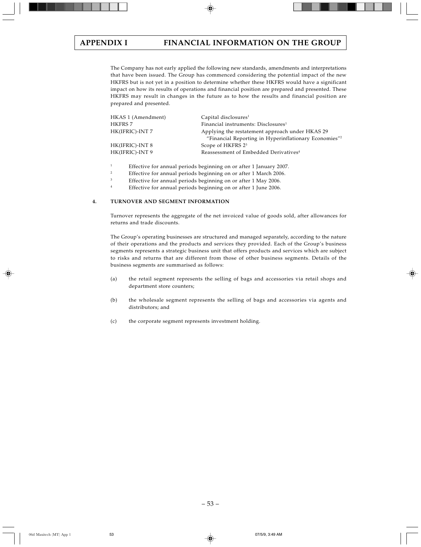The Company has not early applied the following new standards, amendments and interpretations that have been issued. The Group has commenced considering the potential impact of the new HKFRS but is not yet in a position to determine whether these HKFRS would have a significant impact on how its results of operations and financial position are prepared and presented. These HKFRS may result in changes in the future as to how the results and financial position are prepared and presented.

| HKAS 1 (Amendment) | Capital disclosures <sup>1</sup>                                  |
|--------------------|-------------------------------------------------------------------|
| HKFRS 7            | Financial instruments: Disclosures <sup>1</sup>                   |
| HK(IFRIC)-INT 7    | Applying the restatement approach under HKAS 29                   |
|                    | "Financial Reporting in Hyperinflationary Economies" <sup>2</sup> |
| HK(IFRIC)-INT 8    | Scope of HKFRS 2 <sup>3</sup>                                     |
| HK(IFRIC)-INT 9    | Reassessment of Embedded Derivatives <sup>4</sup>                 |
|                    |                                                                   |

<sup>1</sup><br>Effective for annual periods beginning on or after 1 January 2007.<br>
Effective for annual periods beginning on or after 1 Marsh 2006.

<sup>2</sup> Effective for annual periods beginning on or after 1 March 2006.

<sup>3</sup> Effective for annual periods beginning on or after 1 May 2006.

<sup>4</sup> Effective for annual periods beginning on or after 1 June 2006.

## **4. TURNOVER AND SEGMENT INFORMATION**

Turnover represents the aggregate of the net invoiced value of goods sold, after allowances for returns and trade discounts.

The Group's operating businesses are structured and managed separately, according to the nature of their operations and the products and services they provided. Each of the Group's business segments represents a strategic business unit that offers products and services which are subject to risks and returns that are different from those of other business segments. Details of the business segments are summarised as follows:

- (a) the retail segment represents the selling of bags and accessories via retail shops and department store counters;
- (b) the wholesale segment represents the selling of bags and accessories via agents and distributors; and
- (c) the corporate segment represents investment holding.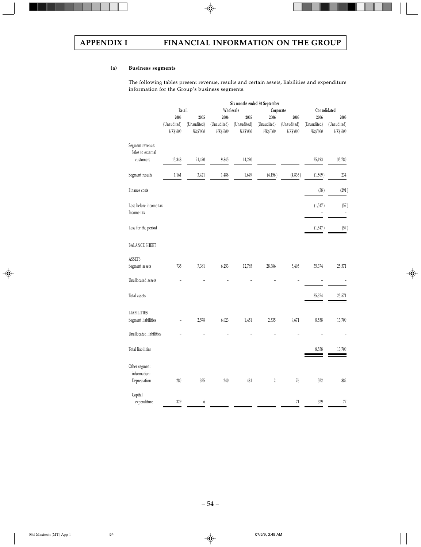# **(a) Business segments**

The following tables present revenue, results and certain assets, liabilities and expenditure information for the Group's business segments.

|                                       |             |             | Six months ended 30 September |             |             |             |              |             |
|---------------------------------------|-------------|-------------|-------------------------------|-------------|-------------|-------------|--------------|-------------|
|                                       | Retail      |             |                               | Wholesale   | Corporate   |             | Consolidated |             |
|                                       | 2006        | 2005        | 2006                          | 2005        | 2006        | 2005        | 2006         | 2005        |
|                                       | (Unaudited) | (Unaudited) | (Unaudited)                   | (Unaudited) | (Unaudited) | (Unaudited) | (Unaudited)  | (Unaudited) |
|                                       | HK\$'000    | HK\$'000    | HK\$'000                      | HK\$'000    | HK\$'000    | HK\$'000    | HK\$'000     | HK\$'000    |
| Segment revenue:<br>Sales to external |             |             |                               |             |             |             |              |             |
| customers                             | 15,348      | 21,490      | 9,845                         | 14,290      |             |             | 25,193       | 35,780      |
| Segment results                       | 1,161       | 3,421       | 1,486                         | 1,649       | (4, 156)    | (4,836)     | (1,509)      | 234         |
| Finance costs                         |             |             |                               |             |             |             | (38)         | (291)       |
| Loss before income tax<br>Income tax  |             |             |                               |             |             |             | (1,547)      | (57)        |
| Loss for the period                   |             |             |                               |             |             |             | (1,547)      | (57)        |
| <b>BALANCE SHEET</b>                  |             |             |                               |             |             |             |              |             |
| <b>ASSETS</b>                         |             |             |                               |             |             |             |              |             |
| Segment assets                        | 735         | 7,381       | 6,253                         | 12,785      | 28,386      | 5,405       | 35,374       | 25,571      |
| Unallocated assets                    |             |             |                               |             |             |             |              |             |
| Total assets                          |             |             |                               |             |             |             | 35,374       | 25,571      |
| <b>LIABILITIES</b>                    |             |             |                               |             |             |             |              |             |
| Segment liabilities                   |             | 2,578       | 6,023                         | 1,451       | 2,535       | 9,671       | 8,558        | 13,700      |
| Unallocated liabilities               |             |             |                               |             |             |             |              |             |
| Total liabilities                     |             |             |                               |             |             |             | 8,558        | 13,700      |
| Other segment<br>information:         |             |             |                               |             |             |             |              |             |
| Depreciation                          | 280         | 325         | 240                           | 481         | 2           | 76          | 522          | 882         |
| Capital                               |             |             |                               |             |             |             |              |             |
| expenditure                           | 329         | 6           |                               |             |             | 71          | 329          | 77          |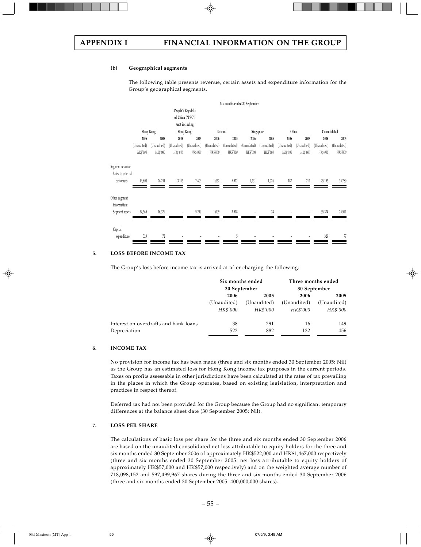### **(b) Geographical segments**

The following table presents revenue, certain assets and expenditure information for the Group's geographical segments.



## **5. LOSS BEFORE INCOME TAX**

The Group's loss before income tax is arrived at after charging the following:

|                                       | Six months ended | 30 September | Three months ended<br>30 September |             |  |
|---------------------------------------|------------------|--------------|------------------------------------|-------------|--|
|                                       | 2006<br>2005     |              | 2006                               | 2005        |  |
|                                       | (Unaudited)      | (Unaudited)  | (Unaudited)                        | (Unaudited) |  |
|                                       | HK\$'000         | HK\$'000     | HK\$'000                           | HK\$'000    |  |
| Interest on overdrafts and bank loans | 38               | 291          | 16                                 | 149         |  |
| Depreciation                          | 522              | 882          | 132                                | 456         |  |

# **6. INCOME TAX**

No provision for income tax has been made (three and six months ended 30 September 2005: Nil) as the Group has an estimated loss for Hong Kong income tax purposes in the current periods. Taxes on profits assessable in other jurisdictions have been calculated at the rates of tax prevailing in the places in which the Group operates, based on existing legislation, interpretation and practices in respect thereof.

Deferred tax had not been provided for the Group because the Group had no significant temporary differences at the balance sheet date (30 September 2005: Nil).

### **7. LOSS PER SHARE**

The calculations of basic loss per share for the three and six months ended 30 September 2006 are based on the unaudited consolidated net loss attributable to equity holders for the three and six months ended 30 September 2006 of approximately HK\$522,000 and HK\$1,467,000 respectively (three and six months ended 30 September 2005: net loss attributable to equity holders of approximately HK\$57,000 and HK\$57,000 respectively) and on the weighted average number of 718,098,152 and 597,499,967 shares during the three and six months ended 30 September 2006 (three and six months ended 30 September 2005: 400,000,000 shares).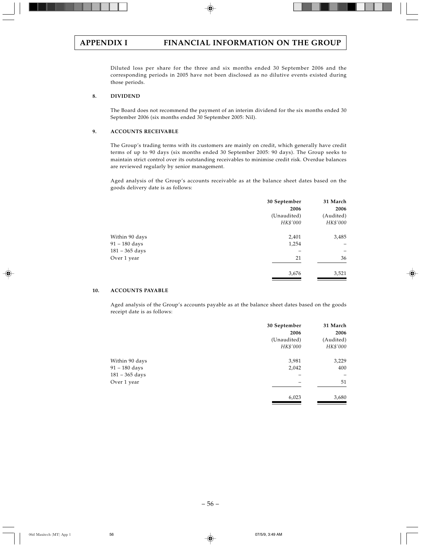Diluted loss per share for the three and six months ended 30 September 2006 and the corresponding periods in 2005 have not been disclosed as no dilutive events existed during those periods.

# **8. DIVIDEND**

The Board does not recommend the payment of an interim dividend for the six months ended 30 September 2006 (six months ended 30 September 2005: Nil).

## **9. ACCOUNTS RECEIVABLE**

The Group's trading terms with its customers are mainly on credit, which generally have credit terms of up to 90 days (six months ended 30 September 2005: 90 days). The Group seeks to maintain strict control over its outstanding receivables to minimise credit risk. Overdue balances are reviewed regularly by senior management.

Aged analysis of the Group's accounts receivable as at the balance sheet dates based on the goods delivery date is as follows:

|                  | 30 September<br>2006 | 31 March<br>2006 |
|------------------|----------------------|------------------|
|                  | (Unaudited)          | (Audited)        |
|                  | HK\$'000             | HK\$'000         |
| Within 90 days   | 2,401                | 3,485            |
| 91 - 180 days    | 1,254                |                  |
| $181 - 365$ days |                      | -                |
| Over 1 year      | 21                   | 36               |
|                  | 3,676                | 3,521            |
|                  |                      |                  |

# **10. ACCOUNTS PAYABLE**

Aged analysis of the Group's accounts payable as at the balance sheet dates based on the goods receipt date is as follows:

|                  | 30 September<br>2006 | 31 March<br>2006 |
|------------------|----------------------|------------------|
|                  | (Unaudited)          | (Audited)        |
|                  | HK\$'000             | HK\$'000         |
| Within 90 days   | 3,981                | 3,229            |
| $91 - 180$ days  | 2,042                | 400              |
| $181 - 365$ days |                      | -                |
| Over 1 year      |                      | 51               |
|                  | 6,023                | 3,680            |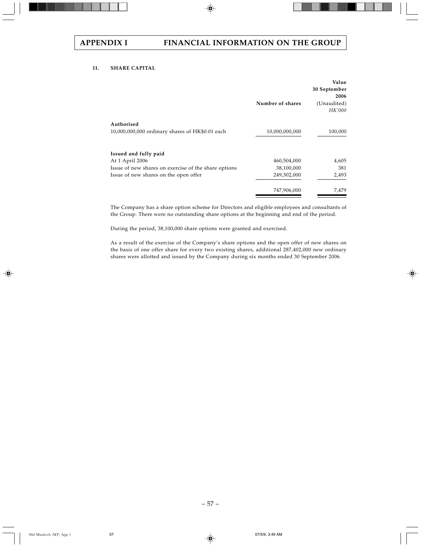# **11. SHARE CAPITAL**

|                                                      | Number of shares | Value<br>30 September<br>2006<br>(Unaudited)<br><b>HK'000</b> |
|------------------------------------------------------|------------------|---------------------------------------------------------------|
| Authorised                                           |                  |                                                               |
| 10,000,000,000 ordinary shares of HK\$0.01 each      | 10,000,000,000   | 100,000                                                       |
| Issued and fully paid                                |                  |                                                               |
| At 1 April 2006                                      | 460,504,000      | 4,605                                                         |
| Issue of new shares on exercise of the share options | 38,100,000       | 381                                                           |
| Issue of new shares on the open offer                | 249,302,000      | 2,493                                                         |
|                                                      | 747,906,000      | 7,479                                                         |
|                                                      |                  |                                                               |

The Company has a share option scheme for Directors and eligible employees and consultants of the Group. There were no outstanding share options at the beginning and end of the period.

During the period, 38,100,000 share options were granted and exercised.

As a result of the exercise of the Company's share options and the open offer of new shares on the basis of one offer share for every two existing shares, additional 287,402,000 new ordinary shares were allotted and issued by the Company during six months ended 30 September 2006.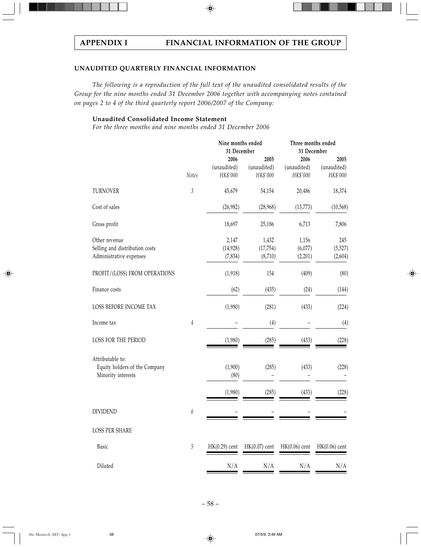# **UNAUDITED QUARTERLY FINANCIAL INFORMATION**

*The following is a reproduction of the full text of the unaudited consolidated results of the Group for the nine months ended 31 December 2006 together with accompanying notes contained on pages 2 to 4 of the third quarterly report 2006/2007 of the Company:*

# **Unaudited Consolidated Income Statement**

*For the three months and nine months ended 31 December 2006*

|                                                                            |                  | Nine months ended<br>31 December | Three months ended<br>31 December |                                 |                                 |
|----------------------------------------------------------------------------|------------------|----------------------------------|-----------------------------------|---------------------------------|---------------------------------|
|                                                                            | Notes            | 2006<br>(unaudited)<br>HK\$'000  | 2005<br>(unaudited)<br>HK\$'000   | 2006<br>(unaudited)<br>HK\$'000 | 2005<br>(unaudited)<br>HK\$'000 |
| TURNOVER                                                                   | $\mathfrak z$    | 45,679                           | 54,154                            | 20,486                          | 18,374                          |
| Cost of sales                                                              |                  | (26,982)                         | (28,968)                          | (13, 773)                       | (10, 568)                       |
| Gross profit                                                               |                  | 18,697                           | 25,186                            | 6,713                           | 7,806                           |
| Other revenue<br>Selling and distribution costs<br>Administrative expenses |                  | 2,147<br>(14, 928)<br>(7, 834)   | 1,432<br>(17, 754)<br>(8,710)     | 1,156<br>(6,077)<br>(2,201)     | 245<br>(5,527)<br>(2,604)       |
| PROFIT/(LOSS) FROM OPERATIONS                                              |                  | (1,918)                          | 154                               | (409)                           | (80)                            |
| Finance costs                                                              |                  | (62)                             | (435)                             | (24)                            | (144)                           |
| LOSS BEFORE INCOME TAX                                                     |                  | (1,980)                          | (281)                             | (433)                           | (224)                           |
| Income tax                                                                 | $\it 4$          |                                  | (4)                               |                                 | (4)                             |
| LOSS FOR THE PERIOD                                                        |                  | (1,980)                          | (285)                             | (433)                           | (228)                           |
| Attributable to:<br>Equity holders of the Company<br>Minority interests    |                  | (1,900)<br>(80)                  | (285)                             | (433)                           | (228)                           |
|                                                                            |                  | (1,980)                          | (285)                             | (433)                           | (228)                           |
| <b>DIVIDEND</b>                                                            | $\boldsymbol{6}$ |                                  |                                   |                                 |                                 |
| <b>LOSS PER SHARE</b>                                                      |                  |                                  |                                   |                                 |                                 |
| Basic                                                                      | $\sqrt{5}$       | $HK(0.29)$ cent                  | $HK(0.07)$ cent                   | $HK(0.06)$ cent                 | $HK(0.06)$ cent                 |
| Diluted                                                                    |                  | N/A                              | N/A                               | N/A                             | N/A                             |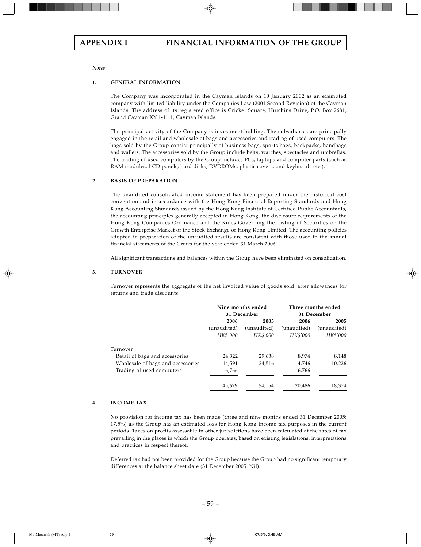*Notes:*

### **1. GENERAL INFORMATION**

The Company was incorporated in the Cayman Islands on 10 January 2002 as an exempted company with limited liability under the Companies Law (2001 Second Revision) of the Cayman Islands. The address of its registered office is Cricket Square, Hutchins Drive, P.O. Box 2681, Grand Cayman KY 1-1111, Cayman Islands.

The principal activity of the Company is investment holding. The subsidiaries are principally engaged in the retail and wholesale of bags and accessories and trading of used computers. The bags sold by the Group consist principally of business bags, sports bags, backpacks, handbags and wallets. The accessories sold by the Group include belts, watches, spectacles and umbrellas. The trading of used computers by the Group includes PCs, laptops and computer parts (such as RAM modules, LCD panels, hard disks, DVDROMs, plastic covers, and keyboards etc.).

### **2. BASIS OF PREPARATION**

The unaudited consolidated income statement has been prepared under the historical cost convention and in accordance with the Hong Kong Financial Reporting Standards and Hong Kong Accounting Standards issued by the Hong Kong Institute of Certified Public Accountants, the accounting principles generally accepted in Hong Kong, the disclosure requirements of the Hong Kong Companies Ordinance and the Rules Governing the Listing of Securities on the Growth Enterprise Market of the Stock Exchange of Hong Kong Limited. The accounting policies adopted in preparation of the unaudited results are consistent with those used in the annual financial statements of the Group for the year ended 31 March 2006.

All significant transactions and balances within the Group have been eliminated on consolidation.

### **3. TURNOVER**

Turnover represents the aggregate of the net invoiced value of goods sold, after allowances for returns and trade discounts.

|                                   | Nine months ended<br>31 December |             | Three months ended<br>31 December |             |
|-----------------------------------|----------------------------------|-------------|-----------------------------------|-------------|
|                                   | 2006                             | 2005        | 2006                              | 2005        |
|                                   | (unaudited)                      | (unaudited) | (unaudited)                       | (unaudited) |
|                                   | HK\$'000                         | HK\$'000    | HK\$'000                          | HK\$'000    |
| Turnover                          |                                  |             |                                   |             |
| Retail of bags and accessories    | 24,322                           | 29,638      | 8.974                             | 8,148       |
| Wholesale of bags and accessories | 14,591                           | 24.516      | 4,746                             | 10,226      |
| Trading of used computers         | 6,766                            |             | 6,766                             |             |
|                                   | 45.679                           | 54.154      | 20,486                            | 18,374      |

### **4. INCOME TAX**

No provision for income tax has been made (three and nine months ended 31 December 2005: 17.5%) as the Group has an estimated loss for Hong Kong income tax purposes in the current periods. Taxes on profits assessable in other jurisdictions have been calculated at the rates of tax prevailing in the places in which the Group operates, based on existing legislations, interpretations and practices in respect thereof.

Deferred tax had not been provided for the Group because the Group had no significant temporary differences at the balance sheet date (31 December 2005: Nil).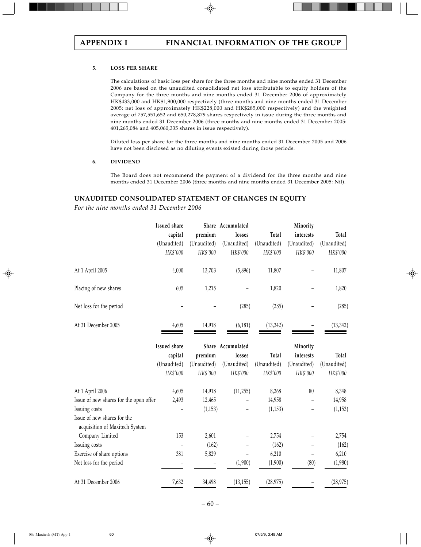## **5. LOSS PER SHARE**

The calculations of basic loss per share for the three months and nine months ended 31 December 2006 are based on the unaudited consolidated net loss attributable to equity holders of the Company for the three months and nine months ended 31 December 2006 of approximately HK\$433,000 and HK\$1,900,000 respectively (three months and nine months ended 31 December 2005: net loss of approximately HK\$228,000 and HK\$285,000 respectively) and the weighted average of 757,551,652 and 650,278,879 shares respectively in issue during the three months and nine months ended 31 December 2006 (three months and nine months ended 31 December 2005: 401,265,084 and 405,060,335 shares in issue respectively).

Diluted loss per share for the three months and nine months ended 31 December 2005 and 2006 have not been disclosed as no diluting events existed during those periods.

## **6. DIVIDEND**

The Board does not recommend the payment of a dividend for the three months and nine months ended 31 December 2006 (three months and nine months ended 31 December 2005: Nil).

# **UNAUDITED CONSOLIDATED STATEMENT OF CHANGES IN EQUITY**

*For the nine months ended 31 December 2006*

|                         | <b>Issued share</b> |             | Share Accumulated |             | Minority    |             |
|-------------------------|---------------------|-------------|-------------------|-------------|-------------|-------------|
|                         | capital             | premium     | losses            | Total       | interests   | Total       |
|                         | (Unaudited)         | (Unaudited) | (Unaudited)       | (Unaudited) | (Unaudited) | (Unaudited) |
|                         | HK\$'000            | HK\$'000    | HK\$'000          | HK\$'000    | HK\$'000    | HK\$'000    |
| At 1 April 2005         | 4,000               | 13,703      | (5,896)           | 11,807      |             | 11,807      |
| Placing of new shares   | 605                 | 1,215       |                   | 1,820       |             | 1,820       |
| Net loss for the period |                     |             | (285)             | (285)       |             | (285)       |
| At 31 December 2005     | 4,605               | 14,918      | (6, 181)          | (13, 342)   |             | (13, 342)   |

|                                                               | Issued share |             | Share Accumulated |             | Minority    |             |
|---------------------------------------------------------------|--------------|-------------|-------------------|-------------|-------------|-------------|
|                                                               | capital      | premium     | losses            | Total       | interests   | Total       |
|                                                               | (Unaudited)  | (Unaudited) | (Unaudited)       | (Unaudited) | (Unaudited) | (Unaudited) |
|                                                               | HK\$'000     | HK\$'000    | HK\$'000          | HK\$'000    | HK\$'000    | HK\$'000    |
| At 1 April 2006                                               | 4,605        | 14,918      | (11,255)          | 8,268       | 80          | 8,348       |
| Issue of new shares for the open offer                        | 2,493        | 12,465      |                   | 14,958      |             | 14,958      |
| Issuing costs                                                 |              | (1, 153)    |                   | (1, 153)    |             | (1, 153)    |
| Issue of new shares for the<br>acquisition of Maxitech System |              |             |                   |             |             |             |
| Company Limited                                               | 153          | 2,601       |                   | 2,754       |             | 2,754       |
| Issuing costs                                                 |              | (162)       |                   | (162)       |             | (162)       |
| Exercise of share options                                     | 381          | 5,829       |                   | 6,210       |             | 6,210       |
| Net loss for the period                                       |              |             | (1,900)           | (1,900)     | (80)        | (1,980)     |
| At 31 December 2006                                           | 7,632        | 34,498      | (13, 155)         | (28, 975)   |             | (28, 975)   |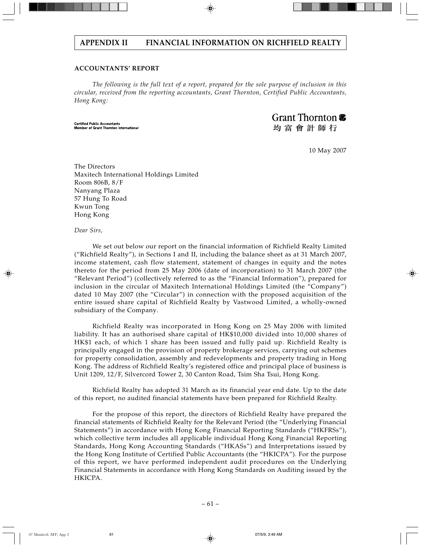# **ACCOUNTANTS' REPORT**

*The following is the full text of a report, prepared for the sole purpose of inclusion in this circular, received from the reporting accountants, Grant Thornton, Certified Public Accountants, Hong Kong:*

**Certified Public Accountants** Member of Grant Thornton International Grant Thornton  $\bar{\mathbf{\sigma}}$ 

均富會計師行

10 May 2007

The Directors Maxitech International Holdings Limited Room 806B, 8/F Nanyang Plaza 57 Hung To Road Kwun Tong Hong Kong

*Dear Sirs,*

We set out below our report on the financial information of Richfield Realty Limited ("Richfield Realty"), in Sections I and II, including the balance sheet as at 31 March 2007, income statement, cash flow statement, statement of changes in equity and the notes thereto for the period from 25 May 2006 (date of incorporation) to 31 March 2007 (the "Relevant Period") (collectively referred to as the "Financial Information"), prepared for inclusion in the circular of Maxitech International Holdings Limited (the "Company") dated 10 May 2007 (the "Circular") in connection with the proposed acquisition of the entire issued share capital of Richfield Realty by Vastwood Limited, a wholly-owned subsidiary of the Company.

Richfield Realty was incorporated in Hong Kong on 25 May 2006 with limited liability. It has an authorised share capital of HK\$10,000 divided into 10,000 shares of HK\$1 each, of which 1 share has been issued and fully paid up. Richfield Realty is principally engaged in the provision of property brokerage services, carrying out schemes for property consolidation, assembly and redevelopments and property trading in Hong Kong. The address of Richfield Realty's registered office and principal place of business is Unit 1209, 12/F, Silvercord Tower 2, 30 Canton Road, Tsim Sha Tsui, Hong Kong.

Richfield Realty has adopted 31 March as its financial year end date. Up to the date of this report, no audited financial statements have been prepared for Richfield Realty.

For the propose of this report, the directors of Richfield Realty have prepared the financial statements of Richfield Realty for the Relevant Period (the "Underlying Financial Statements") in accordance with Hong Kong Financial Reporting Standards ("HKFRSs"), which collective term includes all applicable individual Hong Kong Financial Reporting Standards, Hong Kong Accounting Standards ("HKASs") and Interpretations issued by the Hong Kong Institute of Certified Public Accountants (the "HKICPA"). For the purpose of this report, we have performed independent audit procedures on the Underlying Financial Statements in accordance with Hong Kong Standards on Auditing issued by the HKICPA.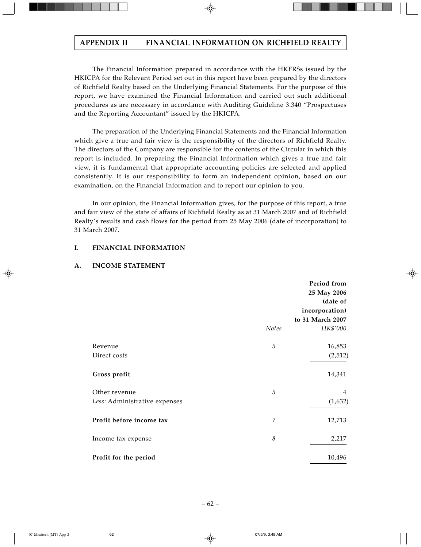The Financial Information prepared in accordance with the HKFRSs issued by the HKICPA for the Relevant Period set out in this report have been prepared by the directors of Richfield Realty based on the Underlying Financial Statements. For the purpose of this report, we have examined the Financial Information and carried out such additional procedures as are necessary in accordance with Auditing Guideline 3.340 "Prospectuses and the Reporting Accountant" issued by the HKICPA.

The preparation of the Underlying Financial Statements and the Financial Information which give a true and fair view is the responsibility of the directors of Richfield Realty. The directors of the Company are responsible for the contents of the Circular in which this report is included. In preparing the Financial Information which gives a true and fair view, it is fundamental that appropriate accounting policies are selected and applied consistently. It is our responsibility to form an independent opinion, based on our examination, on the Financial Information and to report our opinion to you.

In our opinion, the Financial Information gives, for the purpose of this report, a true and fair view of the state of affairs of Richfield Realty as at 31 March 2007 and of Richfield Realty's results and cash flows for the period from 25 May 2006 (date of incorporation) to 31 March 2007.

# **I. FINANCIAL INFORMATION**

# **A. INCOME STATEMENT**

|                               |                | Period from<br>25 May 2006<br>(date of |
|-------------------------------|----------------|----------------------------------------|
|                               |                | incorporation)<br>to 31 March 2007     |
|                               | Notes          | HK\$'000                               |
| Revenue                       | 5              | 16,853                                 |
| Direct costs                  |                | (2,512)                                |
| Gross profit                  |                | 14,341                                 |
| Other revenue                 | 5              | 4                                      |
| Less: Administrative expenses |                | (1,632)                                |
| Profit before income tax      | $\overline{7}$ | 12,713                                 |
| Income tax expense            | 8              | 2,217                                  |
| Profit for the period         |                | 10,496                                 |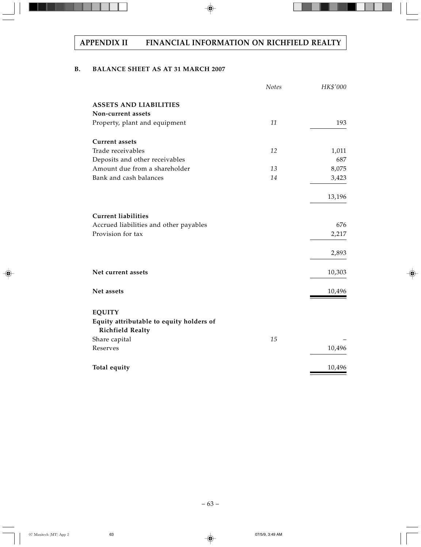# **B. BALANCE SHEET AS AT 31 MARCH 2007**

|                                                                     | Notes | HK\$'000 |
|---------------------------------------------------------------------|-------|----------|
| <b>ASSETS AND LIABILITIES</b>                                       |       |          |
| Non-current assets                                                  |       |          |
| Property, plant and equipment                                       | 11    | 193      |
| <b>Current assets</b>                                               |       |          |
| Trade receivables                                                   | 12    | 1,011    |
| Deposits and other receivables                                      |       | 687      |
| Amount due from a shareholder                                       | 13    | 8,075    |
| Bank and cash balances                                              | 14    | 3,423    |
|                                                                     |       | 13,196   |
| <b>Current liabilities</b>                                          |       |          |
| Accrued liabilities and other payables                              |       | 676      |
| Provision for tax                                                   |       | 2,217    |
|                                                                     |       | 2,893    |
| Net current assets                                                  |       | 10,303   |
| Net assets                                                          |       | 10,496   |
| <b>EQUITY</b>                                                       |       |          |
| Equity attributable to equity holders of<br><b>Richfield Realty</b> |       |          |
| Share capital                                                       | 15    |          |
| Reserves                                                            |       | 10,496   |
| Total equity                                                        |       | 10,496   |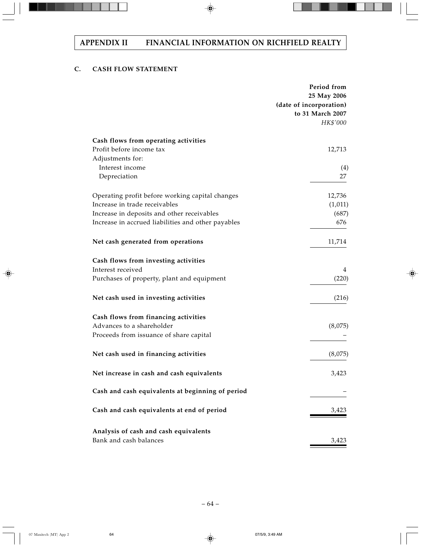# **C. CASH FLOW STATEMENT**

|                                                    | Period from<br>25 May 2006<br>(date of incorporation)<br>to 31 March 2007<br>HK\$'000 |
|----------------------------------------------------|---------------------------------------------------------------------------------------|
| Cash flows from operating activities               |                                                                                       |
| Profit before income tax                           | 12,713                                                                                |
| Adjustments for:<br>Interest income                |                                                                                       |
| Depreciation                                       | $\left(4\right)$<br>27                                                                |
| Operating profit before working capital changes    | 12,736                                                                                |
| Increase in trade receivables                      | (1,011)                                                                               |
| Increase in deposits and other receivables         | (687)                                                                                 |
| Increase in accrued liabilities and other payables | 676                                                                                   |
| Net cash generated from operations                 | 11,714                                                                                |
| Cash flows from investing activities               |                                                                                       |
| Interest received                                  | 4                                                                                     |
| Purchases of property, plant and equipment         | (220)                                                                                 |
| Net cash used in investing activities              | (216)                                                                                 |
| Cash flows from financing activities               |                                                                                       |
| Advances to a shareholder                          | (8,075)                                                                               |
| Proceeds from issuance of share capital            |                                                                                       |
| Net cash used in financing activities              | (8,075)                                                                               |
| Net increase in cash and cash equivalents          | 3,423                                                                                 |
| Cash and cash equivalents at beginning of period   |                                                                                       |
| Cash and cash equivalents at end of period         | 3,423                                                                                 |
| Analysis of cash and cash equivalents              |                                                                                       |
| Bank and cash balances                             | 3,423                                                                                 |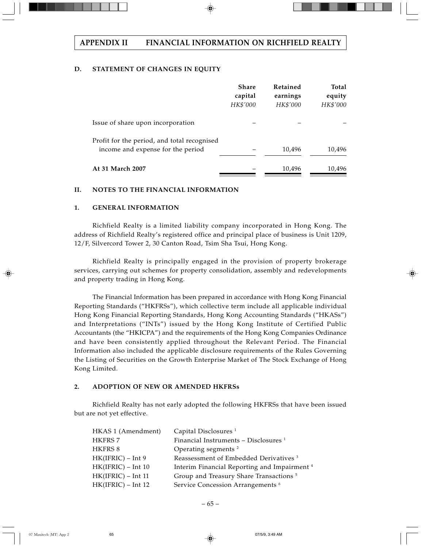# **D. STATEMENT OF CHANGES IN EQUITY**

|                                                                                  | <b>Share</b><br>capital<br>HK\$'000 | Retained<br>earnings<br>HK\$'000 | <b>Total</b><br>equity<br>HK\$'000 |
|----------------------------------------------------------------------------------|-------------------------------------|----------------------------------|------------------------------------|
| Issue of share upon incorporation                                                |                                     |                                  |                                    |
| Profit for the period, and total recognised<br>income and expense for the period |                                     | 10,496                           | 10,496                             |
| At 31 March 2007                                                                 |                                     | 10,496                           | 10,496                             |

# **II. NOTES TO THE FINANCIAL INFORMATION**

# **1. GENERAL INFORMATION**

Richfield Realty is a limited liability company incorporated in Hong Kong. The address of Richfield Realty's registered office and principal place of business is Unit 1209, 12/F, Silvercord Tower 2, 30 Canton Road, Tsim Sha Tsui, Hong Kong.

Richfield Realty is principally engaged in the provision of property brokerage services, carrying out schemes for property consolidation, assembly and redevelopments and property trading in Hong Kong.

The Financial Information has been prepared in accordance with Hong Kong Financial Reporting Standards ("HKFRSs"), which collective term include all applicable individual Hong Kong Financial Reporting Standards, Hong Kong Accounting Standards ("HKASs") and Interpretations ("INTs") issued by the Hong Kong Institute of Certified Public Accountants (the "HKICPA") and the requirements of the Hong Kong Companies Ordinance and have been consistently applied throughout the Relevant Period. The Financial Information also included the applicable disclosure requirements of the Rules Governing the Listing of Securities on the Growth Enterprise Market of The Stock Exchange of Hong Kong Limited.

# **2. ADOPTION OF NEW OR AMENDED HKFRSs**

Richfield Realty has not early adopted the following HKFRSs that have been issued but are not yet effective.

| HKAS 1 (Amendment)   | Capital Disclosures <sup>1</sup>                        |
|----------------------|---------------------------------------------------------|
| <b>HKFRS 7</b>       | Financial Instruments - Disclosures <sup>1</sup>        |
| HKFRS 8              | Operating segments <sup>2</sup>                         |
| $HK(IFRIC) - Int 9$  | Reassessment of Embedded Derivatives <sup>3</sup>       |
| $HK(IFRIC) - Int 10$ | Interim Financial Reporting and Impairment <sup>4</sup> |
| $HK(IFRIC) - Int 11$ | Group and Treasury Share Transactions <sup>5</sup>      |
| $HK(IFRIC) - Int 12$ | Service Concession Arrangements <sup>6</sup>            |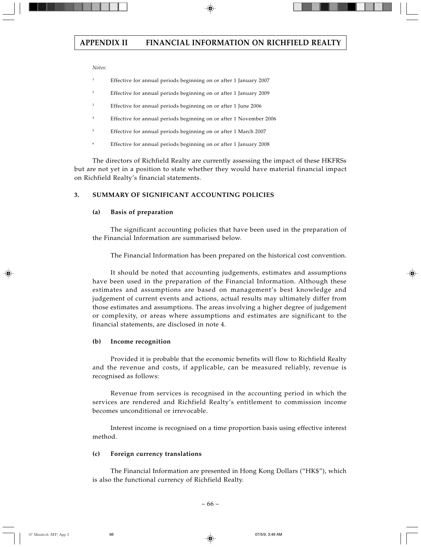*Notes:*

- <sup>1</sup> Effective for annual periods beginning on or after 1 January 2007
- <sup>2</sup> Effective for annual periods beginning on or after 1 January 2009
- <sup>3</sup> Effective for annual periods beginning on or after 1 June 2006
- <sup>4</sup> Effective for annual periods beginning on or after 1 November 2006
- <sup>5</sup> Effective for annual periods beginning on or after 1 March 2007
- <sup>6</sup> Effective for annual periods beginning on or after 1 January 2008

The directors of Richfield Realty are currently assessing the impact of these HKFRSs but are not yet in a position to state whether they would have material financial impact on Richfield Realty's financial statements.

# **3. SUMMARY OF SIGNIFICANT ACCOUNTING POLICIES**

### **(a) Basis of preparation**

The significant accounting policies that have been used in the preparation of the Financial Information are summarised below.

The Financial Information has been prepared on the historical cost convention.

It should be noted that accounting judgements, estimates and assumptions have been used in the preparation of the Financial Information. Although these estimates and assumptions are based on management's best knowledge and judgement of current events and actions, actual results may ultimately differ from those estimates and assumptions. The areas involving a higher degree of judgement or complexity, or areas where assumptions and estimates are significant to the financial statements, are disclosed in note 4.

## **(b) Income recognition**

Provided it is probable that the economic benefits will flow to Richfield Realty and the revenue and costs, if applicable, can be measured reliably, revenue is recognised as follows:

Revenue from services is recognised in the accounting period in which the services are rendered and Richfield Realty's entitlement to commission income becomes unconditional or irrevocable.

Interest income is recognised on a time proportion basis using effective interest method.

### **(c) Foreign currency translations**

The Financial Information are presented in Hong Kong Dollars ("HK\$"), which is also the functional currency of Richfield Realty.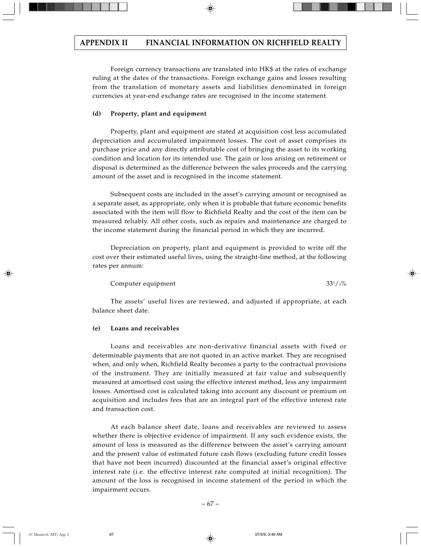Foreign currency transactions are translated into HK\$ at the rates of exchange ruling at the dates of the transactions. Foreign exchange gains and losses resulting from the translation of monetary assets and liabilities denominated in foreign currencies at year-end exchange rates are recognised in the income statement.

# **(d) Property, plant and equipment**

Property, plant and equipment are stated at acquisition cost less accumulated depreciation and accumulated impairment losses. The cost of asset comprises its purchase price and any directly attributable cost of bringing the asset to its working condition and location for its intended use. The gain or loss arising on retirement or disposal is determined as the difference between the sales proceeds and the carrying amount of the asset and is recognised in the income statement.

Subsequent costs are included in the asset's carrying amount or recognised as a separate asset, as appropriate, only when it is probable that future economic benefits associated with the item will flow to Richfield Realty and the cost of the item can be measured reliably. All other costs, such as repairs and maintenance are charged to the income statement during the financial period in which they are incurred.

Depreciation on property, plant and equipment is provided to write off the cost over their estimated useful lives, using the straight-line method, at the following rates per annum:

Computer equipment

The assets' useful lives are reviewed, and adjusted if appropriate, at each balance sheet date.

# **(e) Loans and receivables**

Loans and receivables are non-derivative financial assets with fixed or determinable payments that are not quoted in an active market. They are recognised when, and only when, Richfield Realty becomes a party to the contractual provisions of the instrument. They are initially measured at fair value and subsequently measured at amortised cost using the effective interest method, less any impairment losses. Amortised cost is calculated taking into account any discount or premium on acquisition and includes fees that are an integral part of the effective interest rate and transaction cost.

At each balance sheet date, loans and receivables are reviewed to assess whether there is objective evidence of impairment. If any such evidence exists, the amount of loss is measured as the difference between the asset's carrying amount and the present value of estimated future cash flows (excluding future credit losses that have not been incurred) discounted at the financial asset's original effective interest rate (i.e. the effective interest rate computed at initial recognition). The amount of the loss is recognised in income statement of the period in which the impairment occurs.

 $33^{1}/_{3}\%$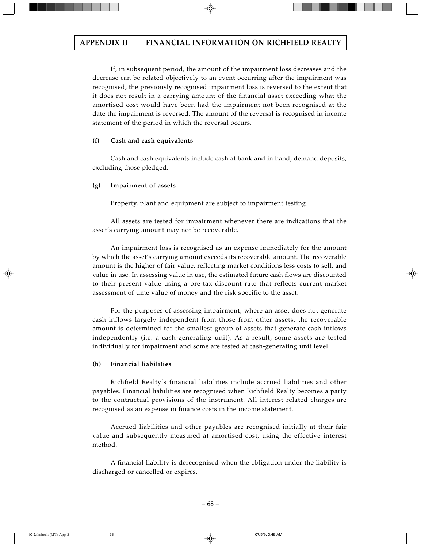If, in subsequent period, the amount of the impairment loss decreases and the decrease can be related objectively to an event occurring after the impairment was recognised, the previously recognised impairment loss is reversed to the extent that it does not result in a carrying amount of the financial asset exceeding what the amortised cost would have been had the impairment not been recognised at the date the impairment is reversed. The amount of the reversal is recognised in income statement of the period in which the reversal occurs.

# **(f) Cash and cash equivalents**

Cash and cash equivalents include cash at bank and in hand, demand deposits, excluding those pledged.

# **(g) Impairment of assets**

Property, plant and equipment are subject to impairment testing.

All assets are tested for impairment whenever there are indications that the asset's carrying amount may not be recoverable.

An impairment loss is recognised as an expense immediately for the amount by which the asset's carrying amount exceeds its recoverable amount. The recoverable amount is the higher of fair value, reflecting market conditions less costs to sell, and value in use. In assessing value in use, the estimated future cash flows are discounted to their present value using a pre-tax discount rate that reflects current market assessment of time value of money and the risk specific to the asset.

For the purposes of assessing impairment, where an asset does not generate cash inflows largely independent from those from other assets, the recoverable amount is determined for the smallest group of assets that generate cash inflows independently (i.e. a cash-generating unit). As a result, some assets are tested individually for impairment and some are tested at cash-generating unit level.

# **(h) Financial liabilities**

Richfield Realty's financial liabilities include accrued liabilities and other payables. Financial liabilities are recognised when Richfield Realty becomes a party to the contractual provisions of the instrument. All interest related charges are recognised as an expense in finance costs in the income statement.

Accrued liabilities and other payables are recognised initially at their fair value and subsequently measured at amortised cost, using the effective interest method.

A financial liability is derecognised when the obligation under the liability is discharged or cancelled or expires.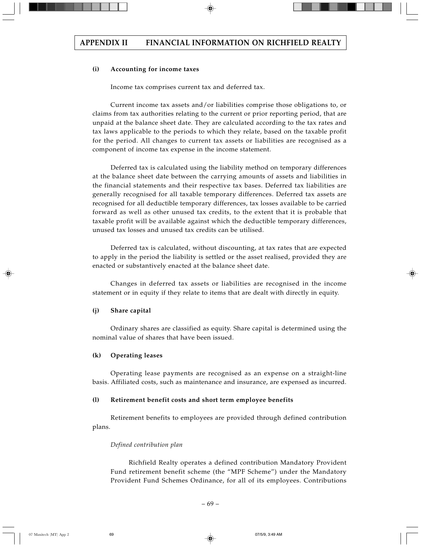# **(i) Accounting for income taxes**

Income tax comprises current tax and deferred tax.

Current income tax assets and/or liabilities comprise those obligations to, or claims from tax authorities relating to the current or prior reporting period, that are unpaid at the balance sheet date. They are calculated according to the tax rates and tax laws applicable to the periods to which they relate, based on the taxable profit for the period. All changes to current tax assets or liabilities are recognised as a component of income tax expense in the income statement.

Deferred tax is calculated using the liability method on temporary differences at the balance sheet date between the carrying amounts of assets and liabilities in the financial statements and their respective tax bases. Deferred tax liabilities are generally recognised for all taxable temporary differences. Deferred tax assets are recognised for all deductible temporary differences, tax losses available to be carried forward as well as other unused tax credits, to the extent that it is probable that taxable profit will be available against which the deductible temporary differences, unused tax losses and unused tax credits can be utilised.

Deferred tax is calculated, without discounting, at tax rates that are expected to apply in the period the liability is settled or the asset realised, provided they are enacted or substantively enacted at the balance sheet date.

Changes in deferred tax assets or liabilities are recognised in the income statement or in equity if they relate to items that are dealt with directly in equity.

## **(j) Share capital**

Ordinary shares are classified as equity. Share capital is determined using the nominal value of shares that have been issued.

# **(k) Operating leases**

Operating lease payments are recognised as an expense on a straight-line basis. Affiliated costs, such as maintenance and insurance, are expensed as incurred.

## **(l) Retirement benefit costs and short term employee benefits**

Retirement benefits to employees are provided through defined contribution plans.

## *Defined contribution plan*

Richfield Realty operates a defined contribution Mandatory Provident Fund retirement benefit scheme (the "MPF Scheme") under the Mandatory Provident Fund Schemes Ordinance, for all of its employees. Contributions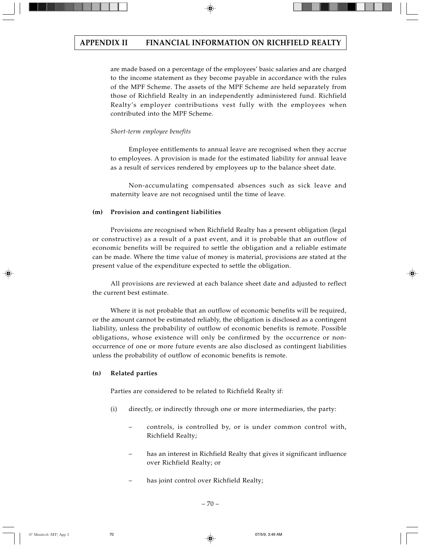are made based on a percentage of the employees' basic salaries and are charged to the income statement as they become payable in accordance with the rules of the MPF Scheme. The assets of the MPF Scheme are held separately from those of Richfield Realty in an independently administered fund. Richfield Realty's employer contributions vest fully with the employees when contributed into the MPF Scheme.

## *Short-term employee benefits*

Employee entitlements to annual leave are recognised when they accrue to employees. A provision is made for the estimated liability for annual leave as a result of services rendered by employees up to the balance sheet date.

Non-accumulating compensated absences such as sick leave and maternity leave are not recognised until the time of leave.

### **(m) Provision and contingent liabilities**

Provisions are recognised when Richfield Realty has a present obligation (legal or constructive) as a result of a past event, and it is probable that an outflow of economic benefits will be required to settle the obligation and a reliable estimate can be made. Where the time value of money is material, provisions are stated at the present value of the expenditure expected to settle the obligation.

All provisions are reviewed at each balance sheet date and adjusted to reflect the current best estimate.

Where it is not probable that an outflow of economic benefits will be required, or the amount cannot be estimated reliably, the obligation is disclosed as a contingent liability, unless the probability of outflow of economic benefits is remote. Possible obligations, whose existence will only be confirmed by the occurrence or nonoccurrence of one or more future events are also disclosed as contingent liabilities unless the probability of outflow of economic benefits is remote.

# **(n) Related parties**

Parties are considered to be related to Richfield Realty if:

- (i) directly, or indirectly through one or more intermediaries, the party:
	- controls, is controlled by, or is under common control with, Richfield Realty;
	- has an interest in Richfield Realty that gives it significant influence over Richfield Realty; or
	- has joint control over Richfield Realty;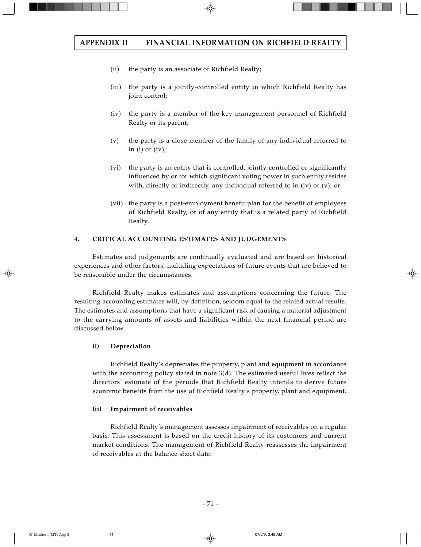- (ii) the party is an associate of Richfield Realty;
- (iii) the party is a jointly-controlled entity in which Richfield Realty has joint control;
- (iv) the party is a member of the key management personnel of Richfield Realty or its parent;
- (v) the party is a close member of the family of any individual referred to in (i) or (iv);
- (vi) the party is an entity that is controlled, jointly-controlled or significantly influenced by or for which significant voting power in such entity resides with, directly or indirectly, any individual referred to in (iv) or (v); or
- (vii) the party is a post-employment benefit plan for the benefit of employees of Richfield Realty, or of any entity that is a related party of Richfield Realty.

# **4. CRITICAL ACCOUNTING ESTIMATES AND JUDGEMENTS**

Estimates and judgements are continually evaluated and are based on historical experiences and other factors, including expectations of future events that are believed to be reasonable under the circumstances.

Richfield Realty makes estimates and assumptions concerning the future. The resulting accounting estimates will, by definition, seldom equal to the related actual results. The estimates and assumptions that have a significant risk of causing a material adjustment to the carrying amounts of assets and liabilities within the next financial period are discussed below.

# **(i) Depreciation**

Richfield Realty's depreciates the property, plant and equipment in accordance with the accounting policy stated in note 3(d). The estimated useful lives reflect the directors' estimate of the periods that Richfield Realty intends to derive future economic benefits from the use of Richfield Realty's property, plant and equipment.

# **(ii) Impairment of receivables**

Richfield Realty's management assesses impairment of receivables on a regular basis. This assessment is based on the credit history of its customers and current market conditions. The management of Richfield Realty reassesses the impairment of receivables at the balance sheet date.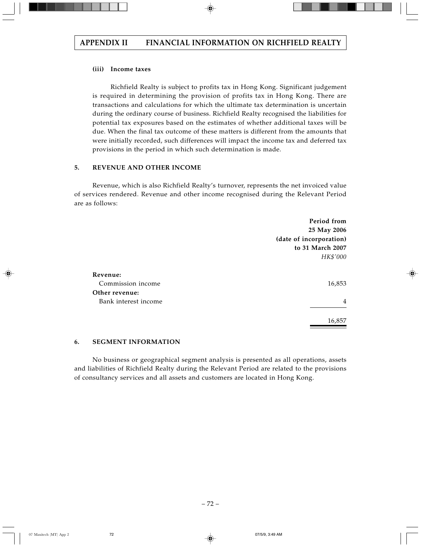### **(iii) Income taxes**

Richfield Realty is subject to profits tax in Hong Kong. Significant judgement is required in determining the provision of profits tax in Hong Kong. There are transactions and calculations for which the ultimate tax determination is uncertain during the ordinary course of business. Richfield Realty recognised the liabilities for potential tax exposures based on the estimates of whether additional taxes will be due. When the final tax outcome of these matters is different from the amounts that were initially recorded, such differences will impact the income tax and deferred tax provisions in the period in which such determination is made.

### **5. REVENUE AND OTHER INCOME**

Revenue, which is also Richfield Realty's turnover, represents the net invoiced value of services rendered. Revenue and other income recognised during the Relevant Period are as follows:

| Period from             |
|-------------------------|
| 25 May 2006             |
| (date of incorporation) |
| to 31 March 2007        |
| HK\$'000                |
|                         |
|                         |
| 16,853                  |
|                         |
| 4                       |
| 16,857                  |
|                         |

### **6. SEGMENT INFORMATION**

No business or geographical segment analysis is presented as all operations, assets and liabilities of Richfield Realty during the Relevant Period are related to the provisions of consultancy services and all assets and customers are located in Hong Kong.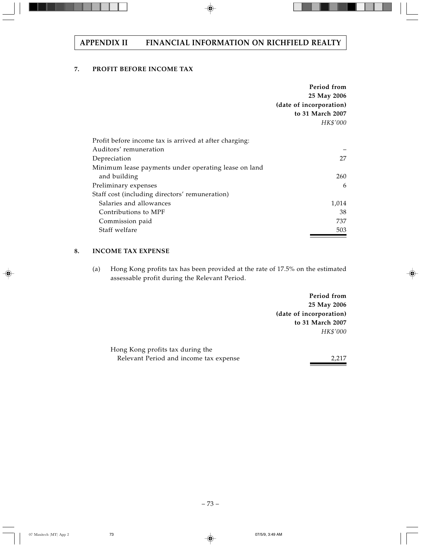# **7. PROFIT BEFORE INCOME TAX**

|                                                        | Period from<br>25 May 2006<br>(date of incorporation)<br>to 31 March 2007 |
|--------------------------------------------------------|---------------------------------------------------------------------------|
|                                                        | HK\$'000                                                                  |
| Profit before income tax is arrived at after charging: |                                                                           |
| Auditors' remuneration                                 |                                                                           |
| Depreciation                                           | 27                                                                        |
| Minimum lease payments under operating lease on land   |                                                                           |
| and building                                           | 260                                                                       |
| Preliminary expenses                                   | 6                                                                         |
| Staff cost (including directors' remuneration)         |                                                                           |
| Salaries and allowances                                | 1,014                                                                     |
| Contributions to MPF                                   | 38                                                                        |
| Commission paid                                        | 737                                                                       |
| Staff welfare                                          | 503                                                                       |

# **8. INCOME TAX EXPENSE**

(a) Hong Kong profits tax has been provided at the rate of 17.5% on the estimated assessable profit during the Relevant Period.

> **Period from 25 May 2006 (date of incorporation) to 31 March 2007** *HK\$'000*

| Hong Kong profits tax during the       |       |
|----------------------------------------|-------|
| Relevant Period and income tax expense | 2.217 |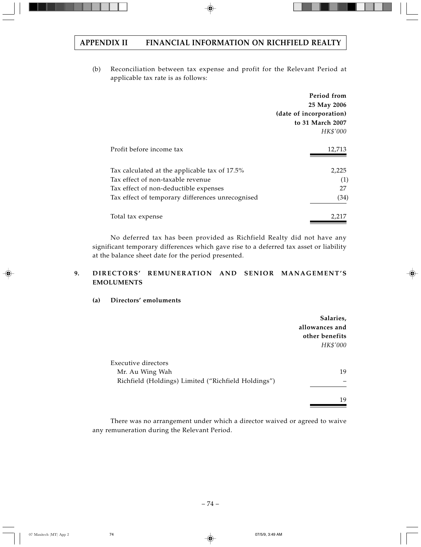(b) Reconciliation between tax expense and profit for the Relevant Period at applicable tax rate is as follows:

|                                                  | Period from             |
|--------------------------------------------------|-------------------------|
|                                                  | 25 May 2006             |
|                                                  | (date of incorporation) |
|                                                  | to 31 March 2007        |
|                                                  | HK\$'000                |
|                                                  |                         |
| Profit before income tax                         | 12,713                  |
|                                                  |                         |
| Tax calculated at the applicable tax of 17.5%    | 2,225                   |
| Tax effect of non-taxable revenue                | (1)                     |
| Tax effect of non-deductible expenses            | 27                      |
| Tax effect of temporary differences unrecognised | (34)                    |
| Total tax expense                                | 2,217                   |
|                                                  |                         |

No deferred tax has been provided as Richfield Realty did not have any significant temporary differences which gave rise to a deferred tax asset or liability at the balance sheet date for the period presented.

# **9. DIRECTORS' REMUNERATION AND SENIOR MANAGEMENT'S EMOLUMENTS**

# **(a) Directors' emoluments**

|                                                     | Salaries,      |
|-----------------------------------------------------|----------------|
|                                                     | allowances and |
|                                                     | other benefits |
|                                                     | HK\$'000       |
|                                                     |                |
| Executive directors                                 |                |
| Mr. Au Wing Wah                                     | 19             |
| Richfield (Holdings) Limited ("Richfield Holdings") |                |
|                                                     | 19             |

There was no arrangement under which a director waived or agreed to waive any remuneration during the Relevant Period.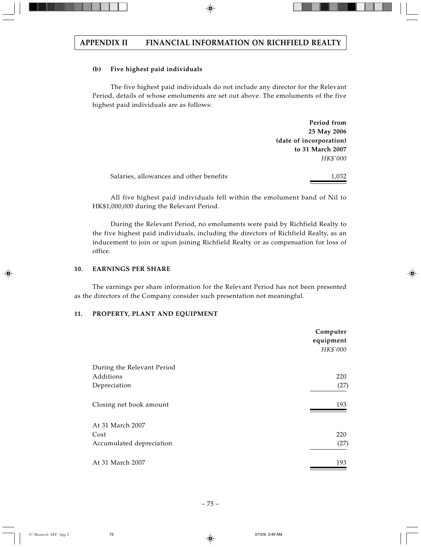## **(b) Five highest paid individuals**

The five highest paid individuals do not include any director for the Relevant Period, details of whose emoluments are set out above. The emoluments of the five highest paid individuals are as follows:

> **Period from 25 May 2006 (date of incorporation) to 31 March 2007** *HK\$'000*

| Salaries, allowances and other benefits | 1,032 |
|-----------------------------------------|-------|
|                                         |       |

All five highest paid individuals fell within the emolument band of Nil to HK\$1,000,000 during the Relevant Period.

During the Relevant Period, no emoluments were paid by Richfield Realty to the five highest paid individuals, including the directors of Richfield Realty, as an inducement to join or upon joining Richfield Realty or as compensation for loss of office.

#### **10. EARNINGS PER SHARE**

The earnings per share information for the Relevant Period has not been presented as the directors of the Company consider such presentation not meaningful.

#### **11. PROPERTY, PLANT AND EQUIPMENT**

|                            | Computer<br>equipment<br>HK\$'000 |
|----------------------------|-----------------------------------|
| During the Relevant Period |                                   |
| Additions                  | 220                               |
| Depreciation               | (27)                              |
| Closing net book amount    | 193                               |
| At 31 March 2007           |                                   |
| Cost                       | 220                               |
| Accumulated depreciation   | (27)                              |
| At 31 March 2007           | 193                               |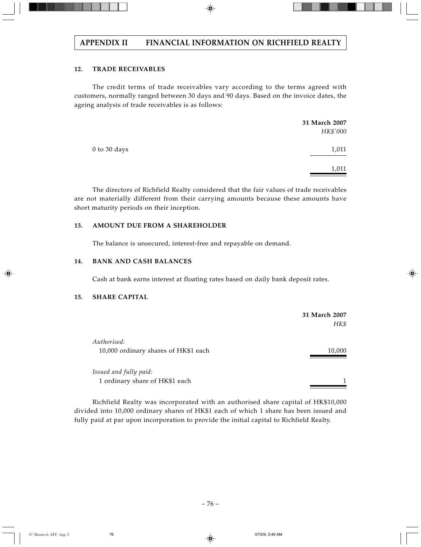# **12. TRADE RECEIVABLES**

The credit terms of trade receivables vary according to the terms agreed with customers, normally ranged between 30 days and 90 days. Based on the invoice dates, the ageing analysis of trade receivables is as follows:

|              | 31 March 2007 |
|--------------|---------------|
|              | HK\$'000      |
| 0 to 30 days | 1,011         |
|              | 1,011         |

The directors of Richfield Realty considered that the fair values of trade receivables are not materially different from their carrying amounts because these amounts have short maturity periods on their inception.

# **13. AMOUNT DUE FROM A SHAREHOLDER**

The balance is unsecured, interest-free and repayable on demand.

# **14. BANK AND CASH BALANCES**

Cash at bank earns interest at floating rates based on daily bank deposit rates.

# **15. SHARE CAPITAL**

|                                                          | 31 March 2007<br>HK\$ |
|----------------------------------------------------------|-----------------------|
| Authorised:<br>10,000 ordinary shares of HK\$1 each      | 10,000                |
| Issued and fully paid:<br>1 ordinary share of HK\$1 each |                       |

Richfield Realty was incorporated with an authorised share capital of HK\$10,000 divided into 10,000 ordinary shares of HK\$1 each of which 1 share has been issued and fully paid at par upon incorporation to provide the initial capital to Richfield Realty.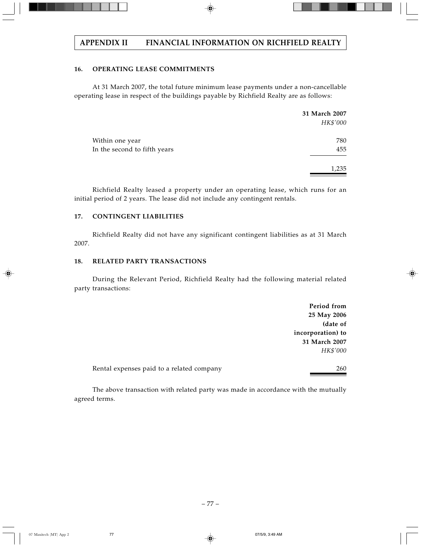# **16. OPERATING LEASE COMMITMENTS**

At 31 March 2007, the total future minimum lease payments under a non-cancellable operating lease in respect of the buildings payable by Richfield Realty are as follows:

|                              | 31 March 2007 |
|------------------------------|---------------|
|                              | HK\$'000      |
| Within one year              | 780           |
| In the second to fifth years | 455           |
|                              | 1,235         |

Richfield Realty leased a property under an operating lease, which runs for an initial period of 2 years. The lease did not include any contingent rentals.

# **17. CONTINGENT LIABILITIES**

Richfield Realty did not have any significant contingent liabilities as at 31 March 2007.

### **18. RELATED PARTY TRANSACTIONS**

During the Relevant Period, Richfield Realty had the following material related party transactions:

> **Period from 25 May 2006 (date of incorporation) to 31 March 2007** *HK\$'000*

Rental expenses paid to a related company method of the 260

The above transaction with related party was made in accordance with the mutually agreed terms.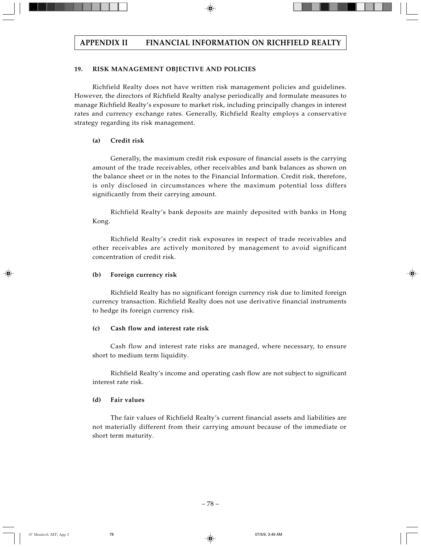# **19. RISK MANAGEMENT OBJECTIVE AND POLICIES**

Richfield Realty does not have written risk management policies and guidelines. However, the directors of Richfield Realty analyse periodically and formulate measures to manage Richfield Realty's exposure to market risk, including principally changes in interest rates and currency exchange rates. Generally, Richfield Realty employs a conservative strategy regarding its risk management.

# **(a) Credit risk**

Generally, the maximum credit risk exposure of financial assets is the carrying amount of the trade receivables, other receivables and bank balances as shown on the balance sheet or in the notes to the Financial Information. Credit risk, therefore, is only disclosed in circumstances where the maximum potential loss differs significantly from their carrying amount.

Richfield Realty's bank deposits are mainly deposited with banks in Hong Kong.

Richfield Realty's credit risk exposures in respect of trade receivables and other receivables are actively monitored by management to avoid significant concentration of credit risk.

# **(b) Foreign currency risk**

Richfield Realty has no significant foreign currency risk due to limited foreign currency transaction. Richfield Realty does not use derivative financial instruments to hedge its foreign currency risk.

# **(c) Cash flow and interest rate risk**

Cash flow and interest rate risks are managed, where necessary, to ensure short to medium term liquidity.

Richfield Realty's income and operating cash flow are not subject to significant interest rate risk.

# **(d) Fair values**

The fair values of Richfield Realty's current financial assets and liabilities are not materially different from their carrying amount because of the immediate or short term maturity.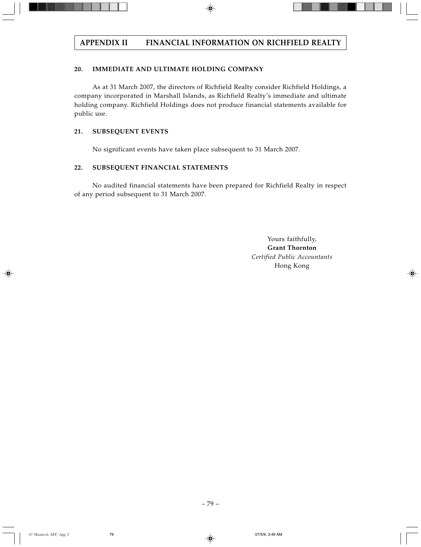# **20. IMMEDIATE AND ULTIMATE HOLDING COMPANY**

As at 31 March 2007, the directors of Richfield Realty consider Richfield Holdings, a company incorporated in Marshall Islands, as Richfield Realty's immediate and ultimate holding company. Richfield Holdings does not produce financial statements available for public use.

# **21. SUBSEQUENT EVENTS**

No significant events have taken place subsequent to 31 March 2007.

# **22. SUBSEQUENT FINANCIAL STATEMENTS**

No audited financial statements have been prepared for Richfield Realty in respect of any period subsequent to 31 March 2007.

> Yours faithfully, **Grant Thornton** *Certified Public Accountants* Hong Kong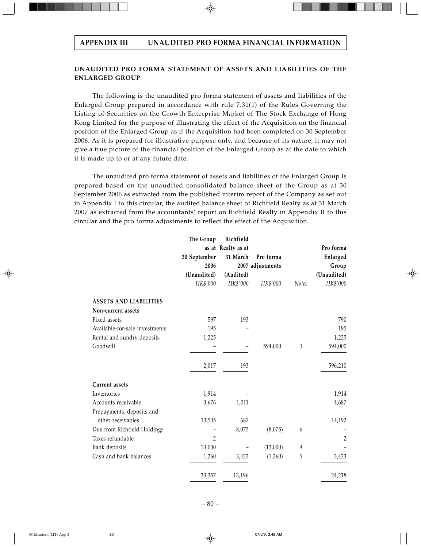# **UNAUDITED PRO FORMA STATEMENT OF ASSETS AND LIABILITIES OF THE ENLARGED GROUP**

The following is the unaudited pro forma statement of assets and liabilities of the Enlarged Group prepared in accordance with rule 7.31(1) of the Rules Governing the Listing of Securities on the Growth Enterprise Market of The Stock Exchange of Hong Kong Limited for the purpose of illustrating the effect of the Acquisition on the financial position of the Enlarged Group as if the Acquisition had been completed on 30 September 2006. As it is prepared for illustrative purpose only, and because of its nature, it may not give a true picture of the financial position of the Enlarged Group as at the date to which it is made up to or at any future date.

The unaudited pro forma statement of assets and liabilities of the Enlarged Group is prepared based on the unaudited consolidated balance sheet of the Group as at 30 September 2006 as extracted from the published interim report of the Company as set out in Appendix I to this circular, the audited balance sheet of Richfield Realty as at 31 March 2007 as extracted from the accountants' report on Richfield Realty in Appendix II to this circular and the pro forma adjustments to reflect the effect of the Acquisition.

|                                | The Group      | Richfield          |                  |                |                |
|--------------------------------|----------------|--------------------|------------------|----------------|----------------|
|                                |                | as at Realty as at |                  |                | Pro forma      |
|                                | 30 September   | 31 March           | Pro forma        |                | Enlarged       |
|                                | 2006           |                    | 2007 adjustments |                | Group          |
|                                | (Unaudited)    | (Audited)          |                  |                | (Unaudited)    |
|                                | HK\$'000       | HK\$'000           | HK\$'000         | <b>Notes</b>   | HK\$'000       |
| <b>ASSETS AND LIABILITIES</b>  |                |                    |                  |                |                |
| Non-current assets             |                |                    |                  |                |                |
| Fixed assets                   | 597            | 193                |                  |                | 790            |
| Available-for-sale investments | 195            |                    |                  |                | 195            |
| Rental and sundry deposits     | 1,225          |                    |                  |                | 1,225          |
| Goodwill                       |                |                    | 594,000          | $\mathfrak{Z}$ | 594,000        |
|                                | 2,017          | 193                |                  |                | 596,210        |
| <b>Current</b> assets          |                |                    |                  |                |                |
| Inventories                    | 1,914          |                    |                  |                | 1,914          |
| Accounts receivable            | 3,676          | 1,011              |                  |                | 4,687          |
| Prepayments, deposits and      |                |                    |                  |                |                |
| other receivables              | 13,505         | 687                |                  |                | 14,192         |
| Due from Richfield Holdings    |                | 8,075              | (8,075)          | 6              |                |
| Taxes refundable               | $\overline{2}$ |                    |                  |                | $\overline{2}$ |
| Bank deposits                  | 13,000         |                    | (13,000)         | 4              |                |
| Cash and bank balances         | 1,260          | 3,423              | (1,260)          | 5              | 3,423          |
|                                | 33,357         | 13,196             |                  |                | 24,218         |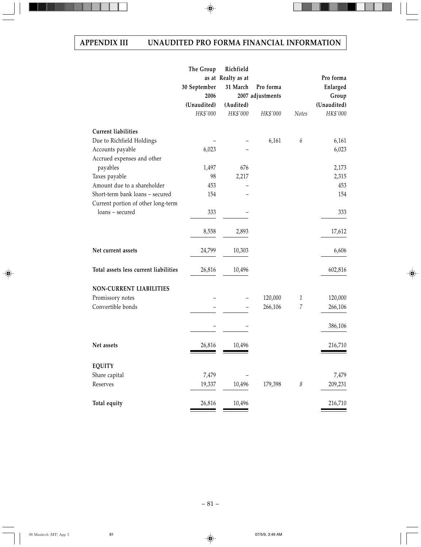|                                       | The Group    | Richfield          |                  |                            |             |
|---------------------------------------|--------------|--------------------|------------------|----------------------------|-------------|
|                                       |              | as at Realty as at |                  |                            | Pro forma   |
|                                       | 30 September | 31 March           | Pro forma        |                            | Enlarged    |
|                                       | 2006         |                    | 2007 adjustments |                            | Group       |
|                                       | (Unaudited)  | (Audited)          |                  |                            | (Unaudited) |
|                                       | HK\$'000     | HK\$'000           | HK\$'000         | <b>Notes</b>               | HK\$'000    |
| <b>Current liabilities</b>            |              |                    |                  |                            |             |
| Due to Richfield Holdings             |              |                    | 6,161            | $\boldsymbol{6}$           | 6,161       |
| Accounts payable                      | 6,023        |                    |                  |                            | 6,023       |
| Accrued expenses and other            |              |                    |                  |                            |             |
| payables                              | 1,497        | 676                |                  |                            | 2,173       |
| Taxes payable                         | 98           | 2,217              |                  |                            | 2,315       |
| Amount due to a shareholder           | 453          |                    |                  |                            | 453         |
| Short-term bank loans - secured       | 154          |                    |                  |                            | 154         |
| Current portion of other long-term    |              |                    |                  |                            |             |
| loans - secured                       | 333          |                    |                  |                            | 333         |
|                                       | 8,558        | 2,893              |                  |                            | 17,612      |
| Net current assets                    | 24,799       | 10,303             |                  |                            | 6,606       |
| Total assets less current liabilities | 26,816       | 10,496             |                  |                            | 602,816     |
| NON-CURRENT LIABILITIES               |              |                    |                  |                            |             |
| Promissory notes                      |              |                    | 120,000          | $\mathbf{1}$               | 120,000     |
| Convertible bonds                     |              |                    | 266,106          | $\overline{7}$             | 266,106     |
|                                       |              |                    |                  |                            | 386,106     |
| Net assets                            | 26,816       | 10,496             |                  |                            | 216,710     |
| <b>EQUITY</b>                         |              |                    |                  |                            |             |
| Share capital                         | 7,479        |                    |                  |                            | 7,479       |
| Reserves                              | 19,337       | 10,496             | 179,398          | $\boldsymbol{\mathcal{S}}$ | 209,231     |
|                                       |              |                    |                  |                            |             |
| Total equity                          | 26,816       | 10,496             |                  |                            | 216,710     |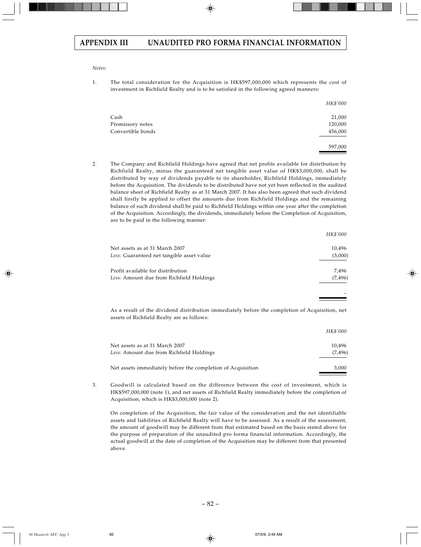#### *Notes:*

1. The total consideration for the Acquisition is HK\$597,000,000 which represents the cost of investment in Richfield Realty and is to be satisfied in the following agreed manners:

|                   | HK\$'000 |
|-------------------|----------|
| Cash              | 21,000   |
| Promissory notes  | 120,000  |
| Convertible bonds | 456,000  |
|                   | 597,000  |

2. The Company and Richfield Holdings have agreed that net profits available for distribution by Richfield Realty, minus the guaranteed net tangible asset value of HK\$3,000,000, shall be distributed by way of dividends payable to its shareholder, Richfield Holdings, immediately before the Acquisition. The dividends to be distributed have not yet been reflected in the audited balance sheet of Richfield Realty as at 31 March 2007. It has also been agreed that such dividend shall firstly be applied to offset the amounts due from Richfield Holdings and the remaining balance of such dividend shall be paid to Richfield Holdings within one year after the completion of the Acquisition. Accordingly, the dividends, immediately before the Completion of Acquisition, are to be paid in the following manner:

|                                           | HK\$'000 |
|-------------------------------------------|----------|
| Net assets as at 31 March 2007            | 10,496   |
| Less: Guaranteed net tangible asset value | (3,000)  |
| Profit available for distribution         | 7,496    |
| Less: Amount due from Richfield Holdings  | (7, 496) |
|                                           |          |

As a result of the dividend distribution immediately before the completion of Acquisition, net assets of Richfield Realty are as follows:

|                                                                            | HK\$'000           |
|----------------------------------------------------------------------------|--------------------|
| Net assets as at 31 March 2007<br>Less: Amount due from Richfield Holdings | 10.496<br>(7, 496) |
| Net assets immediately before the completion of Acquisition                | 3.000              |

3. Goodwill is calculated based on the difference between the cost of investment, which is HK\$597,000,000 (note 1), and net assets of Richfield Realty immediately before the completion of Acquisition, which is HK\$3,000,000 (note 2).

On completion of the Acquisition, the fair value of the consideration and the net identifiable assets and liabilities of Richfield Realty will have to be assessed. As a result of the assessment, the amount of goodwill may be different from that estimated based on the basis stated above for the purpose of preparation of the unaudited pro forma financial information. Accordingly, the actual goodwill at the date of completion of the Acquisition may be different from that presented above.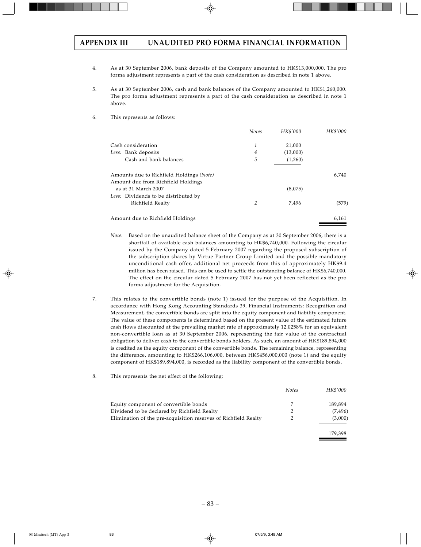- 4. As at 30 September 2006, bank deposits of the Company amounted to HK\$13,000,000. The pro forma adjustment represents a part of the cash consideration as described in note 1 above.
- 5. As at 30 September 2006, cash and bank balances of the Company amounted to HK\$1,260,000. The pro forma adjustment represents a part of the cash consideration as described in note 1 above.
- 6. This represents as follows:

|                                          | <b>Notes</b> | HK\$'000 | HK\$'000 |
|------------------------------------------|--------------|----------|----------|
| Cash consideration                       | 1            | 21,000   |          |
| Less: Bank deposits                      | 4            | (13,000) |          |
| Cash and bank balances                   | 5            | (1,260)  |          |
| Amounts due to Richfield Holdings (Note) |              |          | 6,740    |
| Amount due from Richfield Holdings       |              |          |          |
| as at 31 March 2007                      |              | (8,075)  |          |
| Less: Dividends to be distributed by     |              |          |          |
| Richfield Realty                         | 2            | 7,496    | (579)    |
| Amount due to Richfield Holdings         |              |          | 6,161    |

- *Note:* Based on the unaudited balance sheet of the Company as at 30 September 2006, there is a shortfall of available cash balances amounting to HK\$6,740,000. Following the circular issued by the Company dated 5 February 2007 regarding the proposed subscription of the subscription shares by Virtue Partner Group Limited and the possible mandatory unconditional cash offer, additional net proceeds from this of approximately HK\$9.4 million has been raised. This can be used to settle the outstanding balance of HK\$6,740,000. The effect on the circular dated 5 February 2007 has not yet been reflected as the pro forma adjustment for the Acquisition.
- 7. This relates to the convertible bonds (note 1) issued for the purpose of the Acquisition. In accordance with Hong Kong Accounting Standards 39, Financial Instruments: Recognition and Measurement, the convertible bonds are split into the equity component and liability component. The value of these components is determined based on the present value of the estimated future cash flows discounted at the prevailing market rate of approximately 12.0258% for an equivalent non-convertible loan as at 30 September 2006, representing the fair value of the contractual obligation to deliver cash to the convertible bonds holders. As such, an amount of HK\$189,894,000 is credited as the equity component of the convertible bonds. The remaining balance, representing the difference, amounting to HK\$266,106,000, between HK\$456,000,000 (note 1) and the equity component of HK\$189,894,000, is recorded as the liability component of the convertible bonds.
- 8. This represents the net effect of the following:

|                                                                 | <b>Notes</b> | HK\$'000 |
|-----------------------------------------------------------------|--------------|----------|
| Equity component of convertible bonds                           |              | 189.894  |
| Dividend to be declared by Richfield Realty                     |              | (7, 496) |
| Elimination of the pre-acquisition reserves of Richfield Realty |              | (3,000)  |

179,398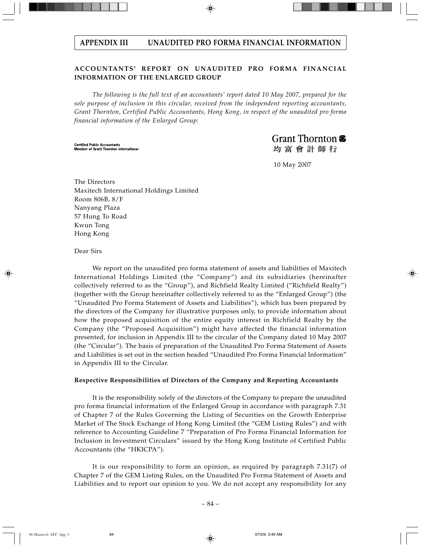# **ACCOUNTANTS' REPORT ON UNAUDITED PRO FORMA FINANCIAL INFORMATION OF THE ENLARGED GROUP**

*The following is the full text of an accountants' report dated 10 May 2007, prepared for the sole purpose of inclusion in this circular, received from the independent reporting accountants, Grant Thornton, Certified Public Accountants, Hong Kong, in respect of the unaudited pro forma financial information of the Enlarged Group:*

**Certified Public Accountants Member of Grant Thornton International**  Grant Thornton <del>T</del> 均富會計師行

10 May 2007

The Directors Maxitech International Holdings Limited Room 806B, 8/F Nanyang Plaza 57 Hung To Road Kwun Tong Hong Kong

Dear Sirs

We report on the unaudited pro forma statement of assets and liabilities of Maxitech International Holdings Limited (the "Company") and its subsidiaries (hereinafter collectively referred to as the "Group"), and Richfield Realty Limited ("Richfield Realty") (together with the Group hereinafter collectively referred to as the "Enlarged Group") (the "Unaudited Pro Forma Statement of Assets and Liabilities"), which has been prepared by the directors of the Company for illustrative purposes only, to provide information about how the proposed acquisition of the entire equity interest in Richfield Realty by the Company (the "Proposed Acquisition") might have affected the financial information presented, for inclusion in Appendix III to the circular of the Company dated 10 May 2007 (the "Circular"). The basis of preparation of the Unaudited Pro Forma Statement of Assets and Liabilities is set out in the section headed "Unaudited Pro Forma Financial Information" in Appendix III to the Circular.

#### **Respective Responsibilities of Directors of the Company and Reporting Accountants**

It is the responsibility solely of the directors of the Company to prepare the unaudited pro forma financial information of the Enlarged Group in accordance with paragraph 7.31 of Chapter 7 of the Rules Governing the Listing of Securities on the Growth Enterprise Market of The Stock Exchange of Hong Kong Limited (the "GEM Listing Rules") and with reference to Accounting Guideline 7 "Preparation of Pro Forma Financial Information for Inclusion in Investment Circulars" issued by the Hong Kong Institute of Certified Public Accountants (the "HKICPA").

It is our responsibility to form an opinion, as required by paragraph 7.31(7) of Chapter 7 of the GEM Listing Rules, on the Unaudited Pro Forma Statement of Assets and Liabilities and to report our opinion to you. We do not accept any responsibility for any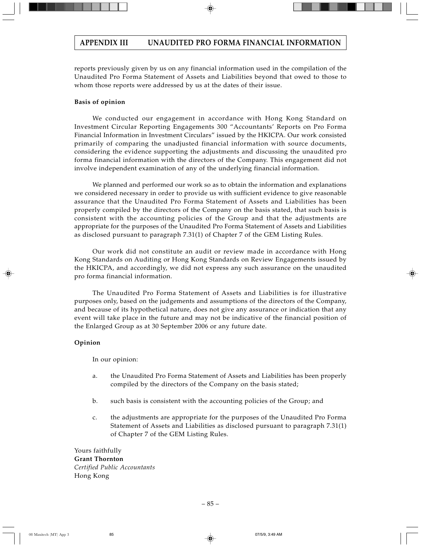reports previously given by us on any financial information used in the compilation of the Unaudited Pro Forma Statement of Assets and Liabilities beyond that owed to those to whom those reports were addressed by us at the dates of their issue.

### **Basis of opinion**

We conducted our engagement in accordance with Hong Kong Standard on Investment Circular Reporting Engagements 300 "Accountants' Reports on Pro Forma Financial Information in Investment Circulars" issued by the HKICPA. Our work consisted primarily of comparing the unadjusted financial information with source documents, considering the evidence supporting the adjustments and discussing the unaudited pro forma financial information with the directors of the Company. This engagement did not involve independent examination of any of the underlying financial information.

We planned and performed our work so as to obtain the information and explanations we considered necessary in order to provide us with sufficient evidence to give reasonable assurance that the Unaudited Pro Forma Statement of Assets and Liabilities has been properly compiled by the directors of the Company on the basis stated, that such basis is consistent with the accounting policies of the Group and that the adjustments are appropriate for the purposes of the Unaudited Pro Forma Statement of Assets and Liabilities as disclosed pursuant to paragraph 7.31(1) of Chapter 7 of the GEM Listing Rules.

Our work did not constitute an audit or review made in accordance with Hong Kong Standards on Auditing or Hong Kong Standards on Review Engagements issued by the HKICPA, and accordingly, we did not express any such assurance on the unaudited pro forma financial information.

The Unaudited Pro Forma Statement of Assets and Liabilities is for illustrative purposes only, based on the judgements and assumptions of the directors of the Company, and because of its hypothetical nature, does not give any assurance or indication that any event will take place in the future and may not be indicative of the financial position of the Enlarged Group as at 30 September 2006 or any future date.

# **Opinion**

In our opinion:

- a. the Unaudited Pro Forma Statement of Assets and Liabilities has been properly compiled by the directors of the Company on the basis stated;
- b. such basis is consistent with the accounting policies of the Group; and
- c. the adjustments are appropriate for the purposes of the Unaudited Pro Forma Statement of Assets and Liabilities as disclosed pursuant to paragraph 7.31(1) of Chapter 7 of the GEM Listing Rules.

Yours faithfully **Grant Thornton** *Certified Public Accountants* Hong Kong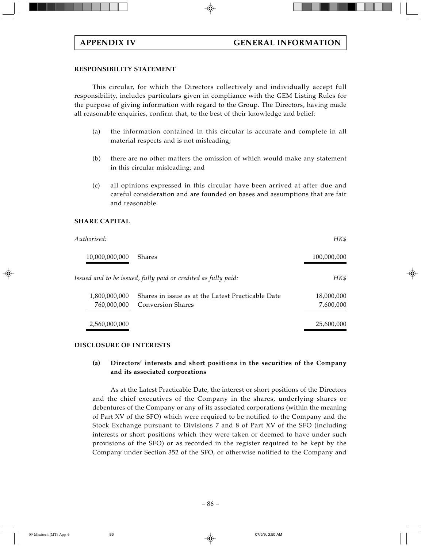# **RESPONSIBILITY STATEMENT**

This circular, for which the Directors collectively and individually accept full responsibility, includes particulars given in compliance with the GEM Listing Rules for the purpose of giving information with regard to the Group. The Directors, having made all reasonable enquiries, confirm that, to the best of their knowledge and belief:

- (a) the information contained in this circular is accurate and complete in all material respects and is not misleading;
- (b) there are no other matters the omission of which would make any statement in this circular misleading; and
- (c) all opinions expressed in this circular have been arrived at after due and careful consideration and are founded on bases and assumptions that are fair and reasonable.

# **SHARE CAPITAL**

| Authorised:    |                                                                | HK\$        |
|----------------|----------------------------------------------------------------|-------------|
| 10,000,000,000 | <b>Shares</b>                                                  | 100,000,000 |
|                | Issued and to be issued, fully paid or credited as fully paid: | HK\$        |
| 1,800,000,000  | Shares in issue as at the Latest Practicable Date              | 18,000,000  |
| 760,000,000    | <b>Conversion Shares</b>                                       | 7,600,000   |
| 2,560,000,000  |                                                                | 25,600,000  |

# **DISCLOSURE OF INTERESTS**

# **(a) Directors' interests and short positions in the securities of the Company and its associated corporations**

As at the Latest Practicable Date, the interest or short positions of the Directors and the chief executives of the Company in the shares, underlying shares or debentures of the Company or any of its associated corporations (within the meaning of Part XV of the SFO) which were required to be notified to the Company and the Stock Exchange pursuant to Divisions 7 and 8 of Part XV of the SFO (including interests or short positions which they were taken or deemed to have under such provisions of the SFO) or as recorded in the register required to be kept by the Company under Section 352 of the SFO, or otherwise notified to the Company and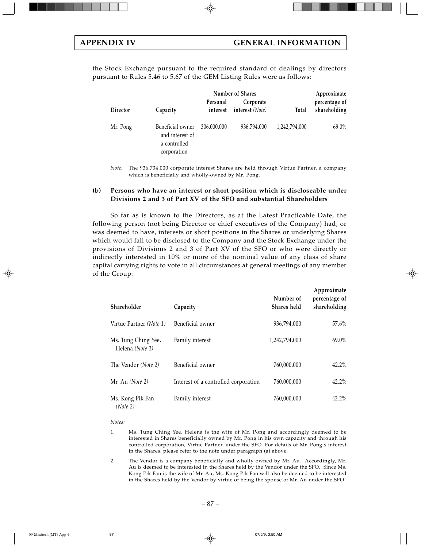the Stock Exchange pursuant to the required standard of dealings by directors pursuant to Rules 5.46 to 5.67 of the GEM Listing Rules were as follows:

|          |                                                                    | Number of Shares     |                              |               | Approximate                   |
|----------|--------------------------------------------------------------------|----------------------|------------------------------|---------------|-------------------------------|
| Director | Capacity                                                           | Personal<br>interest | Corporate<br>interest (Note) | Total         | percentage of<br>shareholding |
| Mr. Pong | Beneficial owner<br>and interest of<br>a controlled<br>corporation | 306,000,000          | 936,794,000                  | 1,242,794,000 | 69.0%                         |

*Note:* The 936,734,000 corporate interest Shares are held through Virtue Partner, a company which is beneficially and wholly-owned by Mr. Pong.

#### **(b) Persons who have an interest or short position which is discloseable under Divisions 2 and 3 of Part XV of the SFO and substantial Shareholders**

So far as is known to the Directors, as at the Latest Practicable Date, the following person (not being Director or chief executives of the Company) had, or was deemed to have, interests or short positions in the Shares or underlying Shares which would fall to be disclosed to the Company and the Stock Exchange under the provisions of Divisions 2 and 3 of Part XV of the SFO or who were directly or indirectly interested in 10% or more of the nominal value of any class of share capital carrying rights to vote in all circumstances at general meetings of any member of the Group:

| Shareholder                            | Capacity                             | Number of<br>Shares held | Approximate<br>percentage of<br>shareholding |
|----------------------------------------|--------------------------------------|--------------------------|----------------------------------------------|
| Virtue Partner (Note 1)                | Beneficial owner                     | 936,794,000              | $57.6\%$                                     |
| Ms. Tung Ching Yee,<br>Helena (Note 1) | Family interest                      | 1,242,794,000            | $69.0\%$                                     |
| The Vendor (Note 2)                    | Beneficial owner                     | 760,000,000              | $42.2\%$                                     |
| Mr. Au (Note 2)                        | Interest of a controlled corporation | 760,000,000              | 42.2%                                        |
| Ms. Kong Pik Fan<br>(Note 2)           | Family interest                      | 760,000,000              | 42.2%                                        |

*Notes:*

- 1. Ms. Tung Ching Yee, Helena is the wife of Mr. Pong and accordingly deemed to be interested in Shares beneficially owned by Mr. Pong in his own capacity and through his controlled corporation, Virtue Partner, under the SFO. For details of Mr. Pong's interest in the Shares, please refer to the note under paragraph (a) above.
- 2. The Vendor is a company beneficially and wholly-owned by Mr. Au. Accordingly, Mr. Au is deemed to be interested in the Shares held by the Vendor under the SFO. Since Ms. Kong Pik Fan is the wife of Mr. Au, Ms. Kong Pik Fan will also be deemed to be interested in the Shares held by the Vendor by virtue of being the spouse of Mr. Au under the SFO.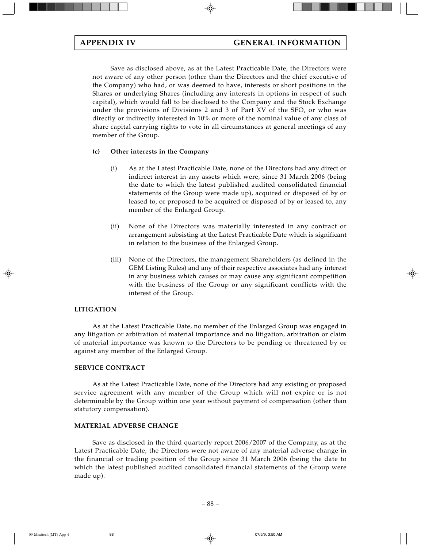Save as disclosed above, as at the Latest Practicable Date, the Directors were not aware of any other person (other than the Directors and the chief executive of the Company) who had, or was deemed to have, interests or short positions in the Shares or underlying Shares (including any interests in options in respect of such capital), which would fall to be disclosed to the Company and the Stock Exchange under the provisions of Divisions 2 and 3 of Part XV of the SFO, or who was directly or indirectly interested in 10% or more of the nominal value of any class of share capital carrying rights to vote in all circumstances at general meetings of any member of the Group.

### **(c) Other interests in the Company**

- (i) As at the Latest Practicable Date, none of the Directors had any direct or indirect interest in any assets which were, since 31 March 2006 (being the date to which the latest published audited consolidated financial statements of the Group were made up), acquired or disposed of by or leased to, or proposed to be acquired or disposed of by or leased to, any member of the Enlarged Group.
- (ii) None of the Directors was materially interested in any contract or arrangement subsisting at the Latest Practicable Date which is significant in relation to the business of the Enlarged Group.
- (iii) None of the Directors, the management Shareholders (as defined in the GEM Listing Rules) and any of their respective associates had any interest in any business which causes or may cause any significant competition with the business of the Group or any significant conflicts with the interest of the Group.

#### **LITIGATION**

As at the Latest Practicable Date, no member of the Enlarged Group was engaged in any litigation or arbitration of material importance and no litigation, arbitration or claim of material importance was known to the Directors to be pending or threatened by or against any member of the Enlarged Group.

#### **SERVICE CONTRACT**

As at the Latest Practicable Date, none of the Directors had any existing or proposed service agreement with any member of the Group which will not expire or is not determinable by the Group within one year without payment of compensation (other than statutory compensation).

#### **MATERIAL ADVERSE CHANGE**

Save as disclosed in the third quarterly report 2006/2007 of the Company, as at the Latest Practicable Date, the Directors were not aware of any material adverse change in the financial or trading position of the Group since 31 March 2006 (being the date to which the latest published audited consolidated financial statements of the Group were made up).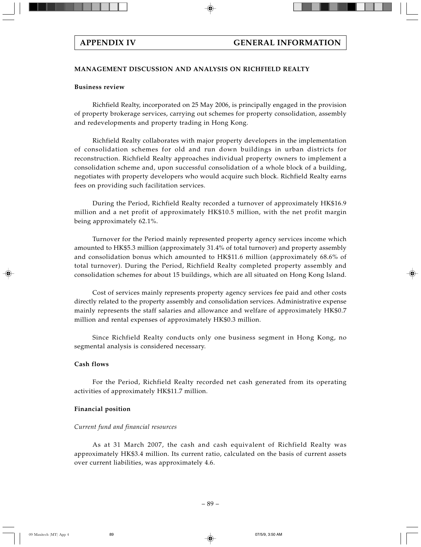# **MANAGEMENT DISCUSSION AND ANALYSIS ON RICHFIELD REALTY**

# **Business review**

Richfield Realty, incorporated on 25 May 2006, is principally engaged in the provision of property brokerage services, carrying out schemes for property consolidation, assembly and redevelopments and property trading in Hong Kong.

Richfield Realty collaborates with major property developers in the implementation of consolidation schemes for old and run down buildings in urban districts for reconstruction. Richfield Realty approaches individual property owners to implement a consolidation scheme and, upon successful consolidation of a whole block of a building, negotiates with property developers who would acquire such block. Richfield Realty earns fees on providing such facilitation services.

During the Period, Richfield Realty recorded a turnover of approximately HK\$16.9 million and a net profit of approximately HK\$10.5 million, with the net profit margin being approximately 62.1%.

Turnover for the Period mainly represented property agency services income which amounted to HK\$5.3 million (approximately 31.4% of total turnover) and property assembly and consolidation bonus which amounted to HK\$11.6 million (approximately 68.6% of total turnover). During the Period, Richfield Realty completed property assembly and consolidation schemes for about 15 buildings, which are all situated on Hong Kong Island.

Cost of services mainly represents property agency services fee paid and other costs directly related to the property assembly and consolidation services. Administrative expense mainly represents the staff salaries and allowance and welfare of approximately HK\$0.7 million and rental expenses of approximately HK\$0.3 million.

Since Richfield Realty conducts only one business segment in Hong Kong, no segmental analysis is considered necessary.

# **Cash flows**

For the Period, Richfield Realty recorded net cash generated from its operating activities of approximately HK\$11.7 million.

# **Financial position**

# *Current fund and financial resources*

As at 31 March 2007, the cash and cash equivalent of Richfield Realty was approximately HK\$3.4 million. Its current ratio, calculated on the basis of current assets over current liabilities, was approximately 4.6.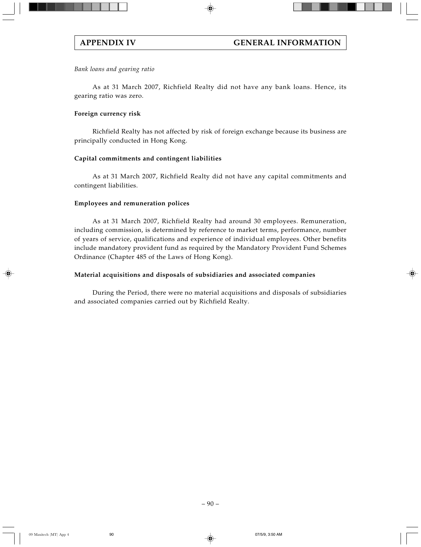# *Bank loans and gearing ratio*

As at 31 March 2007, Richfield Realty did not have any bank loans. Hence, its gearing ratio was zero.

# **Foreign currency risk**

Richfield Realty has not affected by risk of foreign exchange because its business are principally conducted in Hong Kong.

# **Capital commitments and contingent liabilities**

As at 31 March 2007, Richfield Realty did not have any capital commitments and contingent liabilities.

# **Employees and remuneration polices**

As at 31 March 2007, Richfield Realty had around 30 employees. Remuneration, including commission, is determined by reference to market terms, performance, number of years of service, qualifications and experience of individual employees. Other benefits include mandatory provident fund as required by the Mandatory Provident Fund Schemes Ordinance (Chapter 485 of the Laws of Hong Kong).

# **Material acquisitions and disposals of subsidiaries and associated companies**

During the Period, there were no material acquisitions and disposals of subsidiaries and associated companies carried out by Richfield Realty.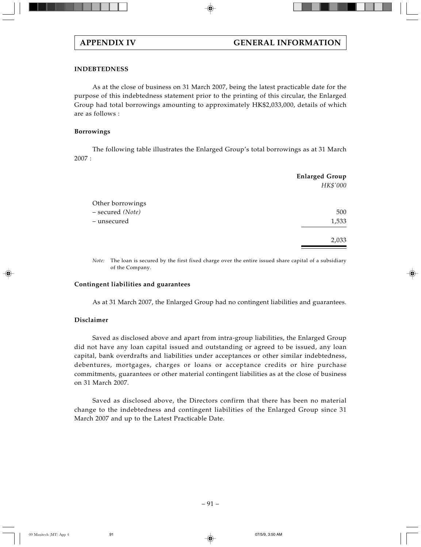## **INDEBTEDNESS**

As at the close of business on 31 March 2007, being the latest practicable date for the purpose of this indebtedness statement prior to the printing of this circular, the Enlarged Group had total borrowings amounting to approximately HK\$2,033,000, details of which are as follows :

### **Borrowings**

The following table illustrates the Enlarged Group's total borrowings as at 31 March 2007 :

|                  | <b>Enlarged Group</b><br>HK\$'000 |
|------------------|-----------------------------------|
| Other borrowings |                                   |
| - secured (Note) | 500                               |
| - unsecured      | 1,533                             |
|                  | 2,033                             |
|                  |                                   |

*Note:* The loan is secured by the first fixed charge over the entire issued share capital of a subsidiary of the Company.

#### **Contingent liabilities and guarantees**

As at 31 March 2007, the Enlarged Group had no contingent liabilities and guarantees.

#### **Disclaimer**

Saved as disclosed above and apart from intra-group liabilities, the Enlarged Group did not have any loan capital issued and outstanding or agreed to be issued, any loan capital, bank overdrafts and liabilities under acceptances or other similar indebtedness, debentures, mortgages, charges or loans or acceptance credits or hire purchase commitments, guarantees or other material contingent liabilities as at the close of business on 31 March 2007.

Saved as disclosed above, the Directors confirm that there has been no material change to the indebtedness and contingent liabilities of the Enlarged Group since 31 March 2007 and up to the Latest Practicable Date.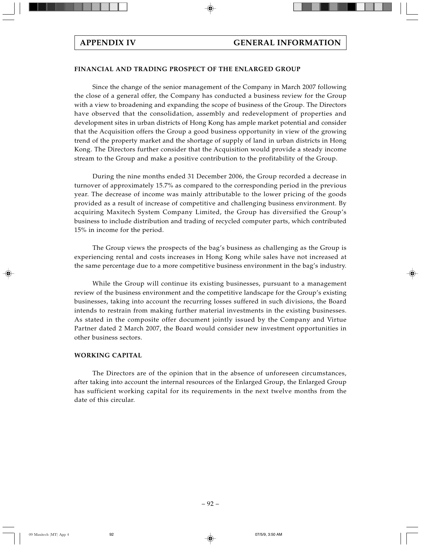# **FINANCIAL AND TRADING PROSPECT OF THE ENLARGED GROUP**

Since the change of the senior management of the Company in March 2007 following the close of a general offer, the Company has conducted a business review for the Group with a view to broadening and expanding the scope of business of the Group. The Directors have observed that the consolidation, assembly and redevelopment of properties and development sites in urban districts of Hong Kong has ample market potential and consider that the Acquisition offers the Group a good business opportunity in view of the growing trend of the property market and the shortage of supply of land in urban districts in Hong Kong. The Directors further consider that the Acquisition would provide a steady income stream to the Group and make a positive contribution to the profitability of the Group.

During the nine months ended 31 December 2006, the Group recorded a decrease in turnover of approximately 15.7% as compared to the corresponding period in the previous year. The decrease of income was mainly attributable to the lower pricing of the goods provided as a result of increase of competitive and challenging business environment. By acquiring Maxitech System Company Limited, the Group has diversified the Group's business to include distribution and trading of recycled computer parts, which contributed 15% in income for the period.

The Group views the prospects of the bag's business as challenging as the Group is experiencing rental and costs increases in Hong Kong while sales have not increased at the same percentage due to a more competitive business environment in the bag's industry.

While the Group will continue its existing businesses, pursuant to a management review of the business environment and the competitive landscape for the Group's existing businesses, taking into account the recurring losses suffered in such divisions, the Board intends to restrain from making further material investments in the existing businesses. As stated in the composite offer document jointly issued by the Company and Virtue Partner dated 2 March 2007, the Board would consider new investment opportunities in other business sectors.

# **WORKING CAPITAL**

The Directors are of the opinion that in the absence of unforeseen circumstances, after taking into account the internal resources of the Enlarged Group, the Enlarged Group has sufficient working capital for its requirements in the next twelve months from the date of this circular.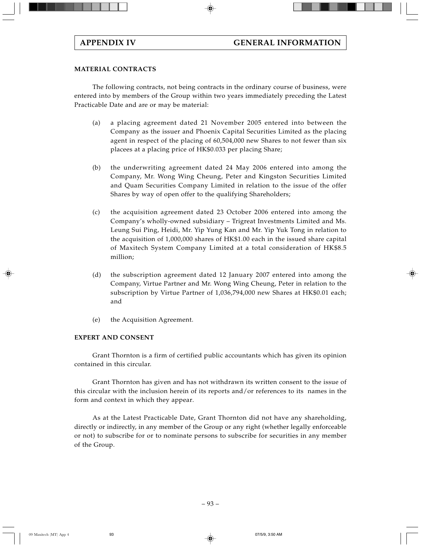# **MATERIAL CONTRACTS**

The following contracts, not being contracts in the ordinary course of business, were entered into by members of the Group within two years immediately preceding the Latest Practicable Date and are or may be material:

- (a) a placing agreement dated 21 November 2005 entered into between the Company as the issuer and Phoenix Capital Securities Limited as the placing agent in respect of the placing of 60,504,000 new Shares to not fewer than six placees at a placing price of HK\$0.033 per placing Share;
- (b) the underwriting agreement dated 24 May 2006 entered into among the Company, Mr. Wong Wing Cheung, Peter and Kingston Securities Limited and Quam Securities Company Limited in relation to the issue of the offer Shares by way of open offer to the qualifying Shareholders;
- (c) the acquisition agreement dated 23 October 2006 entered into among the Company's wholly-owned subsidiary – Trigreat Investments Limited and Ms. Leung Sui Ping, Heidi, Mr. Yip Yung Kan and Mr. Yip Yuk Tong in relation to the acquisition of 1,000,000 shares of HK\$1.00 each in the issued share capital of Maxitech System Company Limited at a total consideration of HK\$8.5 million;
- (d) the subscription agreement dated 12 January 2007 entered into among the Company, Virtue Partner and Mr. Wong Wing Cheung, Peter in relation to the subscription by Virtue Partner of 1,036,794,000 new Shares at HK\$0.01 each; and
- (e) the Acquisition Agreement.

# **EXPERT AND CONSENT**

Grant Thornton is a firm of certified public accountants which has given its opinion contained in this circular.

Grant Thornton has given and has not withdrawn its written consent to the issue of this circular with the inclusion herein of its reports and/or references to its names in the form and context in which they appear.

As at the Latest Practicable Date, Grant Thornton did not have any shareholding, directly or indirectly, in any member of the Group or any right (whether legally enforceable or not) to subscribe for or to nominate persons to subscribe for securities in any member of the Group.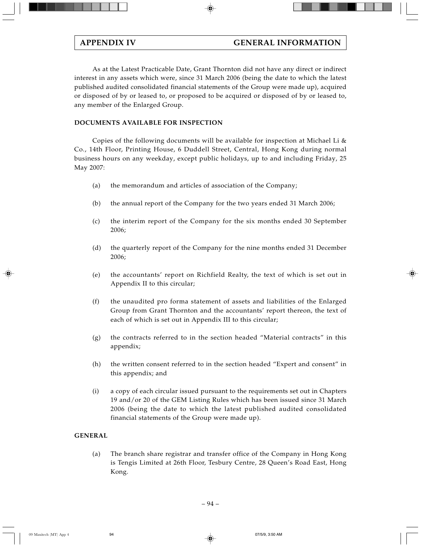As at the Latest Practicable Date, Grant Thornton did not have any direct or indirect interest in any assets which were, since 31 March 2006 (being the date to which the latest published audited consolidated financial statements of the Group were made up), acquired or disposed of by or leased to, or proposed to be acquired or disposed of by or leased to, any member of the Enlarged Group.

# **DOCUMENTS AVAILABLE FOR INSPECTION**

Copies of the following documents will be available for inspection at Michael Li & Co., 14th Floor, Printing House, 6 Duddell Street, Central, Hong Kong during normal business hours on any weekday, except public holidays, up to and including Friday, 25 May 2007:

- (a) the memorandum and articles of association of the Company;
- (b) the annual report of the Company for the two years ended 31 March 2006;
- (c) the interim report of the Company for the six months ended 30 September 2006;
- (d) the quarterly report of the Company for the nine months ended 31 December 2006;
- (e) the accountants' report on Richfield Realty, the text of which is set out in Appendix II to this circular;
- (f) the unaudited pro forma statement of assets and liabilities of the Enlarged Group from Grant Thornton and the accountants' report thereon, the text of each of which is set out in Appendix III to this circular;
- $(g)$  the contracts referred to in the section headed "Material contracts" in this appendix;
- (h) the written consent referred to in the section headed "Expert and consent" in this appendix; and
- (i) a copy of each circular issued pursuant to the requirements set out in Chapters 19 and/or 20 of the GEM Listing Rules which has been issued since 31 March 2006 (being the date to which the latest published audited consolidated financial statements of the Group were made up).

# **GENERAL**

(a) The branch share registrar and transfer office of the Company in Hong Kong is Tengis Limited at 26th Floor, Tesbury Centre, 28 Queen's Road East, Hong Kong.